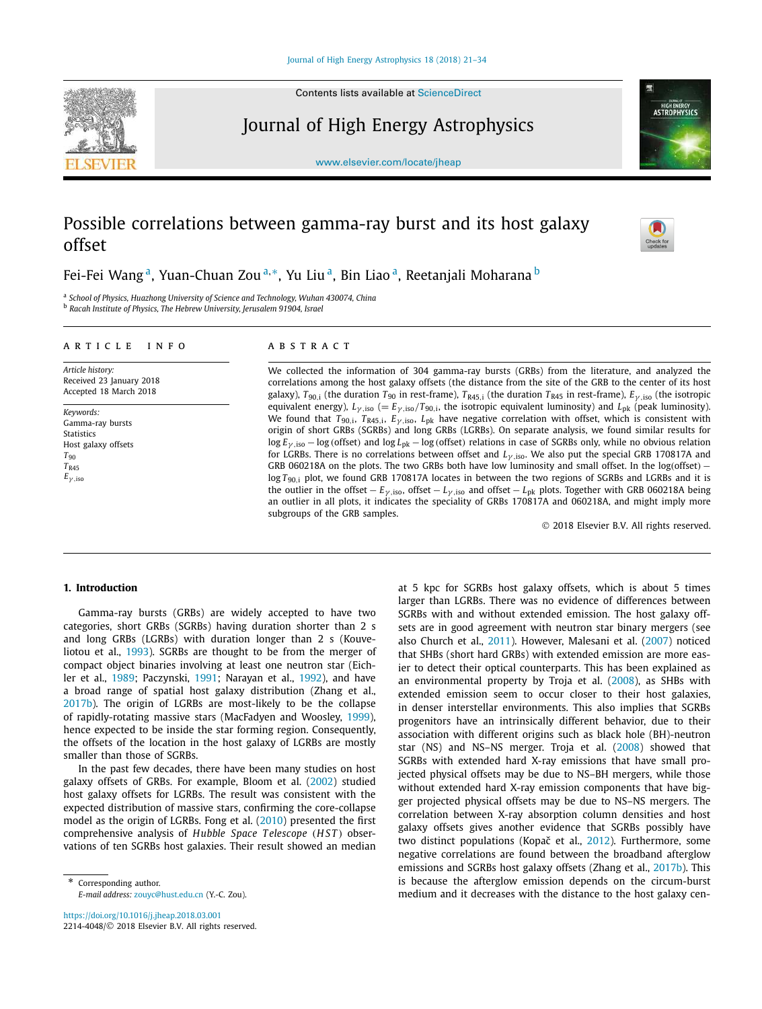

Contents lists available at ScienceDirect

Journal of High Energy Astrophysics





# Possible correlations between gamma-ray burst and its host galaxy offset

Fei-Fei Wang<sup>a</sup>, Yuan-Chuan Zou<sup>a,</sup>\*, Yu Liu<sup>a</sup>, Bin Liao<sup>a</sup>, Reetanjali Moharana <sup>b</sup>

a *School of Physics, Huazhong University of Science and Technology, Wuhan 430074, China* <sup>b</sup> *Racah Institute of Physics, The Hebrew University, Jerusalem 91904, Israel*

#### A R T I C L E I N F O A B S T R A C T

*Article history:* Received 23 January 2018 Accepted 18 March 2018

*Keywords:* Gamma-ray bursts **Statistics** Host galaxy offsets  $T_{90}$ *T*R45  $E_{\gamma,iso}$ 

We collected the information of 304 gamma-ray bursts (GRBs) from the literature, and analyzed the correlations among the host galaxy offsets (the distance from the site of the GRB to the center of its host galaxy),  $T_{90,i}$  (the duration  $T_{90}$  in rest-frame),  $T_{R45,i}$  (the duration  $T_{R45}$  in rest-frame),  $E_{\gamma,iso}$  (the isotropic equivalent energy),  $L_{\gamma,\text{iso}}$  (=  $E_{\gamma,\text{iso}}$ / $T_{90,\text{i}}$ , the isotropic equivalent luminosity) and  $L_{\text{pk}}$  (peak luminosity). We found that  $T_{90,i}$ ,  $T_{R45,i}$ ,  $E_{\gamma, \rm iso}$ ,  $L_{\rm pk}$  have negative correlation with offset, which is consistent with origin of short GRBs (SGRBs) and long GRBs (LGRBs). On separate analysis, we found similar results for log *E*<sub>γ,iso</sub> − log (offset) and log *L*<sub>pk</sub> − log (offset) relations in case of SGRBs only, while no obvious relation for LGRBs. There is no correlations between offset and *L*γ ,iso. We also put the special GRB 170817A and GRB 060218A on the plots. The two GRBs both have low luminosity and small offset. In the log(offset) – log T<sub>90,i</sub> plot, we found GRB 170817A locates in between the two regions of SGRBs and LGRBs and it is the outlier in the offset − *E*<sup>γ</sup> ,iso, offset − *L*<sup>γ</sup> ,iso and offset − *L*pk plots. Together with GRB 060218A being an outlier in all plots, it indicates the speciality of GRBs 170817A and 060218A, and might imply more subgroups of the GRB samples.

2018 Elsevier B.V. All rights reserved.

# **1. Introduction**

Gamma-ray bursts (GRBs) are widely accepted to have two categories, short GRBs (SGRBs) having duration shorter than 2 s and long GRBs (LGRBs) with duration longer than 2 s (Kouveliotou et al., 1993). SGRBs are thought to be from the merger of compact object binaries involving at least one neutron star (Eichler et al., 1989; Paczynski, 1991; Narayan et al., 1992), and have a broad range of spatial host galaxy distribution (Zhang et al., 2017b). The origin of LGRBs are most-likely to be the collapse of rapidly-rotating massive stars (MacFadyen and Woosley, 1999), hence expected to be inside the star forming region. Consequently, the offsets of the location in the host galaxy of LGRBs are mostly smaller than those of SGRBs.

In the past few decades, there have been many studies on host galaxy offsets of GRBs. For example, Bloom et al. (2002) studied host galaxy offsets for LGRBs. The result was consistent with the expected distribution of massive stars, confirming the core-collapse model as the origin of LGRBs. Fong et al. (2010) presented the first comprehensive analysis of *Hubble Space T elescope* (*HST* ) observations of ten SGRBs host galaxies. Their result showed an median

Corresponding author. *E-mail address:* zouyc@hust.edu.cn (Y.-C. Zou).

https://doi.org/10.1016/j.jheap.2018.03.001 2214-4048/ 2018 Elsevier B.V. All rights reserved. at 5 kpc for SGRBs host galaxy offsets, which is about 5 times larger than LGRBs. There was no evidence of differences between SGRBs with and without extended emission. The host galaxy offsets are in good agreement with neutron star binary mergers (see also Church et al., 2011). However, Malesani et al. (2007) noticed that SHBs (short hard GRBs) with extended emission are more easier to detect their optical counterparts. This has been explained as an environmental property by Troja et al. (2008), as SHBs with extended emission seem to occur closer to their host galaxies, in denser interstellar environments. This also implies that SGRBs progenitors have an intrinsically different behavior, due to their association with different origins such as black hole (BH)-neutron star (NS) and NS–NS merger. Troja et al. (2008) showed that SGRBs with extended hard X-ray emissions that have small projected physical offsets may be due to NS–BH mergers, while those without extended hard X-ray emission components that have bigger projected physical offsets may be due to NS–NS mergers. The correlation between X-ray absorption column densities and host galaxy offsets gives another evidence that SGRBs possibly have two distinct populations (Kopač et al., 2012). Furthermore, some negative correlations are found between the broadband afterglow emissions and SGRBs host galaxy offsets (Zhang et al., 2017b). This is because the afterglow emission depends on the circum-burst medium and it decreases with the distance to the host galaxy cen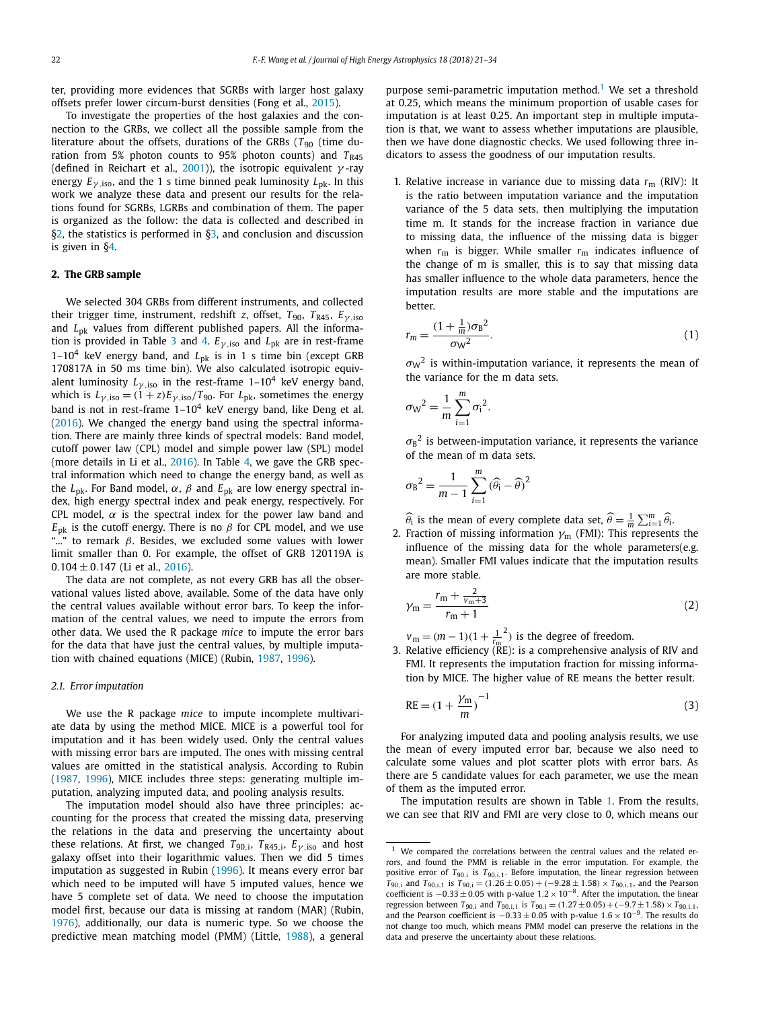ter, providing more evidences that SGRBs with larger host galaxy offsets prefer lower circum-burst densities (Fong et al., 2015).

To investigate the properties of the host galaxies and the connection to the GRBs, we collect all the possible sample from the literature about the offsets, durations of the GRBs ( $T_{90}$  (time duration from 5% photon counts to 95% photon counts) and  $T_{R45}$ (defined in Reichart et al., 2001)), the isotropic equivalent  $\gamma$ -ray energy  $E_{\gamma}$  iso, and the 1 s time binned peak luminosity  $L_{\rm pk}$ . In this work we analyze these data and present our results for the relations found for SGRBs, LGRBs and combination of them. The paper is organized as the follow: the data is collected and described in  $\S$ 2, the statistics is performed in  $\S$ 3, and conclusion and discussion is given in  $\delta$ 4.

# **2. The GRB sample**

We selected 304 GRBs from different instruments, and collected their trigger time, instrument, redshift *z*, offset,  $T_{90}$ ,  $T_{R45}$ ,  $E_{\gamma,iso}$ and *L*<sub>pk</sub> values from different published papers. All the information is provided in Table 3 and 4.  $E_{\gamma}$  iso and  $L_{\text{pk}}$  are in rest-frame  $1-10<sup>4</sup>$  keV energy band, and  $L_{\text{pk}}$  is in 1 s time bin (except GRB 170817A in 50 ms time bin). We also calculated isotropic equivalent luminosity  $L_{\gamma,iso}$  in the rest-frame 1–10<sup>4</sup> keV energy band, which is  $L_{\gamma,iso} = (1 + z)E_{\gamma,iso}/T_{.90}$ . For  $L_{pk}$ , sometimes the energy band is not in rest-frame  $1-10<sup>4</sup>$  keV energy band, like Deng et al. (2016). We changed the energy band using the spectral information. There are mainly three kinds of spectral models: Band model, cutoff power law (CPL) model and simple power law (SPL) model (more details in Li et al., 2016). In Table 4, we gave the GRB spectral information which need to change the energy band, as well as the *L*<sub>pk</sub>. For Band model,  $\alpha$ ,  $\beta$  and  $E_{pk}$  are low energy spectral index, high energy spectral index and peak energy, respectively. For CPL model,  $\alpha$  is the spectral index for the power law band and  $E_{\text{pk}}$  is the cutoff energy. There is no  $\beta$  for CPL model, and we use "..." to remark  $\beta$ . Besides, we excluded some values with lower limit smaller than 0. For example, the offset of GRB 120119A is  $0.104 \pm 0.147$  (Li et al., 2016).

The data are not complete, as not every GRB has all the observational values listed above, available. Some of the data have only the central values available without error bars. To keep the information of the central values, we need to impute the errors from other data. We used the R package *mice* to impute the error bars for the data that have just the central values, by multiple imputation with chained equations (MICE) (Rubin, 1987, 1996).

# *2.1. Error imputation*

We use the R package *mice* to impute incomplete multivariate data by using the method MICE. MICE is a powerful tool for imputation and it has been widely used. Only the central values with missing error bars are imputed. The ones with missing central values are omitted in the statistical analysis. According to Rubin (1987, 1996), MICE includes three steps: generating multiple imputation, analyzing imputed data, and pooling analysis results.

The imputation model should also have three principles: accounting for the process that created the missing data, preserving the relations in the data and preserving the uncertainty about these relations. At first, we changed *T*90,<sup>i</sup> , *T*R45,<sup>i</sup> , *E*γ ,iso and host galaxy offset into their logarithmic values. Then we did 5 times imputation as suggested in Rubin (1996). It means every error bar which need to be imputed will have 5 imputed values, hence we have 5 complete set of data. We need to choose the imputation model first, because our data is missing at random (MAR) (Rubin, 1976), additionally, our data is numeric type. So we choose the predictive mean matching model (PMM) (Little, 1988), a general purpose semi-parametric imputation method.<sup>1</sup> We set a threshold at 0.25, which means the minimum proportion of usable cases for imputation is at least 0.25. An important step in multiple imputation is that, we want to assess whether imputations are plausible, then we have done diagnostic checks. We used following three indicators to assess the goodness of our imputation results.

1. Relative increase in variance due to missing data  $r<sub>m</sub>$  (RIV): It is the ratio between imputation variance and the imputation variance of the 5 data sets, then multiplying the imputation time m. It stands for the increase fraction in variance due to missing data, the influence of the missing data is bigger when  $r_m$  is bigger. While smaller  $r_m$  indicates influence of the change of m is smaller, this is to say that missing data has smaller influence to the whole data parameters, hence the imputation results are more stable and the imputations are better.

$$
r_m = \frac{(1 + \frac{1}{m})\sigma_B^2}{\sigma_W^2}.
$$
 (1)

 $\sigma_{W}$ <sup>2</sup> is within-imputation variance, it represents the mean of the variance for the m data sets.

$$
\sigma_{\rm W}{}^2 = \frac{1}{m} \sum_{i=1}^m \sigma_i{}^2.
$$

 $\sigma_{\rm B}{}^2$  is between-imputation variance, it represents the variance of the mean of m data sets.

$$
{\sigma_B}^2 = \frac{1}{m-1}\sum_{i=1}^{m}{(\widehat{\theta_i}-\widehat{\theta})}^2
$$

 $\widehat{\theta}_i$  is the mean of every complete data set,  $\widehat{\theta} = \frac{1}{m} \sum_{i=1}^m \widehat{\theta}_i$ .

2. Fraction of missing information  $\gamma_m$  (FMI): This represents the influence of the missing data for the whole parameters(e.g. mean). Smaller FMI values indicate that the imputation results are more stable.

$$
\gamma_{\rm m} = \frac{r_{\rm m} + \frac{2}{v_{\rm m} + 3}}{r_{\rm m} + 1} \tag{2}
$$

 $v_m = (m-1)(1 + \frac{1}{r_m})$  $^{2}$ ) is the degree of freedom.

3. Relative efficiency (RE): is a comprehensive analysis of RIV and FMI. It represents the imputation fraction for missing information by MICE. The higher value of RE means the better result.

$$
RE = \left(1 + \frac{\gamma_m}{m}\right)^{-1} \tag{3}
$$

For analyzing imputed data and pooling analysis results, we use the mean of every imputed error bar, because we also need to calculate some values and plot scatter plots with error bars. As there are 5 candidate values for each parameter, we use the mean of them as the imputed error.

The imputation results are shown in Table 1. From the results, we can see that RIV and FMI are very close to 0, which means our

<sup>&</sup>lt;sup>1</sup> We compared the correlations between the central values and the related errors, and found the PMM is reliable in the error imputation. For example, the positive error of  $T_{90,i}$  is  $T_{90,i,1}$ . Before imputation, the linear regression between *T*<sub>90,i</sub> and *T*<sub>90,i,1</sub> is *T*<sub>90,i</sub> = (1.26 ± 0.05) + (−9.28 ± 1.58) × *T*<sub>90,i,1</sub>, and the Pearson coefficient is  $-0.33 \pm 0.05$  with p-value  $1.2 \times 10^{-8}$ . After the imputation, the linear regression between  $T_{90,i}$  and  $T_{90,i,1}$  is  $T_{90,i} = (1.27 \pm 0.05) + (-9.7 \pm 1.58) \times T_{90,i,1}$ , and the Pearson coefficient is  $-0.33 \pm 0.05$  with p-value  $1.6 \times 10^{-9}$ . The results do not change too much, which means PMM model can preserve the relations in the data and preserve the uncertainty about these relations.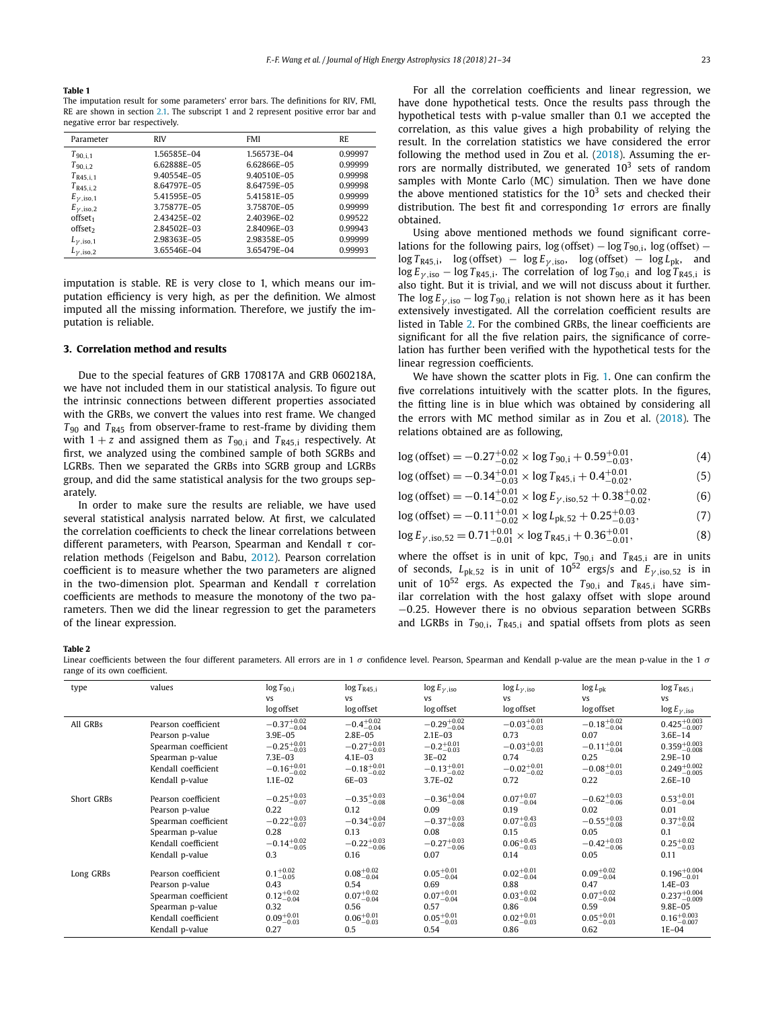#### **Table 1**

The imputation result for some parameters' error bars. The definitions for RIV, FMI, RE are shown in section 2.1. The subscript 1 and 2 represent positive error bar and negative error bar respectively.

| Parameter                   | <b>RIV</b>  | <b>FMI</b>  | RE      |
|-----------------------------|-------------|-------------|---------|
| $T_{90,i,1}$                | 1.56585E-04 | 1.56573E-04 | 0.99997 |
| $T_{90,i,2}$                | 6.62888E-05 | 6.62866E-05 | 0.99999 |
| $T_{R45,i,1}$               | 9.40554E-05 | 9.40510E-05 | 0.99998 |
| $T_{R45,i,2}$               | 8.64797E-05 | 8.64759E-05 | 0.99998 |
| $E_{\gamma, \text{iso}, 1}$ | 5.41595E-05 | 5.41581E-05 | 0.99999 |
| $E_{\nu, \rm iso, 2}$       | 3.75877E-05 | 3.75870E-05 | 0.99999 |
| offset <sub>1</sub>         | 2.43425E-02 | 2.40396E-02 | 0.99522 |
| offset                      | 2.84502E-03 | 2.84096E-03 | 0.99943 |
| $L_{\gamma, \text{iso}, 1}$ | 2.98363E-05 | 2.98358E-05 | 0.99999 |
| $L_{\gamma,iso,2}$          | 3.65546E-04 | 3.65479E-04 | 0.99993 |

imputation is stable. RE is very close to 1, which means our imputation efficiency is very high, as per the definition. We almost imputed all the missing information. Therefore, we justify the imputation is reliable.

# **3. Correlation method and results**

Due to the special features of GRB 170817A and GRB 060218A, we have not included them in our statistical analysis. To figure out the intrinsic connections between different properties associated with the GRBs, we convert the values into rest frame. We changed *T*<sup>90</sup> and *T*R45 from observer-frame to rest-frame by dividing them with  $1 + z$  and assigned them as  $T_{90i}$  and  $T_{R45i}$  respectively. At first, we analyzed using the combined sample of both SGRBs and LGRBs. Then we separated the GRBs into SGRB group and LGRBs group, and did the same statistical analysis for the two groups separately.

In order to make sure the results are reliable, we have used several statistical analysis narrated below. At first, we calculated the correlation coefficients to check the linear correlations between different parameters, with Pearson, Spearman and Kendall  $\tau$  correlation methods (Feigelson and Babu, 2012). Pearson correlation coefficient is to measure whether the two parameters are aligned in the two-dimension plot. Spearman and Kendall  $\tau$  correlation coefficients are methods to measure the monotony of the two parameters. Then we did the linear regression to get the parameters of the linear expression.

For all the correlation coefficients and linear regression, we have done hypothetical tests. Once the results pass through the hypothetical tests with p-value smaller than 0.1 we accepted the correlation, as this value gives a high probability of relying the result. In the correlation statistics we have considered the error following the method used in Zou et al. (2018). Assuming the errors are normally distributed, we generated  $10^3$  sets of random samples with Monte Carlo (MC) simulation. Then we have done the above mentioned statistics for the  $10<sup>3</sup>$  sets and checked their distribution. The best fit and corresponding  $1\sigma$  errors are finally obtained.

Using above mentioned methods we found significant correlations for the following pairs, log (offset) – log *T*<sub>90,i</sub>, log (offset) –  $\log T_{\text{R45},i}$ ,  $\log (\text{offset}) - \log E_{\gamma,\text{iso}}$ ,  $\log (\text{offset}) - \log L_{\text{pk}}$ , and  $\log E_{\gamma, \text{iso}} - \log T_{\text{R45},i}$ . The correlation of  $\log T_{90,i}$  and  $\log T_{\text{R45},i}$  is also tight. But it is trivial, and we will not discuss about it further. The  $\log E_{\gamma,iso} - \log T_{90,i}$  relation is not shown here as it has been extensively investigated. All the correlation coefficient results are listed in Table 2. For the combined GRBs, the linear coefficients are significant for all the five relation pairs, the significance of correlation has further been verified with the hypothetical tests for the linear regression coefficients.

We have shown the scatter plots in Fig. 1. One can confirm the five correlations intuitively with the scatter plots. In the figures, the fitting line is in blue which was obtained by considering all the errors with MC method similar as in Zou et al. (2018). The relations obtained are as following,

$$
log (offset) = -0.27^{+0.02}_{-0.02} \times log T_{90,i} + 0.59^{+0.01}_{-0.03},
$$
 (4)

$$
\log\left(\text{offset}\right) = -0.34_{-0.03}^{+0.01} \times \log T_{\text{R45},i} + 0.4_{-0.02}^{+0.01},\tag{5}
$$

$$
\log\left(\text{offset}\right) = -0.14_{-0.02}^{+0.01} \times \log E_{\gamma,\text{iso},52} + 0.38_{-0.02}^{+0.02},\tag{6}
$$

$$
log (offset) = -0.11_{-0.02}^{+0.01} \times log L_{pk,52} + 0.25_{-0.03}^{+0.03},
$$
 (7)

$$
\log E_{\gamma, \text{iso}, 52} = 0.71_{-0.01}^{+0.01} \times \log T_{\text{R45}, i} + 0.36_{-0.01}^{+0.01}, \tag{8}
$$

where the offset is in unit of kpc,  $T_{90,i}$  and  $T_{R45,i}$  are in units of seconds,  $L_{\rm pk,52}$  is in unit of 10<sup>52</sup> ergs/s and  $E_{\gamma,iso,52}$  is in unit of  $10^{52}$  ergs. As expected the  $T_{90,i}$  and  $T_{R45,i}$  have similar correlation with the host galaxy offset with slope around −0.25. However there is no obvious separation between SGRBs and LGRBs in *T*90,<sup>i</sup> , *T*R45,<sup>i</sup> and spatial offsets from plots as seen

#### **Table 2**

Linear coefficients between the four different parameters. All errors are in 1  $\sigma$  confidence level. Pearson, Spearman and Kendall p-value are the mean p-value in the 1  $\sigma$ range of its own coefficient.

| type       | values                                  | $log T_{90,i}$                     | $log T_{R45,i}$                       | $\log E_{\nu, \rm iso}$                | $\log L_{\nu, \rm iso}$         | $\log L_{\rm pk}$               | $log T_{R45,i}$                          |
|------------|-----------------------------------------|------------------------------------|---------------------------------------|----------------------------------------|---------------------------------|---------------------------------|------------------------------------------|
|            |                                         | <b>VS</b><br>log offset            | <b>VS</b><br>log offset               | <b>VS</b><br>log offset                | <b>VS</b><br>log offset         | <b>VS</b><br>log offset         | <b>VS</b><br>$\log E_{\nu, \rm iso}$     |
|            |                                         |                                    |                                       |                                        |                                 |                                 |                                          |
| All GRBs   | Pearson coefficient                     | $-0.37^{+0.02}_{-0.04}$<br>3.9E-05 | $-0.4_{-0.04}^{+0.02}$<br>$2.8E - 05$ | $-0.29^{+0.02}_{-0.04}$<br>$2.1E - 03$ | $-0.03_{-0.03}^{+0.01}$<br>0.73 | $-0.18_{-0.04}^{+0.02}$<br>0.07 | $0.425^{+0.003}_{-0.007}$<br>$3.6E - 14$ |
|            | Pearson p-value<br>Spearman coefficient | $-0.25_{-0.03}^{+0.01}$            | $-0.27^{+0.01}_{-0.03}$               | $-0.2^{+0.01}_{-0.03}$                 | $-0.03_{-0.03}^{+0.01}$         | $-0.11_{-0.04}^{+0.01}$         | $0.359^{+0.003}_{-0.008}$                |
|            | Spearman p-value                        | $7.3E - 03$                        | $4.1E - 03$                           | $3E-02$                                | 0.74                            | 0.25                            | $2.9E-10$                                |
|            | Kendall coefficient                     | $-0.16_{-0.02}^{+0.01}$            | $-0.18^{+0.01}_{-0.02}$               | $-0.13^{+0.01}_{-0.02}$                | $-0.02_{-0.02}^{+0.01}$         | $-0.08_{-0.03}^{+0.01}$         | $0.249^{+0.002}_{-0.005}$                |
|            | Kendall p-value                         | $1.1E - 02$                        | 6E-03                                 | 3.7E-02                                | 0.72                            | 0.22                            | $2.6E-10$                                |
|            |                                         |                                    |                                       |                                        |                                 |                                 |                                          |
| Short GRBs | Pearson coefficient                     | $-0.25_{-0.07}^{+0.03}$            | $-0.35^{+0.03}_{-0.08}$               | $-0.36_{-0.08}^{+0.04}$                | $0.07^{+0.07}_{-0.04}$          | $-0.62^{+0.03}_{-0.06}$         | $0.53^{+0.01}_{-0.04}$                   |
|            | Pearson p-value                         | 0.22                               | 0.12                                  | 0.09                                   | 0.19                            | 0.02                            | 0.01                                     |
|            | Spearman coefficient                    | $-0.22^{+0.03}_{-0.07}$            | $-0.34^{+0.04}_{-0.07}$               | $-0.37^{+0.03}_{-0.08}$                | $0.07^{+0.43}_{-0.03}$          | $-0.55_{-0.08}^{+0.03}$         | $0.37^{+0.02}_{-0.04}$                   |
|            | Spearman p-value                        | 0.28                               | 0.13                                  | 0.08                                   | 0.15                            | 0.05                            | 0.1                                      |
|            | Kendall coefficient                     | $-0.14^{+0.02}_{-0.05}$            | $-0.22^{+0.03}_{-0.06}$               | $-0.27^{+0.03}_{-0.06}$                | $0.06_{-0.03}^{+0.45}$          | $-0.42^{+0.03}_{-0.06}$         | $0.25_{-0.03}^{+0.02}$                   |
|            | Kendall p-value                         | 0.3                                | 0.16                                  | 0.07                                   | 0.14                            | 0.05                            | 0.11                                     |
| Long GRBs  | Pearson coefficient                     | $0.1^{+0.02}_{-0.05}$              | $0.08^{+0.02}_{-0.04}$                | $0.05^{+0.01}_{-0.04}$                 | $0.02^{+0.01}_{-0.04}$          | $0.09^{+0.02}_{-0.04}$          | $0.196^{+0.004}_{-0.01}$                 |
|            | Pearson p-value                         | 0.43                               | 0.54                                  | 0.69                                   | 0.88                            | 0.47                            | $1.4E - 03$                              |
|            | Spearman coefficient                    | $0.12^{+0.02}_{-0.04}$             | $0.07^{+0.02}_{-0.04}$                | $0.07^{+0.01}_{-0.04}$                 | $0.03^{+0.02}_{-0.04}$          | $0.07^{+0.02}_{-0.04}$          | $0.237^{+0.004}_{-0.009}$                |
|            | Spearman p-value                        | 0.32                               | 0.56                                  | 0.57                                   | 0.86                            | 0.59                            | $9.8E - 05$                              |
|            | Kendall coefficient                     | $0.09^{+0.01}_{-0.03}$             | $0.06_{-0.03}^{+0.01}$                | $0.05^{+0.01}_{-0.03}$                 | $0.02^{+0.01}_{-0.03}$          | $0.05_{-0.03}^{+0.01}$          | $0.16^{+0.003}_{-0.007}$                 |
|            | Kendall p-value                         | 0.27                               | 0.5                                   | 0.54                                   | 0.86                            | 0.62                            | 1E-04                                    |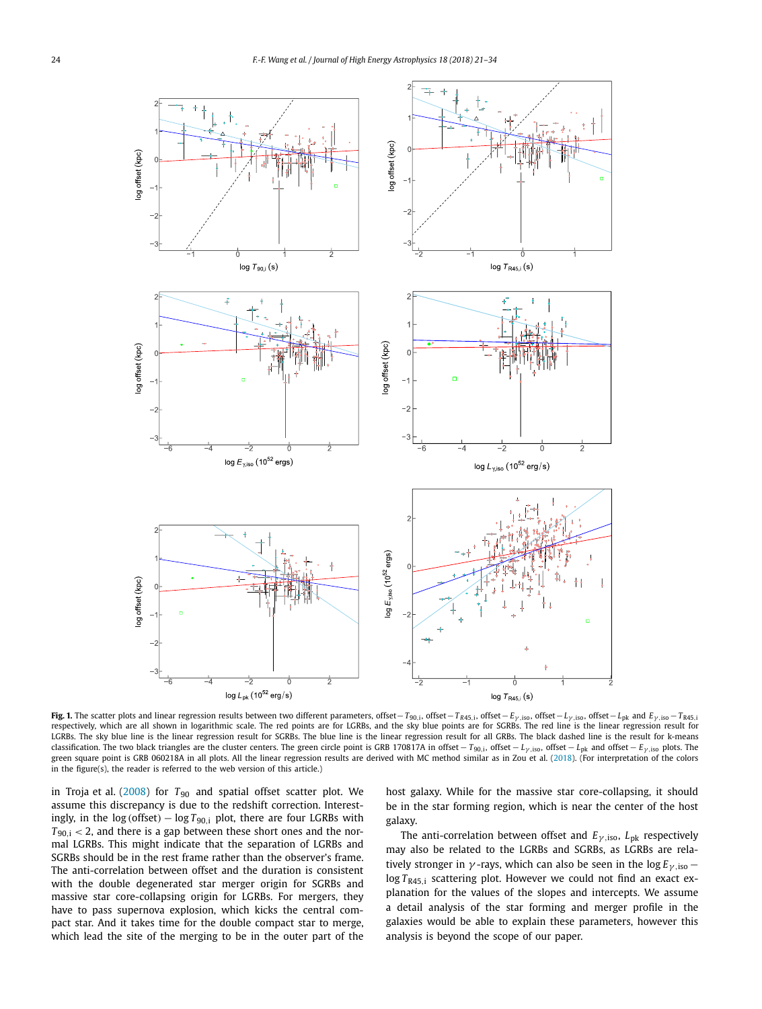

**Fig. 1.** The scatter plots and linear regression results between two different parameters, offset  $-T_{90,i}$ , offset  $-T_{845,i}$ , offset  $-E_{\gamma,iso}$ , offset  $-L_{\gamma,iso}$ , offset  $-L_{\gamma,iso}$ , offset  $-L_{\gamma,iso}$ , offset  $-L_{\gamma,iso}$ , and LGRBs. The sky blue line is the linear regression result for SGRBs. The blue line is the linear regression result for all GRBs. The black dashed line is the result for k-means classification. The two black triangles are the cluster centers. The green circle point is GRB 170817A in offset − *T*90,<sup>i</sup> , offset − *L*<sup>γ</sup> ,iso, offset − *L*pk and offset − *E*<sup>γ</sup> ,iso plots. The green square point is GRB 060218A in all plots. All the linear regression results are derived with MC method similar as in Zou et al. (2018). (For interpretation of the colors in the figure(s), the reader is referred to the web version of this article.)

in Troja et al. (2008) for *T*<sup>90</sup> and spatial offset scatter plot. We assume this discrepancy is due to the redshift correction. Interestingly, in the  $log (offset) - log T_{90,i}$  plot, there are four LGRBs with  $T_{90,i}$  < 2, and there is a gap between these short ones and the normal LGRBs. This might indicate that the separation of LGRBs and SGRBs should be in the rest frame rather than the observer's frame. The anti-correlation between offset and the duration is consistent with the double degenerated star merger origin for SGRBs and massive star core-collapsing origin for LGRBs. For mergers, they have to pass supernova explosion, which kicks the central compact star. And it takes time for the double compact star to merge, which lead the site of the merging to be in the outer part of the

host galaxy. While for the massive star core-collapsing, it should be in the star forming region, which is near the center of the host galaxy.

The anti-correlation between offset and  $E_{\gamma,iso}$ ,  $L_{\rm pk}$  respectively may also be related to the LGRBs and SGRBs, as LGRBs are relatively stronger in  $\gamma$ -rays, which can also be seen in the log  $E_{\gamma,iso}$  – log T<sub>R45,i</sub> scattering plot. However we could not find an exact explanation for the values of the slopes and intercepts. We assume a detail analysis of the star forming and merger profile in the galaxies would be able to explain these parameters, however this analysis is beyond the scope of our paper.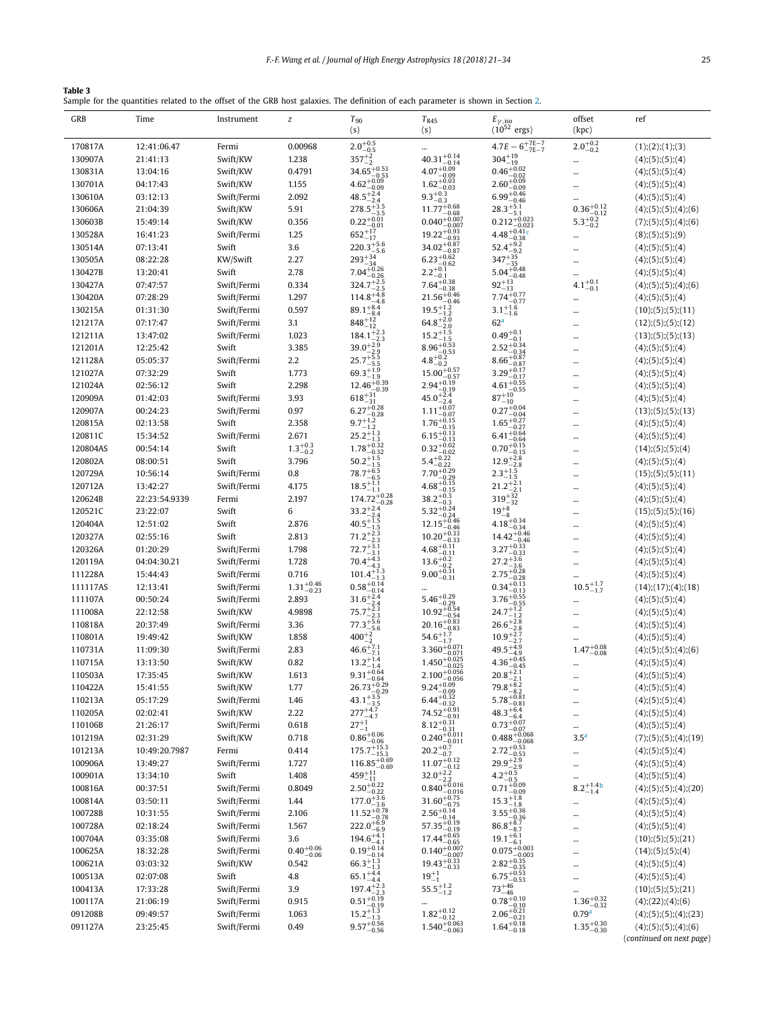| Table 3                                                                                                                           |  |
|-----------------------------------------------------------------------------------------------------------------------------------|--|
| Sample for the quantities related to the offset of the GRB host galaxies. The definition of each parameter is shown in Section 2. |  |

| GRB                | Time                 | Instrument              | z                      | $T_{90}$<br>(s)                                             | $T_{R45}$<br>(s)                                                        | $E_{\gamma, \text{iso}}$<br>$(10^{52} \text{ ergs})$               | offset<br>(kpc)        | ref                                           |
|--------------------|----------------------|-------------------------|------------------------|-------------------------------------------------------------|-------------------------------------------------------------------------|--------------------------------------------------------------------|------------------------|-----------------------------------------------|
|                    |                      |                         |                        |                                                             |                                                                         |                                                                    |                        |                                               |
| 170817A            | 12:41:06.47          | Fermi                   | 0.00968                | $2.0^{+0.5}_{-0.5}$                                         |                                                                         | $6^{+7E-7}_{-7E-7}$<br>4.7E                                        | $2.0^{+0.2}_{-0.2}$    | (1);(2);(1);(3)                               |
| 130907A            | 21:41:13             | Swift/KW                | 1.238                  | $357^{+2}_{-2}$                                             | $40.31^{+0.14}_{-0.14}$<br>$4.07^{+0.09}_{-0.09}$                       | $304^{+19}_{-19}$                                                  |                        | $(4)$ ; $(5)$ ; $(5)$ ; $(4)$                 |
| 130831A            | 13:04:16             | Swift/KW                | 0.4791                 | $34.65^{+0.53}_{-0.53}$                                     | $-0.09$                                                                 | $0.46^{+0.02}_{-0.02}$                                             |                        | $(4)$ ; $(5)$ ; $(5)$ ; $(4)$                 |
| 130701A            | 04:17:43             | Swift/KW                | 1.155                  | $4.62^{+0.09}_{-0.09}$                                      | $1.62^{+0.03}_{-0.03}$<br>$9.3^{+0.3}_{-0.2}$                           | $2.60^{+0.09}_{-0.09}$                                             |                        | $(4)$ ; $(5)$ ; $(5)$ ; $(4)$                 |
| 130610A            | 03:12:13             | Swift/Fermi             | 2.092                  | $48.5^{+2.4}_{-2.4}$                                        | $-0.3$                                                                  | $6.99^{+0.46}_{-0.46}$                                             |                        | $(4)$ ; $(5)$ ; $(5)$ ; $(4)$                 |
| 130606A            | 21:04:39             | Swift/KW                | 5.91                   | $278.5^{+3.5}_{-3.5}$                                       | $11.77^{+0.68}_{-0.68}$                                                 | $28.3^{+5.1}_{-5.1}$                                               | $0.36_{-0.12}^{+0.12}$ | (4); (5); (5); (4); (6)                       |
| 130603B            | 15:49:14             | Swift/KW                | 0.356                  | $0.22^{+0.01}_{-0.01}$                                      | $0.040^{+0.007}_{0.007}$<br>$-0.007$                                    | $0.212_{-0.023}^{+0.023}$<br>4.48 <sup>+0.41</sup> c               | $5.3^{+0.2}_{-0.2}$    | (7); (5); (5); (4); (6)                       |
| 130528A            | 16:41:23             | Swift/Fermi             | 1.25                   | $652^{+17}_{-17}$                                           | $19.22^{+0.93}_{-0.02}$<br>$-0.93$                                      | -0.38                                                              |                        | (8); (5); (5); (9)                            |
| 130514A            | 07:13:41             | Swift                   | 3.6                    | $220.3^{+5.6}_{-5.6}$                                       | $34.02^{+0.87}_{-0.07}$<br>$-0.87$                                      | $52.4^{+9.2}_{-9.2}$                                               |                        | $(4)$ ; $(5)$ ; $(5)$ ; $(4)$                 |
| 130505A            | 08:22:28             | KW/Swift                | 2.27                   | $293^{+34}_{-34}$                                           | $6.23^{+0.62}_{-0.62}$                                                  | $347^{+35}_{-35}$                                                  |                        | $(4)$ ; $(5)$ ; $(5)$ ; $(4)$                 |
| 130427B            | 13:20:41             | Swift                   | 2.78                   | $7.04^{+0.26}_{-0.26}$                                      | $2.2^{+0.1}_{-0.1}$<br>$-0.1$                                           | $5.04_{-0.48}^{+0.48}$                                             | $+0.1$                 | $(4)$ ; $(5)$ ; $(5)$ ; $(4)$                 |
| 130427A            | 07:47:57             | Swift/Fermi             | 0.334                  | $324.7^{+2.5}_{-2.7}$<br>$-2.5$                             | $7.64_{-0.38}^{+0.38}$                                                  | $92^{+13}_{-13}$                                                   | 4.1<br>$-0.1$          | (4);(5);(5);(4);(6)                           |
| 130420A            | 07:28:29             | Swift/Fermi             | 1.297                  | $114.8^{+4.8}_{-4.8}$<br>$+8.4$                             | $21.56_{-0.46}^{+0.46}$<br>$19.5^{+1.2}_{-1.2}$                         | $7.74^{+0.77}_{-0.77}$<br>$3.1^{+1.6}_{-1.6}$                      |                        | (4); (5); (5); (4)                            |
| 130215A            | 01:31:30             | Swift/Fermi             | 0.597                  | 89.1<br>$-8.4$<br>$848^{+12}_{-12}$                         | $64.8^{+2.0}_{-2.0}$                                                    | $-1.6$                                                             |                        | (10); (5); (5); (11)                          |
| 121217A            | 07:17:47             | Swift/Fermi             | 3.1                    | $-12$                                                       | -2.0<br>$15.2^{+\overline{1}.\overline{5}}$                             | 62 <sup>a</sup><br>$0.49^{+0.1}_{-0.1}$                            |                        | (12); (5); (5); (12)                          |
| 121211A            | 13:47:02             | Swift/Fermi             | 1.023                  | $184.1^{+2.3}_{-2.2}$<br>-23<br>$39.0^{+2.9}_{-2.2}$        | $8.96^{+0.53}_{-0.52}$                                                  | $-0.1$<br>$2.52^{+0.34}_{-0.34}$                                   |                        | (13); (5); (5); (13)                          |
| 121201A            | 12:25:42             | Swift                   | 3.385                  | $-2.9$                                                      | $-0.53$<br>$4.8^{+0.2}_{-0.2}$                                          | $-0.34$<br>$8.66^{+0.87}_{-0.07}$                                  |                        | $(4)$ ; $(5)$ ; $(5)$ ; $(4)$                 |
| 121128A            | 05:05:37             | Swift/Fermi             | $2.2\,$                | $25.7^{+5.5}_{-5.5}$<br>$69.3^{+\overline{1}.\overline{9}}$ | $15.00^{+0.57}_{-0.77}$                                                 | $-0.87$<br>$3.29^{+0.17}_{-0.17}$                                  |                        | $(4)$ ; $(5)$ ; $(5)$ ; $(4)$                 |
| 121027A            | 07:32:29             | Swift                   | 1.773                  | $12.46^{+0.39}_{-0.20}$                                     | -0.57<br>$2.94^{+0.19}_{-0.19}$                                         | -0.17<br>$4.61^{+0.55}_{-0.72}$                                    |                        | $(4)$ ; $(5)$ ; $(5)$ ; $(4)$                 |
| 121024A            | 02:56:12             | Swift                   | 2.298                  | -0.39                                                       | $-0.19$                                                                 | $-0.55$                                                            |                        | $(4)$ ; $(5)$ ; $(5)$ ; $(4)$                 |
| 120909A            | 01:42:03             | Swift/Fermi             | 3.93                   | $618^{+31}_{-21}$                                           | $45.0^{+2.4}_{-2.4}$<br>$-2.4$<br>$+0.07$                               | $87^{+10}_{-10}$<br>$0.27^{+0.04}_{-0.01}$                         |                        | $(4)$ ; $(5)$ ; $(5)$ ; $(4)$                 |
| 120907A            | 00:24:23             | Swift/Fermi             | 0.97                   | $6.27^{+0.28}_{-0.28}$                                      | 1.11<br>$-0.07$                                                         | $-0.04$<br>$1.65 + 0.27$                                           |                        | (13); (5); (5); (13)                          |
| 120815A            | 02:13:58             | Swift                   | 2.358                  | $9.7^{+1.2}_{-1.2}$<br>$25.2^{+1.3}_{-1.2}$                 | $1.76^{+0.15}_{-0.15}$                                                  | $-0.27$                                                            |                        | $(4)$ ; $(5)$ ; $(5)$ ; $(4)$                 |
| 120811C            | 15:34:52             | Swift/Fermi             | 2.671                  | $-1.3$<br>$1.78^{+0.32}_{-0.32}$                            | $6.15^{+\nu.12}_{-0.13}$<br>$0.32^{+0.02}_{-0.02}$                      | $6.41_{-0.64}^{+0.64}$<br>$0.70^{+0.15}_{-0.12}$                   |                        | $(4)$ ; $(5)$ ; $(5)$ ; $(4)$                 |
| 120804AS           | 00:54:14             | Swift                   | $1.3^{+0.3}_{-0.2}$    | $50.2^{+1.5}_{-1.5}$                                        | $-0.02$                                                                 | $-0.15$<br>$12.9^{+2.8}_{-2.8}$                                    |                        | (14); (5); (5); (4)                           |
| 120802A            | 08:00:51             | Swift                   | 3.796                  | -1.5<br>$78.7^{+6.5}_{-6.7}$                                | $5.4^{+0.22}_{-0.22}$<br>$7.70^{+0.29}_{-0.22}$                         | $-2.8$                                                             |                        | $(4)$ ; $(5)$ ; $(5)$ ; $(4)$                 |
| 120729A            | 10:56:14             | Swift/Fermi             | 0.8                    | $-6.5$                                                      | -0.29<br>$4.68^{+0.15}_{-0.15}$                                         | $2.3^{+1.5}_{-1.5}$                                                |                        | (15); (5); (5); (11)                          |
| 120712A            | 13:42:27             | Swift/Fermi             | 4.175                  | $18.5^{+1.1}_{-1.1}$                                        |                                                                         | $21.2^{+2.1}_{-2.1}$<br>$319^{+32}_{-22}$                          |                        | $(4)$ ; $(5)$ ; $(5)$ ; $(4)$                 |
| 120624B            | 22:23:54.9339        | Fermi                   | 2.197<br>6             | $174.72_{-0.28}^{+0.28}$                                    | $38.2^{+0.3}_{-0.3}$<br>$5.32^{+0.24}_{-0.24}$                          | $-32$                                                              |                        | $(4)$ ; $(5)$ ; $(5)$ ; $(4)$                 |
| 120521C            | 23:22:07             | Swift                   |                        | $33.2^{+2.4}_{-2.4}$                                        | $-0.24$                                                                 | $19^{+8}_{-8}$                                                     |                        | (15); (5); (5); (16)                          |
| 120404A            | 12:51:02             | Swift                   | 2.876                  | $40.5^{+1.5}_{-1.5}$                                        | $12.15^{+0.46}_{-0.46}$<br>$10.20^{+0.33}_{-0.33}$                      | $4.18^{+0.34}_{-0.34}$<br>$14.42^{+0.46}_{-0.46}$                  |                        | $(4)$ ; $(5)$ ; $(5)$ ; $(4)$                 |
| 120327A            | 02:55:16             | Swift                   | 2.813                  | $71.2^{+2.3}_{-2.3}$                                        | $4.68^{+0.11}_{-0.11}$                                                  | $+0.33$                                                            |                        | $(4)$ ; $(5)$ ; $(5)$ ; $(4)$                 |
| 120326A            | 01:20:29             | Swift/Fermi             | 1.798                  | $72.7^{+3.1}_{-3.1}$                                        | -0.11                                                                   | 3.27<br>$-0.33$<br>$27.2^{+3.6}_{-2.6}$                            |                        | $(4)$ ; $(5)$ ; $(5)$ ; $(4)$                 |
| 120119A            | 04:04:30.21          | Swift/Fermi             | 1.728<br>0.716         | $70.4^{+4.3}_{-4.3}$<br>$101.4^{+1.3}_{-1.2}$               | $13.6^{+0.2}_{-0.2}$<br>$9.00^{+0.31}_{-0.21}$                          | -3.6                                                               |                        | $(4)$ ; $(5)$ ; $(5)$ ; $(4)$                 |
| 111228A            | 15:44:43             | Swift/Fermi             | $1.31^{+0.46}_{-0.23}$ | $0.58^{+0.14}_{-0.14}$                                      | $-0.31$                                                                 | $2.75^{+0.28}_{-0.28}$                                             |                        | $(4)$ ; $(5)$ ; $(5)$ ; $(4)$                 |
| 111117AS           | 12:13:41<br>00:50:24 | Swift/Fermi             |                        | $-0.14$<br>$31.6^{+2.4}_{-2.4}$                             |                                                                         | $0.34^{+0.13}_{-0.13}$<br>$3.76^{+0.55}_{-0.55}$                   | $10.5^{+1.7}_{-1.7}$   | (14); (17); (4); (18)                         |
| 111107A<br>111008A |                      | Swift/Fermi             | 2.893<br>4.9898        | $-2.4$                                                      | $5.46^{+0.29}_{-0.29}$<br>$10.92^{+0.54}_{-0.54}$                       | $-0.55$                                                            |                        | $(4)$ ; $(5)$ ; $(5)$ ; $(4)$                 |
|                    | 22:12:58<br>20:37:49 | Swift/KW                | 3.36                   | $75.7^{+2.3}_{-2.3}$<br>$77.3^{+5.6}_{-5.6}$                | $-0.54$                                                                 | $24.7^{+1.2}_{-1.2}$<br>$26.6^{+2.8}_{-2.8}$                       |                        | $(4)$ ; $(5)$ ; $(5)$ ; $(4)$                 |
| 110818A            |                      | Swift/Fermi             | 1.858                  | $-5.6$<br>$400^{+2}_{-2}$                                   | $20.16_{-0.83}^{+0.83}$<br>$54.6^{+1.7}_{-1.7}$                         | -2.8<br>$10.9^{+2.7}_{-2.7}$                                       |                        | $(4)$ ; $(5)$ ; $(5)$ ; $(4)$                 |
| 110801A<br>110731A | 19:49:42<br>11:09:30 | Swift/KW<br>Swift/Fermi | 2.83                   | $46.6^{+7.1}_{-7.1}$                                        | $3.360^{+0.071}_{-0.071}$                                               | $49.5 + 4.9$                                                       | $1.47^{+0.08}_{-0.08}$ | (4); (5); (5); (4)<br>(4); (5); (5); (4); (6) |
| 110715A            | 13:13:50             | Swift/KW                | 0.82                   | $13.2^{+1.4}_{-1.4}$                                        | -0.071<br>$1.450^{+0.025}_{-0.025}$                                     | $-4.9$<br>$4.36^{+0.45}_{-0.45}$                                   | $-0.08$                | (4); (5); (5); (4)                            |
| 110503A            | 17:35:45             | Swift/KW                | 1.613                  |                                                             |                                                                         |                                                                    |                        | (4);(5);(5);(4)                               |
| 110422A            | 15:41:55             | Swift/KW                | 1.77                   | $9.31_{-0.64}^{+0.64}$<br>$26.73_{-0.29}^{+0.29}$           | $2.100^{+0.056}_{-0.056}$                                               | $79.8_{-8.2}^{+2.1}$ $79.8_{-8.2}^{+8.2}$ $5.78_{-0.81}^{+0.81}$   |                        | $(4)$ ; $(5)$ ; $(5)$ ; $(4)$                 |
| 110213A            | 05:17:29             | Swift/Fermi             | 1.46                   | $43.1^{+3.5}_{-3.5}$                                        | 9.24 <sup>+0.09</sup><br>6.44 <sup>+0.09</sup><br>6.44 <sup>+0.32</sup> |                                                                    |                        | $(4)$ ; $(5)$ ; $(5)$ ; $(4)$                 |
| 110205A            | 02:02:41             | Swift/KW                | 2.22                   | $277^{+4.7}_{-4.7}$                                         | 74.52 $+0.91$                                                           | $48.3^{+6.4}_{-6.4}$                                               |                        | $(4)$ ; $(5)$ ; $(5)$ ; $(4)$                 |
| 110106B            | 21:26:17             | Swift/Fermi             | 0.618                  | $27^{+1}_{-1}$                                              | $8.12_{-0.31}^{+0.31}$                                                  | $0.73_{-0.07}^{+0.07}$                                             |                        | (4); (5); (5); (4)                            |
| 101219A            | 02:31:29             | Swift/KW                | 0.718                  | $0.86^{+0.06}_{-0.06}$                                      |                                                                         | $0.488_{-0.068}^{+0.068}$                                          | <br>3.5 <sup>a</sup>   | (7);(5);(5);(4);(19)                          |
| 101213A            | 10:49:20.7987        | Fermi                   | 0.414                  | $175.7^{+15.3}_{-15.3}$                                     | $0.240^{+0.011}_{-0.011}$<br>$20.2^{+0.7}_{-0.7}$                       | $2.72^{+0.53}_{-0.53}$                                             |                        | $(4)$ ; $(5)$ ; $(5)$ ; $(4)$                 |
| 100906A            | 13:49:27             | Swift/Fermi             | 1.727                  | $116.85_{-0.69}^{+0.69}$                                    |                                                                         |                                                                    | <br>                   | $(4)$ ; $(5)$ ; $(5)$ ; $(4)$                 |
| 100901A            | 13:34:10             | Swift                   | 1.408                  | $459^{+11}_{-11}$                                           | $11.07_{-0.12}^{+0.12}$ $32.0_{-2.2}^{+2.2}$                            | 29.9 <sup>+2.9</sup><br>4.2 <sup>+0.5</sup><br>4.2 <sup>-0.5</sup> |                        | $(4)$ ; $(5)$ ; $(5)$ ; $(4)$                 |
| 100816A            | 00:37:51             | Swift/Fermi             | 0.8049                 | $2.50^{+0.22}_{-0.22}$                                      | $0.840_{-0.016}^{+0.016}$                                               | $0.71^{+0.09}_{-0.09}$                                             | $8.2^{+1.4b}_{-1.4}$   | (4); (5); (5); (4); (20)                      |
| 100814A            | 03:50:11             | Swift/Fermi             | 1.44                   | $177.0^{+3.6}_{-3.6}$                                       | $31.60^{+0.75}_{-0.75}$                                                 | $15.3^{+1.8}_{-1.8}$                                               |                        | $(4)$ ; $(5)$ ; $(5)$ ; $(4)$                 |
| 100728B            | 10:31:55             | Swift/Fermi             | 2.106                  | $11.52_{-0.78}^{+0.78}$                                     | $2.56^{+0.14}_{-0.14}$                                                  | $3.55^{+0.36}_{-0.36}$                                             |                        | $(4)$ ; $(5)$ ; $(5)$ ; $(4)$                 |
| 100728A            | 02:18:24             | Swift/Fermi             | 1.567                  | $222.0^{+6.9}_{-6.9}$                                       | $57.35^{+0.19}_{-0.19}$                                                 | $86.8^{+8.7}_{-8.7}$                                               |                        | $(4)$ ; $(5)$ ; $(5)$ ; $(4)$                 |
| 100704A            | 03:35:08             | Swift/Fermi             | 3.6                    | $194.6^{+4.1}_{-4.1}$                                       | $17.44^{+0.65}_{-0.65}$                                                 | $19.1^{+6.1}_{-6.1}$                                               |                        | (10); (5); (5); (21)                          |
| 100625A            | 18:32:28             | Swift/Fermi             | $0.40^{+0.06}_{-0.06}$ | $0.19^{+0.14}_{-0.14}$                                      | $0.140^{+0.007}_{-0.007}$                                               | $0.075_{-0.003}^{+0.003}$                                          |                        | (14); (5); (5); (4)                           |
| 100621A            | 03:03:32             | Swift/KW                | 0.542                  | $66.3^{+1.3}_{-1.3}$                                        | $19.43_{-0.33}^{+0.33}$                                                 | $2.82^{+0.35}_{-0.35}$                                             |                        | $(4)$ ; $(5)$ ; $(5)$ ; $(4)$                 |
| 100513A            | 02:07:08             | Swift                   | 4.8                    | $65.1^{+4.4}_{-4.4}$                                        | $19^{+1}_{-1}$                                                          | $6.75^{+0.53}_{-0.53}$                                             |                        | $(4)$ ; $(5)$ ; $(5)$ ; $(4)$                 |
| 100413A            | 17:33:28             | Swift/Fermi             | 3.9                    | $197.4^{+2.3}_{-2.3}$                                       | $55.5^{+1.2}_{-1.2}$                                                    | $73^{+46}_{-46}$                                                   |                        | (10); (5); (5); (21)                          |
| 100117A            | 21:06:19             | Swift/Fermi             | 0.915                  | $0.51_{-0.19}^{+0.19}$                                      |                                                                         | $0.78^{+0.10}_{-0.10}$                                             | $1.36^{+0.32}_{-0.32}$ | $(4)$ ; $(22)$ ; $(4)$ ; $(6)$                |
| 091208B            | 09:49:57             | Swift/Fermi             | 1.063                  | $15.2^{+1.3}_{-1.3}$                                        | $1.82^{+0.12}_{-0.12}$                                                  | $2.06_{-0.21}^{+0.21}$                                             | 0.79 <sup>a</sup>      | (4); (5); (5); (4); (23)                      |
| 091127A            | 23:25:45             | Swift/Fermi             | 0.49                   | $9.57^{+0.56}_{-0.56}$                                      | $1.540_{-0.063}^{+0.063}$                                               | $1.64^{+0.18}_{-0.18}$                                             | $1.35^{+0.30}_{-0.30}$ | $(4)$ ; $(5)$ ; $(5)$ ; $(4)$ ; $(6)$         |
|                    |                      |                         |                        |                                                             |                                                                         |                                                                    |                        | (continued on next page)                      |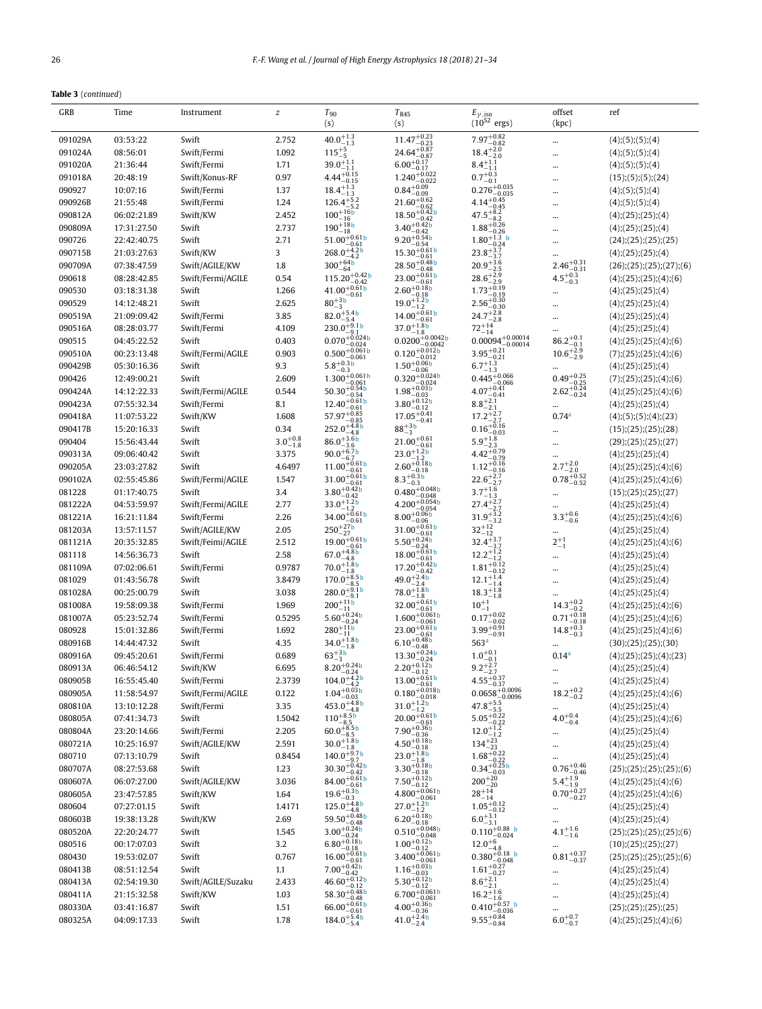| <b>Table 3</b> (continued) |
|----------------------------|
|                            |

| GRB                | Time                       | Instrument                 | $\boldsymbol{z}$    | $T_{90}$<br>(s)                                               | $T_{R45}$<br>(s)                                                       | $E_{\gamma, \text{iso}}$<br>$(10^{52} \text{ ergs})$                                                  | offset<br>(kpc)                   | ref                                                              |
|--------------------|----------------------------|----------------------------|---------------------|---------------------------------------------------------------|------------------------------------------------------------------------|-------------------------------------------------------------------------------------------------------|-----------------------------------|------------------------------------------------------------------|
| 091029A            | 03:53:22                   | Swift                      | 2.752               | $40.0^{+1.3}_{-1.3}$                                          |                                                                        | $7.97^{+0.82}_{-0.82}$                                                                                |                                   | (4);(5);(5);(4)                                                  |
| 091024A            | 08:56:01                   | Swift/Fermi                | 1.092               | $115^{+5}_{-5}$                                               | 11.47 <sup>+0.23</sup><br>24.64 <sup>+0.87</sup><br>$^{10.23}_{-0.87}$ | $18.4^{+2.0}_{-2.0}$<br>-2.0                                                                          |                                   | $(4)$ ; $(5)$ ; $(5)$ ; $(4)$                                    |
| 091020A            | 21:36:44                   | Swift/Fermi                | 1.71                | $39.0^{+1.1}_{-1.1}$                                          | $6.00^{+0.17}_{-0.17}$<br>$-0.17$                                      | $8.4^{+1.1}$<br>$^{-1.1}$                                                                             |                                   | $(4)$ ; $(5)$ ; $(5)$ ; $(4)$                                    |
| 091018A            | 20:48:19                   | Swift/Konus-RF             | 0.97                | $4.44^{+0.15}_{-0.15}$                                        | $1.240_{-0.022}^{+0.022}$                                              | $0.7^{+0.3}_{-0.1}$                                                                                   |                                   | (15); (5); (5); (24)                                             |
| 090927             | 10:07:16                   | Swift/Fermi                | 1.37                | $18.4^{+1.3}_{-1.3}$                                          | $0.84^{+0.09}_{-0.09}$                                                 | $0.276_{-0.035}^{+0.035}$                                                                             |                                   | (4); (5); (5); (4)                                               |
| 090926B            | 21:55:48                   | Swift/Fermi                | 1.24                | $126.4^{+5.2}_{-5.2}$                                         | $21.60^{+0.62}_{-0.62}$<br>$-0.62$                                     | $+0.45$<br>4.14<br>$-0.45$                                                                            |                                   | $(4)$ ; $(5)$ ; $(5)$ ; $(4)$                                    |
| 090812A            | 06:02:21.89                | Swift/KW                   | 2.452               | $100\substack{+16\mathrm{b}\\-16}$                            | $18.50^{+0.42}_{-0.42}$                                                | $47.5^{+8.2}_{-8.2}$<br>$-8.2$                                                                        |                                   | $(4)$ ; $(25)$ ; $(25)$ ; $(4)$                                  |
| 090809A            | 17:31:27.50                | Swift                      | 2.737               | $190^{+18}_{-12}$<br>-18                                      | $3.40^{+0.42}_{-0.42}$<br>$-0.42$                                      | $1.88^{+0.26}_{-0.26}$                                                                                |                                   | $(4)$ ; $(25)$ ; $(25)$ ; $(4)$                                  |
| 090726             | 22:42:40.75                | Swift                      | 2.71                | $51.00_{-0.61}^{+0.61}$                                       | $9.20^{+0.54}_{-0.74}$<br>$-0.54$                                      | $1.80^{+1.3}_{-0.24}$ b<br>$-0.24$                                                                    |                                   | $(24)$ ; $(25)$ ; $(25)$ ; $(25)$                                |
| 090715B            | 21:03:27.63                | Swift/KW                   | 3                   | $268.0^{+4.2b}_{-4.2}$                                        | $15.30^{+0.61b}_{-0.61b}$<br>$-0.61$                                   | $23.8^{+3.7}_{-2.7}$                                                                                  |                                   | $(4)$ ; $(25)$ ; $(25)$ ; $(4)$                                  |
| 090709A            | 07:38:47.59                | Swift/AGILE/KW             | 1.8                 | $300+64b$<br>-64                                              | $28.50^{+0.48}_{-0.40}$<br>-0.48                                       | $20.9^{+3.6}_{-2.7}$<br>$-2.5$                                                                        | $2.46_{-0.31}^{+0.31}$            | (26)(25)(25)(27)(6)                                              |
| 090618             | 08:28:42.85                | Swift/Fermi/AGILE          | 0.54                | $115.20_{-0.42}^{+0.42}$                                      | $23.00_{-0.61}^{+0.61}$                                                | $28.6^{+2.9}_{-2.9}$                                                                                  | $4.5^{+0.3}_{-0.3}$               | $(4)$ ; $(25)$ ; $(25)$ ; $(4)$ ; $(6)$                          |
| 090530             | 03:18:31.38                | Swift                      | 1.266               | $41.00^{+0.61b}_{-0.61}$                                      | $2.60^{+0.18}_{-0.18}$                                                 | $1.73^{+0.19}_{-0.19}$                                                                                |                                   | $(4)$ ; $(25)$ ; $(25)$ ; $(4)$                                  |
| 090529             | 14:12:48.21                | Swift                      | 2.625               | $80^{+3}_{-3}$<br>$82.0^{+5.4b}_{-5.4}$                       | $19.0^{+1.2}_{-1.2}$                                                   | $2.56^{+0.30}_{-0.30}$                                                                                |                                   | $(4)$ ; $(25)$ ; $(25)$ ; $(4)$                                  |
| 090519A<br>090516A | 21:09:09.42<br>08:28:03.77 | Swift/Fermi<br>Swift/Fermi | 3.85<br>4.109       | $-5.4$<br>$230.0^{+9.1b}_{-0.1}$                              | $14.00_{-0.61}^{+0.61}$<br>$37.0^{+1.8}_{-1.8}$                        | $24.7^{+2.8}_{-2.8}$                                                                                  |                                   | $(4)$ ; $(25)$ ; $(25)$ ; $(4)$                                  |
| 090515             | 04:45:22.52                | Swift                      | 0.403               | -9.1<br>$0.070^{+0.024}_{-0.024}$                             | $0.0200^{+0.0042}_{-0.0042}$                                           | $72^{+14}_{-14}$<br>$0.00094^{+0.00014}_{-0.00014}$                                                   | <br>$86.2^{+0.1}_{-0.1}$          | $(4)$ ; $(25)$ ; $(25)$ ; $(4)$                                  |
| 090510A            | 00:23:13.48                | Swift/Fermi/AGILE          | 0.903               | $0.500^{+0.061}_{-0.061}$                                     | $0.120^{+0.012}_{-0.012}$                                              | $3.95^{+0.21}_{-0.21}$                                                                                | $10.6^{+2.9}_{-2.9}$              | $(4)$ ; $(25)$ ; $(25)$ ; $(4)$ ; $(6)$<br>(7);(25);(25);(4);(6) |
| 090429B            | 05:30:16.36                | Swift                      | 9.3                 | $5.8^{+0.3b}_{-0.3}$                                          | $1.50^{+0.06}_{-0.06}$                                                 | $6.7^{+1.3}_{-1.3}$                                                                                   |                                   | $(4)$ ; $(25)$ ; $(25)$ ; $(4)$                                  |
| 090426             | 12:49:00.21                | Swift                      | 2.609               | $1.300 + 0.061b$                                              | $-0.06$<br>$0.320^{+0.024}_{-0.024}$                                   | $0.445^{+0.066}_{-0.066}$                                                                             | <br>$0.49^{+0.25}_{-0.27}$        | (7); (25); (25); (4); (6)                                        |
| 090424A            | 14:12:22.33                | Swift/Fermi/AGILE          | 0.544               | $-0.061$<br>$50.30^{+0.54}_{-0.74}$                           | $1.98^{+0.03}_{-0.03}$                                                 | $4.07^{+0.41}_{-0.41}$                                                                                | $-0.25$<br>$2.62^{+0.24}_{-0.24}$ | $(4)$ ; $(25)$ ; $(25)$ ; $(4)$ ; $(6)$                          |
| 090423A            | 07:55:32.34                | Swift/Fermi                | 8.1                 | $-0.54$<br>$12.40^{+0.61}_{-0.61}$                            | $3.80^{+0.12}_{-0.12}$                                                 | $8.8^{+2.1}_{-2.1}$                                                                                   |                                   | $(4)$ ; $(25)$ ; $(25)$ ; $(4)$                                  |
| 090418A            | 11:07:53.22                | Swift/KW                   | 1.608               | $-0.61$<br>$+0.85$<br>57.97                                   | $-0.12$<br>$17.05_{-0.41}^{+0.41}$                                     | $-2.1$<br>$17.2^{+2.7}_{-2.7}$                                                                        | 0.74 <sup>a</sup>                 | $(4)$ ; $(5)$ ; $(5)$ ; $(4)$ ; $(23)$                           |
| 090417B            | 15:20:16.33                | Swift                      | 0.34                | $-0.85$<br>$252.0^{+4.8}_{-4.8}$                              | $88^{+3}_{-3}$                                                         | $-2.7$<br>$0.16^{+0.16}_{-0.22}$                                                                      |                                   | (15); (25); (25); (28)                                           |
| 090404             | 15:56:43.44                | Swift                      | $3.0^{+0.8}_{-1.8}$ | -4.8<br>$86.0^{+3.0}_{-3.0}$<br>-3.6                          | $21.00^{+0.61}_{-0.61}$                                                | $5.9^{+1.8}_{-2.8}$<br>-2.3                                                                           |                                   | (29)(25)(25)(27)                                                 |
| 090313A            | 09:06:40.42                | Swift                      | 3.375               | $90.0^{+\bar{6}.\bar{7}_b}_{\;\;\;\;\;\;\;\;}$                | $23.0^{+1.2}_{-1.2}$                                                   | $4.42^{+0.79}_{-0.79}$                                                                                |                                   | $(4)$ ; $(25)$ ; $(25)$ ; $(4)$                                  |
| 090205A            | 23:03:27.82                | Swift                      | 4.6497              | $11.00^{+0.61}$<br>-0.61                                      | $2.60^{+0.18}_{-0.18}$<br>$-0.18$                                      | $1.12^{+0.16}_{-0.16}$<br>-0.16                                                                       | $2.7^{+2.0}_{-2.2}$<br>$-2.0$     | $(4)$ ; $(25)$ ; $(25)$ ; $(4)$ ; $(6)$                          |
| 090102A            | 02:55:45.86                | Swift/Fermi/AGILE          | 1.547               | $31.00^{+0.61}_{-0.01}$<br>-0.61                              | $8.3^{+0.3}_{-0.3}$                                                    | $22.6^{+2.7}_{-2.7}$                                                                                  | $0.78_{-0.52}^{+0.52}$            | $(4)$ ; $(25)$ ; $(25)$ ; $(4)$ ; $(6)$                          |
| 081228             | 01:17:40.75                | Swift                      | 3.4                 | $3.80^{+0.42}_{-0.42}$<br>-0.42                               | $0.480_{-0.048}^{+0.048}$                                              | $3.7^{+1.6}_{-1.6}$<br>$-1.3$                                                                         |                                   | (15); (25); (25); (27)                                           |
| 081222A            | 04:53:59.97                | Swift/Fermi/AGILE          | 2.77                | $33.0^{+\overline{1}\cdot\overline{2}\overline{b}}$<br>$-1.2$ | $4.200^{+0.054}$<br>$-0.054$                                           | $27.4^{+2.7}_{-2.7}$<br>$-2.7$                                                                        |                                   | (4);(25);(25);(4)                                                |
| 081221A            | 16:21:11.84                | Swift/Fermi                | 2.26                | $34.00_{-0.61}^{+0.61}$                                       | $8.00^{+0.06b}_{-0.06b}$<br>$-0.06$                                    | $31.9^{+3.2}_{-2.2}$<br>$-3.2$                                                                        | $3.3^{+0.6}_{-0.2}$<br>$-0.6$     | $(4)$ ; $(25)$ ; $(25)$ ; $(4)$ ; $(6)$                          |
| 081203A            | 13:57:11.57                | Swift/AGILE/KW             | 2.05                | $250^{+27b}_{-27}$                                            | $31.00_{-0.61}^{+0.61}$                                                | $32^{+12}_{-12}$                                                                                      |                                   | $(4)$ ; $(25)$ ; $(25)$ ; $(4)$                                  |
| 081121A            | 20:35:32.85                | Swift/Feimi/AGILE          | 2.512               | $19.00^{+0.61b}_{-0.01}$<br>$-0.61$                           | $5.50^{+0.24b}_{-0.24b}$<br>$-0.24$                                    | $32.4^{+3.7}_{-2.7}$<br>$-3.7$                                                                        | $2^{+1}_{-1}$                     | $(4)$ ; $(25)$ ; $(25)$ ; $(4)$ ; $(6)$                          |
| 081118             | 14:56:36.73                | Swift                      | 2.58                | $67.0^{+4.8}_{-4.8}$                                          | $18.00^{+0.61b}_{-0.01}$<br>-0.61                                      | $12.2^{+1.2}_{-1.2}$<br>$-1.2$                                                                        |                                   | $(4)$ ; $(25)$ ; $(25)$ ; $(4)$                                  |
| 081109A            | 07:02:06.61                | Swift/Fermi                | 0.9787              | $\mathbf{70.0}^{+1.8}_{-1.8}$                                 | $17.20_{-0.42}^{+0.42}$                                                | $1.81^{+0.12}_{-0.12}$                                                                                |                                   | $(4)$ ; $(25)$ ; $(25)$ ; $(4)$                                  |
| 081029             | 01:43:56.78                | Swift                      | 3.8479              | $170.0^{+8.5}_{-8.5}$<br>$-8.5$                               | $49.0^{+2.4}_{-2.4}$                                                   | $12.1^{+1.4}_{-1.4}$                                                                                  |                                   | $(4)$ ; $(25)$ ; $(25)$ ; $(4)$                                  |
| 081028A            | 00:25:00.79                | Swift                      | 3.038               | $280.0^{+9.1}_{-9.1}$                                         | $78.0^{+1.8}_{-1.8}$                                                   | $18.3^{+1.8}_{-1.8}$                                                                                  |                                   | $(4)$ ; $(25)$ ; $(25)$ ; $(4)$                                  |
| 081008A            | 19:58:09.38                | Swift/Fermi                | 1.969               | $200^{+11b}_{-11}$                                            | $32.00_{-0.61}^{+0.61}$                                                | $10^{+1}_{-1}$                                                                                        | $14.3^{+0.2}_{-0.2}$              | $(4)$ ; $(25)$ ; $(25)$ ; $(4)$ ; $(6)$                          |
| 081007A            | 05:23:52.74                | Swift/Fermi                | 0.5295              | $5.60^{+0.24}_{-0.24}$                                        | $1.600^{+0.061}_{-0.061}$                                              | $0.17^{+0.02}_{-0.02}$                                                                                | $0.71^{+0.18}_{-0.72}$            | $(4)$ ; $(25)$ ; $(25)$ ; $(4)$ ; $(6)$                          |
| 080928             | 15:01:32.86                | Swift/Fermi                | 1.692               | $280^{+11b}_{-11}$                                            | $23.00^{+0.61}_{-0.61}$<br>$-0.61$<br>$6.10^{+0.48}_{-0.48}$           | $3.99^{+0.91}_{-0.91}$                                                                                | $14.8^{+0.3}_{-0.3}$              | $(4)$ ; $(25)$ ; $(25)$ ; $(4)$ ; $(6)$                          |
| 080916B            | 14:44:47.32                | Swift                      | 4.35                | $34.0^{+1.8}_{-1.8}$<br>$63 + \frac{3}{2}b$                   | $-0.48$<br>$13.30^{+0.24b}_{-0.34}$                                    | 563 <sup>a</sup><br>$1.0^{+0.1}_{-0.2}$                                                               |                                   | (30); (25); (25); (30)                                           |
| 080916A            | 09:45:20.61                | Swift/Fermi                | 0.689               |                                                               | 0.24                                                                   |                                                                                                       | 0.14 <sup>a</sup>                 | $(4)$ ; $(25)$ ; $(25)$ ; $(4)$ ; $(23)$                         |
| 080913A<br>080905B | 06:46:54.12<br>16:55:45.40 | Swift/KW<br>Swift/Fermi    | 6.695<br>2.3739     | $8.20_{-0.24}^{+0.24}$<br>$104.0^{+4.2}_{-4.2}$               | $2.20_{-0.12}^{+0.12}$<br>$13.00^{+0.61b}_{-0.61}$                     | $9.2^{+2.7}_{-2.7}$<br>$4.55_{-0.37}^{+0.37}$                                                         |                                   | $(4)$ ; $(25)$ ; $(25)$ ; $(4)$<br>(4); (25); (25); (4)          |
| 080905A            | 11:58:54.97                | Swift/Fermi/AGILE          | 0.122               | $1.04^{+0.03}_{-0.03}$                                        | $0.180^{+0.018b}_{-0.018}$                                             | $0.0658^{+0.0096}_{-0.0096}$                                                                          | <br>$18.2^{+0.2}_{-0.2}$          | $(4)$ ; $(25)$ ; $(25)$ ; $(4)$ ; $(6)$                          |
| 080810A            | 13:10:12.28                | Swift/Fermi                | 3.35                | $453.0^{+4.8}_{-4.8}$                                         | $31.0^{+1.2}_{-1.2}$                                                   | $47.8^{+5.5}_{-5.5}$                                                                                  |                                   | $(4)$ ; $(25)$ ; $(25)$ ; $(4)$                                  |
| 080805A            | 07:41:34.73                | Swift                      | 1.5042              | $110^{+8.5b}_{-8.5}$                                          | $20.00_{-0.61}^{+0.61}$                                                | $5.05_{-0.22}^{+0.22}$                                                                                | <br>$4.0^{+0.4}_{-0.4}$           | $(4)$ ; $(25)$ ; $(25)$ ; $(4)$ ; $(6)$                          |
| 080804A            | 23:20:14.66                | Swift/Fermi                | 2.205               | $60.0^{+8.5}_{-8.5}$                                          | $7.90_{-0.36}^{+0.36}$                                                 | $12.0^{+1.2}_{-1.2}$                                                                                  |                                   | $(4)$ ; $(25)$ ; $(25)$ ; $(4)$                                  |
| 080721A            | 10:25:16.97                | Swift/AGILE/KW             | 2.591               | $30.0^{+1.8}_{-1.8}$                                          | $4.50^{+0.18}_{-0.18}$                                                 | $134^{+23}_{-23}$                                                                                     |                                   | $(4)$ ; $(25)$ ; $(25)$ ; $(4)$                                  |
| 080710             | 07:13:10.79                | Swift                      | 0.8454              | $140.0^{+9.7}_{-9.7}$                                         | $23.0^{+1.8}_{-1.8}$                                                   | $1.68^{+0.22}_{-0.22}$                                                                                |                                   | $(4)$ ; $(25)$ ; $(25)$ ; $(4)$                                  |
| 080707A            | 08:27:53.68                | Swift                      | 1.23                | $30.30_{-0.42}^{+0.42}$                                       | $3.30_{-0.18}^{+0.18}$                                                 | $0.34_{-0.03}^{+0.25}$                                                                                | $0.76_{-0.46}^{+0.46}$            | (25); (25); (25); (25); (6)                                      |
| 080607A            | 06:07:27.00                | Swift/AGILE/KW             | 3.036               | 84.00 $^{+0.61}_{-0.61}$                                      | $7.50_{-0.12}^{+0.12}$                                                 | $200^{+20}_{-20}$                                                                                     | $5.4^{+1.9}_{-1.9}$               | $(4)$ ; $(25)$ ; $(25)$ ; $(4)$ ; $(6)$                          |
| 080605A            | 23:47:57.85                | Swift/KW                   | 1.64                | $19.6^{+0.3}_{-0.3}$                                          | $4.800^{+0.061}_{-0.061}$                                              | $28^{+14}_{-14}$                                                                                      | $0.70_{-0.27}^{+0.27}$            | $(4)$ ; $(25)$ ; $(25)$ ; $(4)$ ; $(6)$                          |
| 080604             | 07:27:01.15                | Swift                      | 1.4171              | $125.0^{+4.8}_{-4.8}$<br>$-4.8$                               | $27.0^{+1.2}_{-1.2}$                                                   | $1.05_{-0.12}^{+0.12}$                                                                                |                                   | $(4)$ ; $(25)$ ; $(25)$ ; $(4)$                                  |
| 080603B            | 19:38:13.28                | Swift/KW                   | 2.69                | 59.50 <sup>+0.48</sup> b                                      | $6.20^{+0.18}_{-0.18}$                                                 | $6.0^{+3.1}_{-3.1}$                                                                                   |                                   | $(4)$ ; $(25)$ ; $(25)$ ; $(4)$                                  |
| 080520A            | 22:20:24.77                | Swift                      | 1.545               | $3.00^{+0.24}_{-0.24}$                                        |                                                                        | 0.110 <sup>+0.88</sup> b<br>12.0 <sup>+6</sup> <sub>-0.024</sub><br>12.0 <sup>+6</sup> <sub>-48</sub> | $4.1^{+1.6}_{-1.2}$<br>$-1.6$     | (25); (25); (25); (25); (6)                                      |
| 080516             | 00:17:07.03                | Swift                      | 3.2                 | $6.80^{+0.24}_{-0.18}$                                        | $0.510^{+0.048}_{-0.048}$<br>$1.00^{+0.12}_{-0.12}$<br>$-0.12$         | $-4.8$                                                                                                |                                   | (10); (25); (25); (27)                                           |
| 080430             | 19:53:02.07                | Swift                      | 0.767               | $6.80^{+0.18}_{-0.18}$<br>16.00 <sup>+0.61</sup> b            | 3.400 $^{+0.061}_{-0.061}$                                             | $0.380_{-0.048}^{+0.18}$ b                                                                            | $0.81^{+0.37}_{-0.27}$<br>$-0.37$ | (25); (25); (25); (25); (6)                                      |
| 080413B            | 08:51:12.54                | Swift                      | 1.1                 | $7.00^{+0.42}_{-0.42}$                                        | $1.16^{+0.03}_{-0.03}$                                                 | $1.61_{-0.27}^{+0.27}$                                                                                |                                   | $(4)$ ; $(25)$ ; $(25)$ ; $(4)$                                  |
| 080413A            | 02:54:19.30                | Swift/AGILE/Suzaku         | 2.433               | $46.60_{-0.12}^{+0.12}$                                       | $5.30_{-0.12}^{+0.12}$<br>$6.700_{-0.061}^{+0.061}$                    | $8.6^{+2.1}_{-2.1}$                                                                                   |                                   | $(4)$ ; $(25)$ ; $(25)$ ; $(4)$                                  |
| 080411A            | 21:15:32.58                | Swift/KW                   | 1.03                | $58.30_{-0.48}^{+0.48}$                                       |                                                                        | $16.2^{+1.6}_{-1.6}$                                                                                  |                                   | $(4)$ ; $(25)$ ; $(25)$ ; $(4)$                                  |
| 080330A            | 03:41:16.87                | Swift                      | 1.51                | $66.00_{-0.61}^{+0.61}$                                       | $4.00^{+0.36}_{-0.36}$                                                 | $0.410^{+0.57}_{-0.036}$ b                                                                            |                                   | (25); (25); (25); (25)                                           |
| 080325A            | 04:09:17.33                | Swift                      | 1.78                | $184.0^{+5.4b}_{-5.4}$                                        | $41.0^{+2.4b}_{-2.4}$                                                  | $9.55^{+0.84}_{-0.84}$                                                                                | $6.0^{+0.7}_{-0.7}$               | $(4)$ ; $(25)$ ; $(25)$ ; $(4)$ ; $(6)$                          |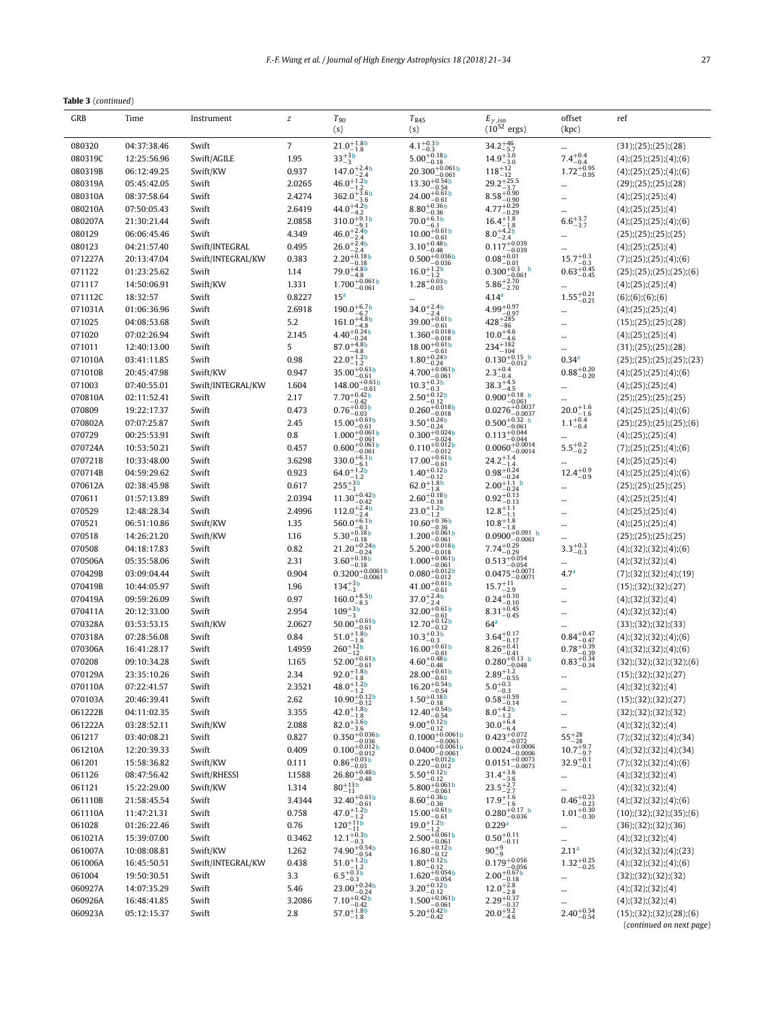|  | <b>Table 3</b> (continued) |  |
|--|----------------------------|--|
|--|----------------------------|--|

| GRB                | Time                       | Instrument                 | $\boldsymbol{z}$ | $T_{\rm 90}$<br>(s)                          | $T_{\rm R45}$<br>(s)                                                           | $E_{\gamma,iso}$<br>$(10^{52} \text{ ergs})$                                                                         | offset<br>(kpc)                    | ref                                                       |
|--------------------|----------------------------|----------------------------|------------------|----------------------------------------------|--------------------------------------------------------------------------------|----------------------------------------------------------------------------------------------------------------------|------------------------------------|-----------------------------------------------------------|
| 080320             | 04:37:38.46                | Swift                      | 7                | $21.0^{+1.8}_{-1.8}$                         | $4.1_{-0.3}^{+0.3}$                                                            | $34.2^{+46}_{-6}$<br>$-5.7$                                                                                          |                                    | (31); (25); (25); (28)                                    |
| 080319C            | 12:25:56.96                | Swift/AGILE                | 1.95             | $33^{+3}_{-3}$                               | $5.00_{-0.18}^{+0.18}$                                                         | $14.9^{+3.0}_{-3.0}$                                                                                                 | $7.4^{+0.4}_{-0.4}$                | $(4)$ ; $(25)$ ; $(25)$ ; $(4)$ ; $(6)$                   |
| 080319B            | 06:12:49.25                | Swift/KW                   | 0.937            | $147.0^{+2.4b}_{-2.4}$                       | $20.300_{-0.061}^{+0.061}$                                                     | $118^{+12}_{-12}$<br>$-12$                                                                                           | $1.72^{+0.95}_{-0.95}$             | $(4)$ ; $(25)$ ; $(25)$ ; $(4)$ ; $(6)$                   |
| 080319A            | 05:45:42.05                | Swift                      | 2.0265           | $46.0^{+1.2}_{-1.2}$                         | $13.30^{+0.54}_{-0.54}$                                                        | $29.2^{+25.5}_{-2.7}$                                                                                                |                                    | (29)(25)(25)(28)                                          |
| 080310A            | 08:37:58.64                | Swift                      | 2.4274           | $362.0^{+3.6}_{-3.6}$                        | $24.00_{-0.61}^{+0.61}$                                                        | $8.58^{+0.90}_{-0.90}$                                                                                               |                                    | $(4)$ ; $(25)$ ; $(25)$ ; $(4)$                           |
| 080210A            | 07:50:05.43                | Swift                      | 2.6419           | $44.0^{+4.2}_{-4.2}$<br>-4.2                 | $8.80^{+0.36}_{-0.36}$<br>$-0.36$                                              | $4.77^{+0.25}_{-0.29}$                                                                                               |                                    | (4); (25); (25); (4)                                      |
| 080207A            | 21:30:21.44                | Swift                      | 2.0858           | $310.0^{+9.1b}_{-9.1}$                       | $70.0^{+6.1b}_{-6.1}$                                                          | $16.4^{+1.8}_{-1.8}$                                                                                                 | $6.6^{+3.7}_{-3.7}$                | $(4)$ ; $(25)$ ; $(25)$ ; $(4)$ ; $(6)$                   |
| 080129             | 06:06:45.46                | Swift                      | 4.349            | $46.0^{+2.4}_{-2.4}$                         | $10.00^{+0.61}_{-0.61}$                                                        | $8.0^{+4.2}_{-2.4}$                                                                                                  |                                    | (25); (25); (25); (25)                                    |
| 080123             | 04:21:57.40                | Swift/INTEGRAL             | 0.495            | +2.4b<br>$26.0^{\circ}$<br>$-2.4$            | $3.10^{+0.48}_{-0.48}$<br>$-0.48$                                              | $0.117^{+0.022}_{-0.039}$                                                                                            |                                    | $(4)$ ; $(25)$ ; $(25)$ ; $(4)$                           |
| 071227A            | 20:13:47.04                | Swift/INTEGRAL/KW          | 0.383            | $2.20_{-0.18}^{+0.18}$                       | $0.500^{+0.036}_{-0.036}$                                                      | $0.08^{+0.01}_{-0.01}$                                                                                               | $15.7^{+0.3}_{-0.3}$               | (7); (25); (25); (4); (6)                                 |
| 071122             | 01:23:25.62                | Swift                      | 1.14             | $79.0^{+4.8}_{-4.8}$<br>-4.8                 | $16.0^{+1.2}_{-1.2}$                                                           | 0.300 <sup><math>+0.3</math></sup><br>5.86 <sup><math>+2.70</math></sup><br>5.86 <sup><math>+2.70</math></sup><br>-b | $0.63_{0.45}^{+0.45}$<br>$-0.45$   | (25); (25); (25); (25); (6)                               |
| 071117             | 14:50:06.91                | Swift/KW                   | 1.331            | $1.700^{+0.061b}_{0.002}$<br>$-0.061$        | $1.28^{+0.03}_{-0.02}$<br>$-0.03$                                              |                                                                                                                      |                                    | $(4)$ ; $(25)$ ; $(25)$ ; $(4)$                           |
| 071112C            | 18:32:57                   | Swift                      | 0.8227           | 15 <sup>a</sup><br>$190.0^{+6.7}_{-6.7}$     | <br>$34.0^{+2.4b}$                                                             | 4.14 <sup>a</sup><br>$4.99^{+0.97}_{-0.27}$                                                                          | $1.55^{+0.21}_{-0.21}$             | $(6)$ ; $(6)$ ; $(6)$ ; $(6)$                             |
| 071031A<br>071025  | 01:06:36.96                | Swift                      | 2.6918           | -6.7<br>$161.0^{+4.8}_{-4.8}$                | $-2.4$<br>$39.00^{+0.61}_{-0.01}$                                              | $-0.97$<br>$428 + \frac{10.8}{100}$                                                                                  |                                    | (4);(25);(25);(4)                                         |
| 071020             | 04:08:53.68<br>07:02:26.94 | Swift<br>Swift             | 5.2<br>2.145     | $-4.8$<br>$4.40^{+0.24}_{-0.24}$             | $-0.61$<br>$1.360^{+0.018}_{-0.018}$                                           | -86<br>$10.0^{+4.6}_{-4.6}$                                                                                          |                                    | (15); (25); (25); (28)                                    |
| 071011             | 12:40:13.00                | Swift                      | 5                | $-0.24$<br>$87.0^{+4.8}_{-4.8}$              | $-0.018$<br>$18.00^{+0.018}_{-0.016}$                                          | $-4.6$<br>$234^{+182}_{-104}$                                                                                        |                                    | $(4)$ ; $(25)$ ; $(25)$ ; $(4)$<br>(31); (25); (25); (28) |
| 071010A            | 03:41:11.85                | Swift                      | 0.98             | -4.8<br>$22.0^{+1.2}_{-1.2}$                 | $-0.61$<br>$1.80^{+0.24}_{-0.24}$                                              | $0.130^{+0.15}_{-0.012}$ b                                                                                           | <br>0.34 <sup>a</sup>              | (25); (25); (25); (25); (23)                              |
| 071010B            | 20:45:47.98                | Swift/KW                   | 0.947            | $35.00_{-0.61}^{+0.61}$                      | $4.700^{+0.061}_{-0.061}$                                                      | $-0.012$<br>$2.3^{+0.4}_{-0.4}$                                                                                      | $0.88\substack{+0.20 \\ -0.20}$    | $(4)$ ; $(25)$ ; $(25)$ ; $(4)$ ; $(6)$                   |
| 071003             | 07:40:55.01                | Swift/INTEGRAL/KW          | 1.604            | $148.00^{+0.61}_{-0.61}$                     | $10.3^{+0.3b}_{-0.2b}$                                                         | $38.3^{+4.5}_{-4.5}$                                                                                                 |                                    | $(4)$ ; $(25)$ ; $(25)$ ; $(4)$                           |
| 070810A            | 02:11:52.41                | Swift                      | 2.17             | $7.70_{-0.42}^{+0.42}$                       | $2.50^{+0.12}_{-0.12}$                                                         | $-4.5$<br>$0.900^{+0.18}_{-0.061}$ b                                                                                 |                                    | (25); (25); (25); (25)                                    |
| 070809             | 19:22:17.37                | Swift                      | 0.473            | $0.76_{-0.03}^{+0.03}$                       | $0.260^{+0.018b}_{-0.018}$                                                     | $0.0276^{+0.0037}_{-0.0037}$                                                                                         | $20.0\substack{+1.6 \\ -1.6}$      | $(4)$ ; $(25)$ ; $(25)$ ; $(4)$ ; $(6)$                   |
| 070802A            | 07:07:25.87                | Swift                      | 2.45             | $15.00_{-0.61}^{+0.61}$                      | $3.50^{+0.24}_{-0.24}$                                                         | $0.500^{+0.32}_{-0.001}$<br>$-0.061$                                                                                 | $1.1^{+0.4}_{-0.4}$                | (25); (25); (25); (25); (6)                               |
| 070729             | 00:25:53.91                | Swift                      | 0.8              | $1.000^{+0.061}_{-0.061}$                    | $0.300^{+0.024}_{-0.024}$                                                      | $0.113^{+0.044}_{-0.044}$                                                                                            |                                    | $(4)$ ; $(25)$ ; $(25)$ ; $(4)$                           |
| 070724A            | 10:53:50.21                | Swift                      | 0.457            | $0.600^{+0.061}_{-0.061}$                    | $0.110^{+0.012b}_{-0.012}$                                                     | $0.0060^{+0.0014}_{-0.0014}$                                                                                         | $5.5^{+0.2}_{-0.2}$                | (7);(25);(25);(4);(6)                                     |
| 070721B            | 10:33:48.00                | Swift                      | 3.6298           | $330.0^{+6.1b}_{-6.1}$                       | $17.00^{+0.61}_{-0.61}$                                                        | $24.2^{+1.4}_{-1.4}$                                                                                                 |                                    | $(4)$ ; $(25)$ ; $(25)$ ; $(4)$                           |
| 070714B            | 04:59:29.62                | Swift                      | 0.923            | $64.0^{+1.2}_{-1.2}$                         | $1.40^{+0.12b}_{-0.12}$                                                        | $0.98^{+0.24}_{-0.24}$                                                                                               | $12.4^{+0.9}_{-0.9}$               | $(4)$ ; $(25)$ ; $(25)$ ; $(4)$ ; $(6)$                   |
| 070612A            | 02:38:45.98                | Swift                      | 0.617            | $255\substack{+3\,b\\-3}$                    | $62.0^{+1.8}_{-1.8}$<br>$-1.8$                                                 | $2.00^{+1.1}_{-0.24}$                                                                                                |                                    | (25); (25); (25); (25)                                    |
| 070611             | 01:57:13.89                | Swift                      | 2.0394           | $11.30_{-0.42}^{+0.42}$                      | $2.60^{+0.18b}_{-0.18}$                                                        | $0.92^{+0.13}_{-0.12}$<br>$-0.13$                                                                                    |                                    | $(4)$ ; $(25)$ ; $(25)$ ; $(4)$                           |
| 070529             | 12:48:28.34                | Swift                      | 2.4996           | $112.0^{+2.4b}_{-2.4}$                       | $23.0^{+1.2}_{-1.2}$                                                           | $12.8^{+1.1}_{-1.1}$                                                                                                 |                                    | $(4)$ ; $(25)$ ; $(25)$ ; $(4)$                           |
| 070521             | 06:51:10.86                | Swift/KW                   | 1.35             | $560.0^{+6.1b}_{-6.1}$<br>$-6.1$             | $10.60^{+0.36}_{-0.26}$                                                        | $10.8^{+1.8}_{-1.8}$                                                                                                 |                                    | $(4)$ ; $(25)$ ; $(25)$ ; $(4)$                           |
| 070518             | 14:26:21.20                | Swift/KW                   | 1.16             | $5.30_{-0.18}^{+0.18}$                       | $1.200^{+0.061}_{-0.061}$                                                      | $0.0900^{+0.091}_{-0.0061}$ b                                                                                        | $\cdots$                           | (25); (25); (25); (25)                                    |
| 070508             | 04:18:17.83                | Swift                      | 0.82             | $21.20_{-0.24}^{+0.24}$                      | $5.200^{+0.018}_{-0.018}$                                                      | $7.74^{+0.29}_{-0.29}$                                                                                               | $3.3^{+0.3}_{-0.2}$<br>$-0.3$      | $(4)$ ; $(32)$ ; $(32)$ ; $(4)$ ; $(6)$                   |
| 070506A            | 05:35:58.06                | Swift                      | 2.31             | $3.60^{+0.18}_{-0.18}$                       | $1.000^{+0.061b}_{-0.061}$                                                     | $0.513^{+0.054}_{-0.054}$                                                                                            |                                    | $(4)$ ; (32); (32); (4)                                   |
| 070429B            | 03:09:04.44                | Swift                      | 0.904            | $0.3200^{+0.0061}_{-0.0061}$                 | $0.080^{+0.012}_{-0.012}$<br>$41.00^{+0.61}_{-0.01}$                           | $0.0475^{+0.0071}_{-0.0071}$                                                                                         | 4.7 <sup>a</sup>                   | (7); (32); (32); (4); (19)                                |
| 070419B<br>070419A | 10:44:05.97                | Swift                      | 1.96<br>0.97     | $134^{+3}_{-3}$<br>$160.0^{+8.5}_{-8.5}$     | $-0.61$                                                                        | $15.7^{+11}_{-2.9}$                                                                                                  |                                    | (15); (32); (32); (27)                                    |
| 070411A            | 09:59:26.09<br>20:12:33.00 | Swift<br>Swift             | 2.954            | $109^{+3}_{-3}$                              | $37.0^{+2.4}_{-2.4}$<br>$32.00_{-0.61}^{+0.61}$                                | $0.24_{-0.10}^{+0.10}$<br>$8.31^{\rm +0.45}_{\rm -0.45}$                                                             |                                    | $(4)$ ; (32); (32); (4)                                   |
| 070328A            | 03:53:53.15                | Swift/KW                   | 2.0627           | $50.00_{-0.61}^{+0.61}$                      | $12.70^{+0.12}_{-0.12}$                                                        | 64 <sup>a</sup>                                                                                                      |                                    | $(4)$ ; (32); (32); (4)<br>(33); (32); (32); (33)         |
| 070318A            | 07:28:56.08                | Swift                      | 0.84             | $51.0^{+1.8}_{-1.0}$                         | $10.3^{+0.3}_{-0.2}$                                                           | $3.64^{+0.17}_{-0.17}$                                                                                               | $0.84^{+0.47}_{-0.47}$             | (4); (32); (32); (4); (6)                                 |
| 070306A            | 16:41:28.17                | Swift                      | 1.4959           | $-1.8$<br>$260^{+12}_{-20}$                  | $16.00^{+0.61}_{-0.01}$                                                        | $8.26^{+0.41}_{-0.41}$                                                                                               | $0.78 + 0.39$                      | $(4)$ ; (32); (32); (4); (6)                              |
| 070208             | 09:10:34.28                | Swift                      | 1.165            | -12<br>$52.00^{+0.61b}_{-0.02}$              | $-0.61$<br>$4.60^{+0.48}_{-0.48}$                                              | $0.280^{+0.13}_{-0.010}$ b                                                                                           | $-0.39$<br>$0.83^{+0.34}_{-.0.24}$ | (32); (32); (32); (32); (6)                               |
| 070129A            | 23:35:10.26                | Swift                      | 2.34             | -0.61<br>$92.0^{+1.8}_{-1.8}$<br>$-1.8$      | -0.48                                                                          | $-0.048$                                                                                                             | $-0.34$<br>                        | (15); (32); (32); (27)                                    |
| 070110A            | 07:22:41.57                | Swift                      | 2.3521           | $48.0^{+1.8}_{-1.2}$<br>$-1.2$               | $28.00^{+0.61}_{-0.61}$<br>16.20 <sup>+0.54</sup><br><sup>-0.54</sup><br>-0.54 | $2.89^{+1.2}_{-0.55}$<br>5.0 <sup>+0.3</sup><br>$-0.3$                                                               |                                    | $(4)$ ; $(32)$ ; $(32)$ ; $(4)$                           |
| 070103A            | 20:46:39.41                | Swift                      | 2.62             | $10.90_{-0.12}^{+0.12}$                      | $1.50^{+0.18}_{-0.18}$                                                         | $0.58_{-0.14}^{+0.59}$                                                                                               |                                    | (15); (32); (32); (27)                                    |
| 061222B            | 04:11:02.35                | Swift                      | 3.355            | $42.0^{+1.8}_{-1.8}$                         | $12.40_{-0.54}^{+0.54}$                                                        | $8.0^{+4.2b}_{-1.2}$                                                                                                 |                                    | (32); (32); (32); (32)                                    |
| 061222A            | 03:28:52.11                | Swift/KW                   | 2.088            | $82.0^{+3.6}_{-3.6}$                         | $9.00_{-0.12}^{+0.12}$                                                         | $30.0^{+6.4}_{-6.4}$                                                                                                 |                                    | $(4)$ ; (32); (32); (4)                                   |
| 061217             | 03:40:08.21                | Swift                      | 0.827            | $0.350_{-0.036}^{+0.036}$                    | $0.1000^{+0.0061}_{-0.0061}$                                                   | $0.423_{-0.072}^{+0.072}$                                                                                            | ${\rm 55^{+28}_{-28}}$             | (7); (32); (32); (4); (34)                                |
| 061210A            | 12:20:39.33                | Swift                      | 0.409            | $0.100_{-0.012}^{+0.012}$                    | $0.0400^{+0.0061}_{-0.0061}$                                                   | $0.0024^{+0.0006}_{-0.0006}$                                                                                         | $10.7^{+9.7}_{-9.7}$               | $(4)$ ; (32); (32); (4); (34)                             |
| 061201             | 15:58:36.82                | Swift/KW                   | 0.111            | $0.86^{+0.03b}_{-0.03}$                      | $0.220^{+0.012}_{-0.012}$                                                      | $0.0151^{+0.0073}_{-0.0073}$                                                                                         | $32.9^{+0.1}_{-0.1}$               | (7); (32); (32); (4); (6)                                 |
| 061126             | 08:47:56.42                | Swift/RHESSI               | 1.1588           | $26.80_{-0.48}^{+0.48}$                      | $5.50^{+0.12}$ <sub>b</sub>                                                    | $31.4^{+3.6}_{-3.6}$                                                                                                 |                                    | $(4)$ ; $(32)$ ; $(32)$ ; $(4)$                           |
| 061121             | 15:22:29.00                | Swift/KW                   | 1.314            | $80^{+13}_{-13}$                             | $5.800^{+0.061}_{-0.061}$                                                      | $23.5^{+2.7}_{-2.7}$                                                                                                 |                                    | $(4)$ ; $(32)$ ; $(32)$ ; $(4)$                           |
| 061110B            | 21:58:45.54                | Swift                      | 3.4344           | $32.40^{+0.61}_{-0.61}$                      | $8.60^{+0.36}_{-0.36}$                                                         | $17.9^{+1.6}_{-1.6}$<br>$-1.6$                                                                                       | $0.46_{-0.23}^{+0.23}$             | $(4)$ ; $(32)$ ; $(32)$ ; $(4)$ ; $(6)$                   |
| 061110A            | 11:47:21.31                | Swift                      | 0.758            | $47.0^{+1.2}_{-1.2}$                         | $15.00^{+0.61}_{-0.61}$                                                        | $0.280^{+0.17}_{-0.036}$ b                                                                                           | $1.01_{-0.30}^{+0.30}$             | (10); (32); (32); (35); (6)                               |
| 061028             | 01:26:22.46                | Swift                      | 0.76             | $120^{+11}_{-11}$                            | $19.0^{+1.2}_{-1.2}$                                                           | 0.229 <sup>a</sup>                                                                                                   |                                    | (36); (32); (32); (36)                                    |
| 061021A            | 15:39:07.00                | Swift                      | 0.3462           | $12.1_{-0.3}^{+0.3}$                         | $2.500^{+0.061}_{-0.061}$                                                      | $0.50^{+0.11}_{-0.11}$                                                                                               | $\cdots$                           | $(4)$ ; $(32)$ ; $(32)$ ; $(4)$                           |
| 061007A            | 10:08:08.81                | Swift/KW                   | 1.262            | $74.90_{-0.54}^{+0.54}$                      | $16.80^{+0.12}$ <sub>b</sub>                                                   | $90^{+9}_{-9}$                                                                                                       | 2.11 <sup>a</sup>                  | $(4)$ ; (32); (32); (4); (23)                             |
| 061006A<br>061004  | 16:45:50.51<br>19:50:30.51 | Swift/INTEGRAL/KW<br>Swift | 0.438<br>3.3     | $51.0^{+1.2}_{-1.2}$<br>$6.5^{+0.3b}_{-0.3}$ | $1.80^{+0.12b}_{-0.12}$<br>$1.620^{+0.054}_{-0.054}$                           | $0.179^{+0.056}_{-0.056}$<br>$2.00_{-0.18}^{+0.67}$                                                                  | $1.32^{+0.25}_{-0.25}$             | $(4)$ ; $(32)$ ; $(32)$ ; $(4)$ ; $(6)$                   |
| 060927A            | 14:07:35.29                | Swift                      | 5.46             | $23.00_{-0.24}^{+0.24}$                      | $3.20^{+0.12b}_{-0.12}$                                                        | $12.0^{+2.8}_{-2.8}$                                                                                                 |                                    | (32); (32); (32); (32)<br>$(4)$ ; $(32)$ ; $(32)$ ; $(4)$ |
| 060926A            | 16:48:41.85                | Swift                      | 3.2086           | $7.10_{-0.42}^{+0.42}$                       | $1.500^{+0.061}_{-0.061}$                                                      | $2.29_{-0.37}^{+0.37}$                                                                                               |                                    | $(4)$ ; $(32)$ ; $(32)$ ; $(4)$                           |
| 060923A            | 05:12:15.37                | Swift                      | 2.8              | $57.0^{+1.8}_{-1.8}$                         | $5.20_{-0.42}^{+0.42}$                                                         | $20.0^{+9.2}_{-4.6}$                                                                                                 | <br>$2.40^{+0.54}_{-0.54}$         | (15); (32); (32); (28); (6)                               |
|                    |                            |                            |                  |                                              |                                                                                |                                                                                                                      |                                    | (continued on next page)                                  |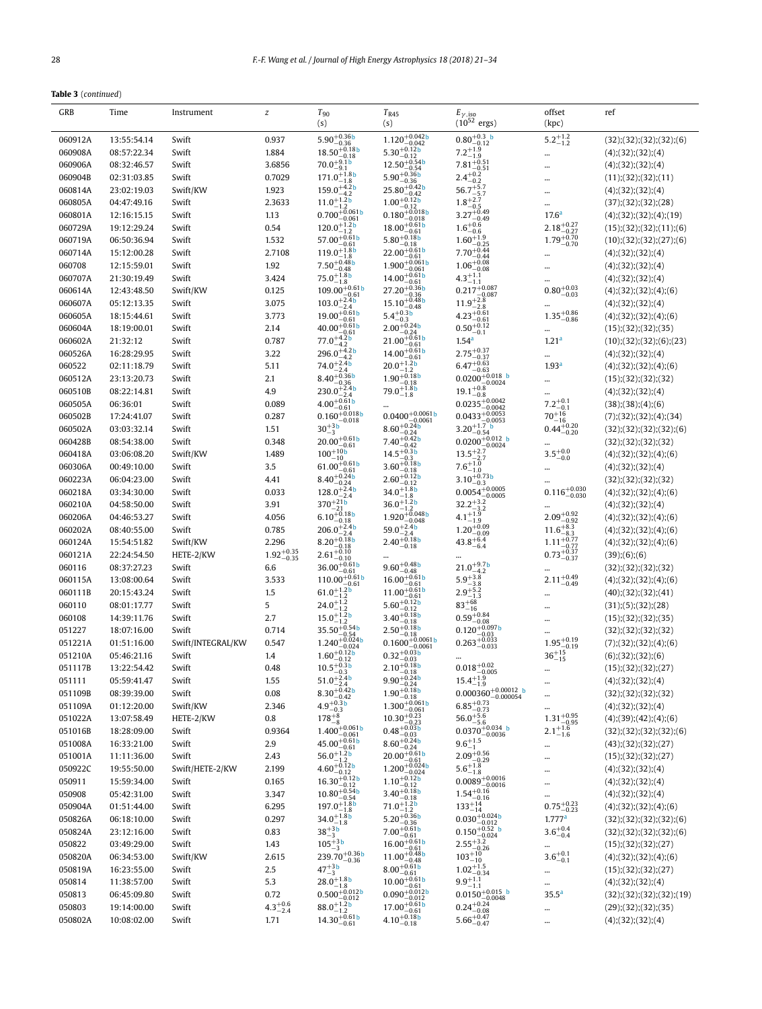|  | <b>Table 3</b> (continued) |  |
|--|----------------------------|--|
|--|----------------------------|--|

| GRB                | Time                       | Instrument        | $\boldsymbol{z}$       | $T_{90}$<br>(s)                                    | $T_{\rm R45}$<br>(s)                                                                     | $E_{\gamma, \text{iso}}$<br>$(10^{52} \text{ ergs})$ | offset<br>(kpc)                 | ref                                                       |
|--------------------|----------------------------|-------------------|------------------------|----------------------------------------------------|------------------------------------------------------------------------------------------|------------------------------------------------------|---------------------------------|-----------------------------------------------------------|
| 060912A            | 13:55:54.14                | Swift             | 0.937                  | $5.90^{+0.36}_{-0.36}$                             | $1.120^{+0.042}_{-0.042}$                                                                | $0.80^{+0.3}_{-0.12}$ b                              | $5.2^{+1.2}_{-1.2}$<br>$-1.2$   | (32); (32); (32); (32); (6)                               |
| 060908A            | 08:57:22.34                | Swift             | 1.884                  | $18.50^{+0.18b}_{-0.18}$                           | $5.30_{-0.12}^{+0.12}$                                                                   | $7.2^{+1.9}_{-1.9}$                                  |                                 | (4); (32); (32); (4)                                      |
| 060906A            | 08:32:46.57                | Swift             | 3.6856                 | $70.0^{+9.1b}_{-9.1}$                              | $12.50_{-0.54}^{+0.54}$                                                                  | $7.81_{-0.51}^{+0.51}$                               |                                 | $(4)$ ; $(32)$ ; $(32)$ ; $(4)$                           |
| 060904B            | 02:31:03.85                | Swift             | 0.7029                 | $171.0^{+1.8}_{-1.8}$                              | $5.90_{-0.36}^{+0.36}$                                                                   | $2.4^{+0.2}_{-0.2}$                                  |                                 | (11); (32); (32); (11)                                    |
| 060814A            | 23:02:19.03                | Swift/KW          | 1.923                  | $159.0^{+4.2b}_{-4.2}$                             | $25.80^{+0.42}_{-0.42}$                                                                  | $56.7^{+5.7}_{-5.7}$                                 |                                 | $(4)$ ; $(32)$ ; $(32)$ ; $(4)$                           |
| 060805A            | 04:47:49.16                | Swift             | 2.3633                 | $11.0^{+1.2b}_{-1.2}$                              | $1.00_{-0.12}^{+0.12b}$                                                                  | $1.8^{+2.7}_{-6.7}$                                  |                                 | (37); (32); (32); (28)                                    |
| 060801A            | 12:16:15.15                | Swift             | 1.13                   | $0.700^{+0.061}_{-0.061}$                          | $0.180^{+0.018}_{-0.018}$                                                                | $3.27^{+0.49}_{-0.49}$                               | 17.6 <sup>a</sup>               | $(4)$ ; (32); (32); (4); (19)                             |
| 060729A            | 19:12:29.24                | Swift             | 0.54                   | $120.0^{+1.2}_{-1.2}$                              | $18.00^{+0.61}_{-0.61}$                                                                  | $1.6^{+0.6}_{-0.6}$                                  | $2.18^{+0.27}_{-0.27}$          | (15); (32); (32); (11); (6)                               |
| 060719A            | 06:50:36.94                | Swift             | 1.532                  | $57.00^{+0.61}_{-0.61}$                            | $5.80^{+0.18}_{-0.18}$                                                                   | $1.60^{+1.9}_{-0.25}$                                | $1.79^{+0.70}_{-0.70}$          | (10); (32); (32); (27); (6)                               |
| 060714A            | 15:12:00.28                | Swift             | 2.7108                 | $119.0^{+1.8}_{-1.8}$                              | $22.00_{-0.61}^{+0.61}$                                                                  | $7.70^{+0.44}_{-0.44}$                               |                                 | $(4)$ ; (32); (32); (4)                                   |
| 060708             | 12:15:59.01                | Swift             | 1.92                   | $7.50^{+0.48}_{-0.48}$                             | $1.900^{+0.061}_{-0.061}$                                                                | $1.06_{-0.08}^{+0.08}$                               |                                 | (4);(32);(32);(4)                                         |
| 060707A            | 21:30:19.49                | Swift             | 3.424                  | $75.0^{+1.8b}_{-1.8}$                              | $14.00^{+0.61}_{-0.61}$                                                                  | $4.3^{+1.1}_{-1.1}$                                  |                                 | (4); (32); (32); (4)                                      |
| 060614A            | 12:43:48.50                | Swift/KW          | 0.125                  | $109.00_{-0.61}^{+0.61}$                           | $27.20_{-0.36}^{+0.36}$                                                                  | $0.217^{+0.087}_{-0.087}$                            | $0.80^{+0.03}_{-0.03}$          | $(4)$ ; $(32)$ ; $(32)$ ; $(4)$ ; $(6)$                   |
| 060607A            | 05:12:13.35                | Swift             | 3.075                  | $103.0^{+2.4b}_{-2.4}$                             | $15.10^{+0.48}_{-0.48}$                                                                  | $11.9^{+2.8}_{-2.8}$                                 |                                 | $(4)$ ; $(32)$ ; $(32)$ ; $(4)$                           |
| 060605A            | 18:15:44.61                | Swift             | 3.773                  | $19.00^{+0.61}_{-0.61}$                            | $5.4^{+0.3}_{-0.3}$                                                                      | $4.23_{-0.61}^{+0.61}$                               | $1.35\substack{+0.86 \\ -0.86}$ | $(4)$ ; (32); (32); (4); (6)                              |
| 060604A            | 18:19:00.01                | Swift             | 2.14                   | $40.00^{+0.61}_{-0.61}$                            | $2.00_{-0.24}^{+0.24}$                                                                   | $0.50^{+0.12}_{-0.1}$                                |                                 | (15); (32); (32); (35)                                    |
| 060602A            | 21:32:12                   | Swift             | 0.787                  | $77.0^{+4.2}_{-4.2}$                               | $21.00^{+0.61}_{-0.61}$                                                                  | 1.54 <sup>a</sup>                                    | 1.21 <sup>a</sup>               | (10); (32); (32); (6); (23)                               |
| 060526A            | 16:28:29.95                | Swift             | 3.22                   | $296.0^{+4.2}_{-4.2}$                              | $14.00^{+0.61}_{-0.61}$                                                                  | $2.75^{+0.37}_{-0.37}$                               |                                 | $(4)$ ; (32); (32); (4)                                   |
| 060522             | 02:11:18.79                | Swift             | 5.11                   | $74.0^{+2.4}_{-2.4}$                               | $20.0^{+1.2}_{-1.2}$                                                                     | $6.47^{+0.63}_{-0.63}$                               | 1.93 <sup>a</sup>               | $(4)$ ; (32); (32); (4); (6)                              |
| 060512A            | 23:13:20.73                | Swift             | 2.1                    | $8.40_{-0.36}^{+0.36}$                             | $1.90_{-0.18}^{+0.18}$                                                                   | $0.0200^{+0.018}_{-0.0024}$                          |                                 | (15); (32); (32); (32)                                    |
| 060510B            | 08:22:14.81                | Swift             | 4.9                    | $230.0^{+2.4}_{-2.4}$                              | $79.0^{+1.8}_{-1.8}$                                                                     | $19.1^{+0.8}_{-0.8}$                                 |                                 | $(4)$ ; $(32)$ ; $(32)$ ; $(4)$                           |
| 060505A            | 06:36:01                   | Swift             | 0.089                  | $4.00_{-0.61}^{+0.61}$                             |                                                                                          | $0.0235^{+0.0042}_{-0.0042}$                         | $7.2^{+0.1}_{-0.1}$             | (38)(38)(4)(6)                                            |
| 060502B            | 17:24:41.07                | Swift             | 0.287                  | $0.160^{+0.018}_{-0.018}$                          | $0.0400^{+0.0061}_{-0.0061}$                                                             | $0.0433_{-0.0053}^{+0.0053}$                         | $70^{+16}_{-16}$                | (7); (32); (32); (4); (34)                                |
| 060502A            | 03:03:32.14                | Swift             | 1.51                   | $30^{+3}_{-3}$                                     | $8.60^{+0.24}_{-0.24}_{-0.24}$<br>$7.40^{+0.42}_{-0.42}$                                 | $3.20^{+1.7}_{-0.54}$<br>$0.0200^{+0.012}_{-0.002}$  | $0.44^{+0.20}_{-0.20}$          | (32); (32); (32); (32); (6)                               |
| 060428B            | 08:54:38.00                | Swift             | 0.348                  | $20.00_{-0.61}^{+0.61}$                            |                                                                                          | $-0.0024$                                            |                                 | (32); (32); (32); (32)                                    |
| 060418A<br>060306A | 03:06:08.20<br>00:49:10.00 | Swift/KW<br>Swift | 1.489<br>3.5           | $100^{+10}_{-10}$<br>$61.00^{+0.61}_{-0.61}$       | $14.5^{+0.3}_{-0.3}$<br>$3.60^{+\overset{\bullet}{0}.\overset{\bullet}{1}8\,\mathrm{b}}$ | $13.5^{+2.7}_{-2.7}$<br>$7.6^{+1.0}_{-1.0}$          | $3.5^{+0.0}_{-0.0}$             | $(4)$ ; $(32)$ ; $(32)$ ; $(4)$ ; $(6)$                   |
| 060223A            | 06:04:23.00                | Swift             | 4.41                   | $8.40^{+0.24}$                                     | $-0.18$<br>$2.60_{-0.12}^{+0.12}$                                                        | $3.10^{+0.73}_{-0.3}$                                |                                 | $(4)$ ; $(32)$ ; $(32)$ ; $(4)$<br>(32); (32); (32); (32) |
| 060218A            | 03:34:30.00                | Swift             | 0.033                  | $-0.24$<br>$128.0^{+2.4}_{-2.4}$                   | $34.0^{+1.8}_{-1.8}$                                                                     | $0.0054_{-0.0005}^{+0.0005}$                         | $0.116^{+0.030}_{-0.030}$       | $(4)$ ; (32); (32); (4); (6)                              |
| 060210A            | 04:58:50.00                | Swift             | 3.91                   | $370^{+21}_{-21}$                                  | $36.0^{+1.2}_{-1.2}$                                                                     | $32.2^{+3.2}_{-3.2}$                                 |                                 | $(4)$ ; $(32)$ ; $(32)$ ; $(4)$                           |
| 060206A            | 04:46:53.27                | Swift             | 4.056                  | $-21$<br>$6.10^{+0.18b}_{-0.18}$                   | $1.920_{-0.048}^{+0.048}$                                                                | $-3.2$<br>$4.1^{+1.9}_{-1.9}$                        | $2.09^{+0.92}_{-0.02}$          | $(4)$ ; $(32)$ ; $(32)$ ; $(4)$ ; $(6)$                   |
| 060202A            | 08:40:55.00                | Swift             | 0.785                  | $206.0^{+2.4}_{-2.4}$                              | $59.0^{+2.4b}_{-2.4}$                                                                    | $1.20_{-0.09}^{+0.09}$                               | $-0.92$<br>$11.6^{+8.3}_{-8.3}$ | $(4)$ ; (32); (32); (4); (6)                              |
| 060124A            | 15:54:51.82                | Swift/KW          | 2.296                  | $8.20^{+0.18}_{-0.18}$                             | $2.40_{-0.18}^{+0.18}$                                                                   | $43.8^{+6.4}_{-6.4}$                                 | $1.11^{+0.77}_{-0.77}$          | $(4)$ ; (32); (32); (4); (6)                              |
| 060121A            | 22:24:54.50                | HETE-2/KW         | $1.92^{+0.35}_{-0.35}$ | $2.61^{+0.10}_{-0.10}$                             |                                                                                          |                                                      | $0.73^{+0.37}_{-0.37}$          | (39)(6)(6)                                                |
| 060116             | 08:37:27.23                | Swift             | 6.6                    | $36.00_{-0.61}^{+0.61}$                            | $9.60_{-0.48}^{+0.48}$                                                                   | $21.0^{+9.7b}_{-4.2}$                                |                                 | (32); (32); (32); (32)                                    |
| 060115A            | 13:08:00.64                | Swift             | 3.533                  | $110.00^{+0.61}_{-0.61}$                           | $16.00^{+0.61}_{-0.61}$                                                                  | $5.9^{+3.8}_{-3.8}$<br>$-3.8$                        | $2.11^{+0.49}_{-0.49}$          | $(4)$ ; (32); (32); (4); (6)                              |
| 060111B            | 20:15:43.24                | Swift             | 1.5                    | $61.0^{+1.2b}_{-1.2}$                              | $11.00^{+0.61}_{-0.61}$                                                                  | $2.9^{+5.2}_{-1.3}$                                  |                                 | (40); (32); (32); (41)                                    |
| 060110             | 08:01:17.77                | Swift             | 5                      | $24.0^{+1.2}_{-1.2}$                               | $5.60^{+0.12b}_{-0.12}$                                                                  | $83^{+68}_{-16}$                                     |                                 | (31); (5); (32); (28)                                     |
| 060108             | 14:39:11.76                | Swift             | 2.7                    | $15.0^{+1.2b}_{-1.2}$                              | $3.40^{+0.18}_{-0.18}$                                                                   | $0.59^{+0.84}_{-0.08}$                               |                                 | (15); (32); (32); (35)                                    |
| 051227             | 18:07:16.00                | Swift             | 0.714                  | $35.50^{+0.54}_{-0.54}$                            | $2.50^{+0.18}_{-0.18}$                                                                   | $0.120^{+0.097}_{-0.03}$                             |                                 | (32); (32); (32); (32)                                    |
| 051221A            | 01:51:16.00                | Swift/INTEGRAL/KW | 0.547                  | $1.240^{+0.024}_{-0.024}$                          | $0.1600^{+0.0061b}_{-0.0061}$                                                            | $0.263_{-0.023}^{+0.033}$<br>$-0.033$                | $1.95^{+0.19}_{-0.19}$          | (7); (32); (32); (4); (6)                                 |
| 051210A            | 05:46:21.16                | Swift             | 1.4                    | $1.60^{+0.12b}_{-0.12b}$<br>$-0.12$                | $0.32^{+0.03b}_{-0.02}$                                                                  |                                                      | $36^{+15}_{-15}$                | $(6)$ ; $(32)$ ; $(32)$ ; $(6)$                           |
| 051117B            | 13:22:54.42                | Swift             | 0.48                   | $10.5^{+0.3b}_{-0.3}$                              | $2.10^{+0.18}_{-0.18}$                                                                   | $0.018\substack{+0.02\\-0.005}$                      |                                 | (15); (32); (32); (27)                                    |
| 051111             | 05:59:41.47                | Swift             | 1.55                   | $51.0^{+2.4b}_{-2.4}$                              | $9.90_{-0.24}^{+0.24}$                                                                   | $15.4^{+1.9}_{-1.9}$                                 |                                 | $(4)$ ; $(32)$ ; $(32)$ ; $(4)$                           |
| 051109B            | 08:39:39.00                | Swift             | 0.08                   | $8.30^{+0.42}_{-0.42}$                             | $1.90_{-0.18}^{+0.18}$                                                                   | $0.000360^{+0.00012}_{-0.000054}$                    | $\cdots$                        | (32); (32); (32); (32)                                    |
| 051109A            | 01:12:20.00                | Swift/KW          | 2.346                  | $4.9^{+0.3}_{-0.3}$                                | $1.300^{+0.061}_{-0.061}$                                                                | $6.85^{+0.73}_{-0.73}$                               |                                 | $(4)$ ; $(32)$ ; $(32)$ ; $(4)$                           |
| 051022A            | 13:07:58.49                | HETE-2/KW         | 0.8                    | $178^{+8}_{-8}$                                    | $10.30^{+0.23}_{-0.23}$                                                                  | $56.0^{+5.6}_{-5.6}$                                 | $1.31^{+0.95}_{-0.95}$          | $(4)$ ; $(39)$ ; $(42)$ ; $(4)$ ; $(6)$                   |
| 051016B            | 18:28:09.00                | Swift             | 0.9364                 | $1.400^{+0.061}_{-0.061}$                          | $0.48^{+0.03}_{-0.03}$                                                                   | $0.0370^{+0.034}_{-0.0036}$ b                        | $+1.6$<br>$2.1^{+1.0}_{-1.6}\,$ | (32); (32); (32); (32); (6)                               |
| 051008A            | 16:33:21.00                | Swift             | 2.9                    | $45.00_{-0.61}^{+0.61}$                            | $8.60^{+0.24}_{-0.24}$                                                                   | $9.6^{+1.5}_{-1}$                                    |                                 | (43); (32); (32); (27)                                    |
| 051001A            | 11:11:36.00                | Swift             | 2.43                   | $56.0^{+1.2}_{-1.2}$                               | $20.00^{+0.61}_{-0.61}$                                                                  | $2.09^{+0.56}_{-0.29}$                               |                                 | (15); (32); (32); (27)                                    |
| 050922C            | 19:55:50.00                | Swift/HETE-2/KW   | 2.199                  | $4.60^{+0.12b}_{-0.12}$                            | $1.200_{-0.024}^{+0.024}$                                                                | $5.6^{+1.8}_{-1.8}$                                  |                                 | $(4)$ ; $(32)$ ; $(32)$ ; $(4)$                           |
| 050911             | 15:59:34.00                | Swift             | 0.165                  | $16.30_{-0.12}^{+0.12}$                            | $1.10_{-0.12}^{+0.12}$                                                                   | $0.0089^{+0.0016}_{-0.0016}$                         |                                 | $(4)$ ; (32); (32); (4)                                   |
| 050908             | 05:42:31.00                | Swift             | 3.347                  | $10.80^{+0.54}_{-0.54}$                            | $3.40^{+0.18}_{-0.18}$                                                                   | $1.54^{+0.16}_{-0.16}$                               | $\cdots$                        | $(4)$ ; (32); (32); (4)                                   |
| 050904A            | 01:51:44.00                | Swift             | 6.295                  | $197.0^{+1.8}_{-1.8}$                              | $71.0^{+1.2}_{-1.2}$                                                                     | $133^{+14}_{-14}$                                    | $0.75^{+0.23}_{-0.23}\,$        | $(4)$ ; $(32)$ ; $(32)$ ; $(4)$ ; $(6)$                   |
| 050826A            | 06:18:10.00                | Swift             | 0.297                  | $34.0^{+1.8}_{-1.8}$                               | $5.20_{-0.36}^{+0.36}$                                                                   | $0.030_{-0.012}^{+0.024}$                            | 1.777 <sup>a</sup>              | (32); (32); (32); (32); (6)                               |
| 050824A            | 23:12:16.00                | Swift             | 0.83                   | $38^{+3}_{-3}$                                     | $7.00_{-0.61}^{+0.61}$                                                                   | $0.150^{+0.52}_{-0.024}$ b                           | $3.6^{+0.4}_{-0.4}$             | (32); (32); (32); (32); (6)                               |
| 050822             | 03:49:29.00                | Swift             | 1.43                   | $105^{+3}_{-3}$                                    | $16.00^{+0.61}_{-0.61}$                                                                  | $2.55_{-0.26}^{+3.2}$                                |                                 | (15); (32); (32); (27)                                    |
| 050820A            | 06:34:53.00                | Swift/KW          | 2.615                  | $239.70_{-0.36}^{+0.36}$                           | $11.00_{-0.48}^{+0.48}$                                                                  | $103^{+10}_{-10}$<br>$-10$                           | $3.6^{+0.1}_{-0.1}$             | $(4)$ ; $(32)$ ; $(32)$ ; $(4)$ ; $(6)$                   |
| 050819A            | 16:23:55.00                | Swift             | 2.5                    | $47^{+3}_{-3}$                                     | $8.00^{+0.61}_{-0.61}$                                                                   | $1.02_{-0.34}^{+1.5}$                                |                                 | (15); (32); (32); (27)                                    |
| 050814<br>050813   | 11:38:57.00                | Swift             | 5.3<br>0.72            | $28.0^{+1.8}_{-1.8}$<br>$0.500^{+0.012b}_{-0.012}$ | $10.00^{+0.61}_{-0.61}$                                                                  | $9.9^{+1.1}_{-1.1}$<br>$0.0150^{+0.015~b}_{-0.0048}$ | <br>35.5 <sup>a</sup>           | $(4)$ ; (32); (32); (4)                                   |
| 050803             | 06:45:09.80<br>19:14:00.00 | Swift<br>Swift    | $4.3^{+0.6}_{-2.4}$    | $88.0^{+1.2}_{-1.2}$                               | $0.090_{-0.012}^{+0.012}$<br>$17.00^{+0.61}_{-0.61}$                                     | $0.24_{-0.08}^{+0.24}$                               |                                 | (32); (32); (32); (32); (19)<br>(29)(32)(32)(35)          |
| 050802A            | 10:08:02.00                | Swift             | 1.71                   | $14.30^{+0.61}_{-0.61}$                            | $4.10^{+0.18}_{-0.18}$                                                                   | $5.66^{+0.47}_{-0.47}$                               |                                 | (4); (32); (32); (4)                                      |
|                    |                            |                   |                        |                                                    |                                                                                          |                                                      |                                 |                                                           |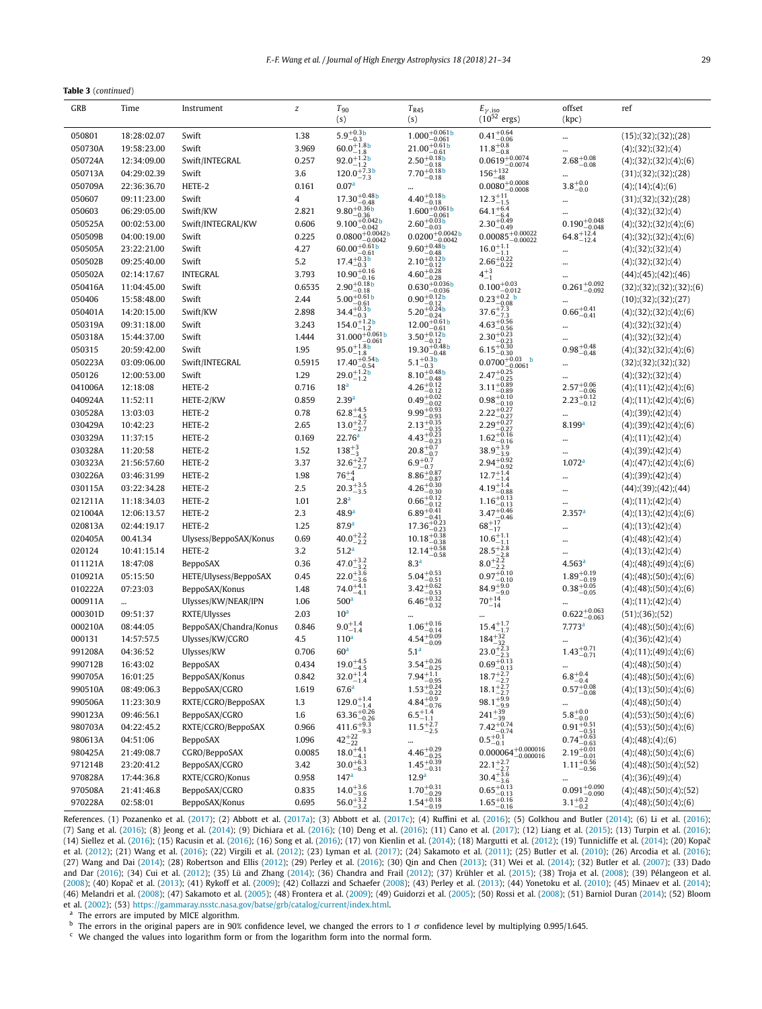# **Table 3** (*continued*)

| GRB     | Time         | Instrument             | $\boldsymbol{z}$ | $T_{90}$<br>(s)                                                     | $T_{\rm R45}$<br>(s)                             | $E_{\gamma, \text{iso}}$<br>$(10^{52} \text{ ergs})$ | offset<br>(kpc)                                                                                | ref                                      |
|---------|--------------|------------------------|------------------|---------------------------------------------------------------------|--------------------------------------------------|------------------------------------------------------|------------------------------------------------------------------------------------------------|------------------------------------------|
| 050801  | 18:28:02.07  | Swift                  | 1.38             | $5.9^{+0.3b}_{-0.3}$                                                | $1.000^{+0.061}_{-0.061}$                        | $0.41^{+0.64}_{-0.06}$                               |                                                                                                | (15); (32); (32); (28)                   |
| 050730A | 19:58:23.00  | Swift                  | 3.969            | $60.0^{+1.8}_{-1.8}$                                                | $21.00\substack{+0.61\,b\\-0.61}$                | $11.8^{+0.8}_{-0.8}$                                 |                                                                                                | $(4)$ ; $(32)$ ; $(32)$ ; $(4)$          |
| 050724A | 12:34:09.00  | Swift/INTEGRAL         | 0.257            | 92.0 <sup>+1.2</sup> b                                              | $2.50^{+0.18}_{-0.18}$<br>$-0.18$                | $0.0619^{+0.0074}_{-0.0074}$                         | $2.68^{+0.08}_{-0.08}$                                                                         | $(4)$ ; $(32)$ ; $(32)$ ; $(4)$ ; $(6)$  |
| 050713A | 04:29:02.39  | Swift                  | 3.6              | $120.0^{+7.3}_{-7.3}$                                               | $7.70^{+0.18}_{-0.18}$<br>$-0.18$                | $156^{+132}_{-48}$                                   |                                                                                                | (31); (32); (32); (28)                   |
| 050709A | 22:36:36.70  | HETE-2                 | 0.161            | 0.07 <sup>a</sup>                                                   |                                                  | $0.0080^{+0.0008}_{-0.0008}$                         | $3.8^{+0.0}_{-0.0}$                                                                            | $(4)$ ; $(14)$ ; $(4)$ ; $(6)$           |
| 050607  | 09:11:23.00  | Swift                  | 4                | $17.30_{-0.48}^{+0.48}$                                             | $4.40^{+0.18b}_{-0.15}$<br>$-0.18$               | $12.3^{+11}_{-1.5}$                                  |                                                                                                | (31); (32); (32); (28)                   |
| 050603  | 06:29:05.00  | Swift/KW               | 2.821            | $9.80_{-0.36}^{+0.36}$                                              | $1.600^{+0.061}_{-0.061}$                        | $64.1^{+6.4}_{-6.4}$                                 |                                                                                                | $(4)$ ; $(32)$ ; $(32)$ ; $(4)$          |
| 050525A | 00:02:53.00  | Swift/INTEGRAL/KW      | 0.606            | $9.100^{+0.042}_{-0.042}$                                           | $2.60_{-0.03}^{+0.03}$                           | $2.30^{+0.49}_{-0.49}$                               | $0.190^{+0.048}_{-0.048}$                                                                      | $(4)$ ; (32); (32); (4); (6)             |
| 050509B | 04:00:19.00  | Swift                  | 0.225            | $0.0800^{+0.0042}_{-0.0042}$                                        | $0.0200^{+0.0042}_{-0.0042}$                     | $0.00085^{+0.00022}_{-0.00022}$                      | $64.8^{+12.4}_{-12.4}$                                                                         | $(4)$ ; $(32)$ ; $(32)$ ; $(4)$ ; $(6)$  |
| 050505A | 23:22:21.00  | Swift                  | 4.27             | $60.00_{-0.61}^{+0.61}$                                             | $9.60_{-0.48}^{+0.48}$                           | $16.0^{+1.1}_{-1.1}$                                 | $\cdots$                                                                                       | $(4)$ ; $(32)$ ; $(32)$ ; $(4)$          |
| 050502B | 09:25:40.00  | Swift                  | 5.2              | $17.4^{+0.3b}_{-0.3}$                                               | $2.10^{+0.12}_{-0.12}$<br>$-0.12$                | $2.66^{+0.22}_{-0.22}$                               |                                                                                                | $(4)$ ; $(32)$ ; $(32)$ ; $(4)$          |
| 050502A | 02:14:17.67  | <b>INTEGRAL</b>        | 3.793            | $10.90^{+0.16}_{-0.16}$<br>$-0.16$                                  | $4.60^{+0.28}_{-0.28}$<br>$-0.28$                | $4^{+3}_{-1}$                                        |                                                                                                | (44); (45); (42); (46)                   |
| 050416A | 11:04:45.00  | Swift                  | 0.6535           | $2.90^{+0.18b}_{-0.18}$                                             | $0.630^{+0.036}_{-0.036}$                        | $0.100^{+0.03}_{-0.012}$                             | $0.261_{-0.092}^{+0.092}$                                                                      | (32); (32); (32); (32); (6)              |
| 050406  | 15:58:48.00  | Swift                  | 2.44             | $5.00^{+0.61}_{-0.01}$<br>$-0.61$                                   | $0.90^{+0.12b}_{-0.12b}$<br>$-0.12$              | $0.23_{-0.08}^{+0.2}$                                |                                                                                                | (10); (32); (32); (27)                   |
| 050401A | 14:20:15.00  | Swift/KW               | 2.898            | $34.4^{+0.3b}_{-0.3}$                                               | $5.20^{+\stackrel{}{0.24b}}$<br>$-0.24$          | $37.6^{+7.3}_{-7.2}$                                 | $0.66^{+0.41}_{-0.41}$                                                                         | $(4)$ ; $(32)$ ; $(32)$ ; $(4)$ ; $(6)$  |
| 050319A | 09:31:18.00  | Swift                  | 3.243            | $154.0^{+1.2b}_{-1.2}$                                              | $12.00^{+0.61b}_{-0.01}$<br>$-0.61$              | $4.63^{+0.56}_{-0.59}$                               |                                                                                                | $(4)$ ; $(32)$ ; $(32)$ ; $(4)$          |
| 050318A | 15:44:37.00  | Swift                  | 1.444            | $31.000_{-0.061}^{+0.061}$                                          | 3.50 <sup>+0.12</sup> b<br>$-0.12$               | $2.30^{+0.23}_{-0.23}$                               |                                                                                                | (4); (32); (32); (4)                     |
| 050315  | 20:59:42.00  | Swift                  | 1.95             | $95.0^{+1.8}_{-1.8}$<br>$-1.8$                                      | $19.30_{-0.48}^{+0.48}$                          | $6.15_{-0.30}^{+0.30}$                               | $0.98\substack{+0.48 \\ -0.48}$                                                                | $(4)$ ; (32); (32); (4); (6)             |
| 050223A | 03:09:06.00  | Swift/INTEGRAL         | 0.5915           | $17.40_{-0.54}^{+0.54}$                                             | 5.1 <sup>+0.3</sup> b                            | $0.0700^{+0.03}_{-0.0061}$<br>b                      |                                                                                                | (32); (32); (32); (32)                   |
| 050126  | 12:00:53.00  | Swift                  | 1.29             | $29.0^{+1.2}_{-1.2}$<br>$-1.2$                                      | $8.10^{+0.48}$                                   | $2.47^{+0.25}_{-0.25}$                               |                                                                                                | (4); (32); (32); (4)                     |
| 041006A | 12:18:08     | HETE-2                 | 0.716            | 18 <sup>a</sup>                                                     | 8.10 <sup>-0.48</sup><br>4.26 <sup>+0.12</sup>   | $_{1}^{'}$ $_{+0.89}^{'}$<br>3.11<br>$-0.89$         | $2.57^{+0.06}_{-0.02}$<br>$-0.06$                                                              | $(4)$ ; $(11)$ ; $(42)$ ; $(4)$ ; $(6)$  |
| 040924A | 11:52:11     | HETE-2/KW              | 0.859            | 2.39 <sup>a</sup>                                                   | $0.49^{+0.02}_{-0.02}$                           | $0.98^{+0.10}_{-0.10}$                               | $2.23^{+0.10}_{-0.12}$                                                                         | $(4)$ ; $(11)$ ; $(42)$ ; $(4)$ ; $(6)$  |
| 030528A | 13:03:03     | HETE-2                 | 0.78             | $62.8^{+4.5}_{-4.7}$                                                | $-0.02$<br>$9.99^{+0.92}_{-0.93}$                | -0.10<br>$2.22^{+\overset{1}{0.27}}$                 | $-0.12$<br>                                                                                    | $(4)$ ; $(39)$ ; $(42)$ ; $(4)$          |
| 030429A | 10:42:23     | HETE-2                 | 2.65             | $-4.5$<br>$13.0^{+2.7}_{-2.7}$                                      | $-0.93$<br>$2.13^{+0.35}_{-0.22}$                | $-0.27$<br>$2.29^{+0.27}_{-0.27}$                    | 8.199 <sup>a</sup>                                                                             | $(4)$ ; (39); (42); (4); (6)             |
| 030329A | 11:37:15     | HETE-2                 | 0.169            | 22.76 <sup>a</sup>                                                  | -0.35<br>$4.43^{+0.23}_{-0.23}$                  | $-0.27$<br>$1.62^{+0.16}_{-0.16}$                    |                                                                                                | $(4)$ ; $(11)$ ; $(42)$ ; $(4)$          |
| 030328A | 11:20:58     | HETE-2                 | 1.52             | $138^{+3}_{-3}$                                                     | $-0.23$<br>$20.8^{+0.7}_{-0.7}$                  | $-0.16$<br>$38.9^{+3.9}_{-2.0}$                      |                                                                                                | $(4)$ ; (39); (42); (4)                  |
| 030323A | 21:56:57.60  | HETE-2                 | 3.37             | $32.6^{+2.7}_{-2.7}$                                                | $6.9^{+0.7}_{-0.7}$                              | $-3.9$<br>$2.94_{-0.92}^{+0.92}$                     | 1.072 <sup>a</sup>                                                                             | $(4)$ ; $(47)$ ; $(42)$ ; $(4)$ ; $(6)$  |
| 030226A | 03:46:31.99  | HETE-2                 | 1.98             | $76^{+4}_{-4}$                                                      | $8.86^{+0.87}_{-0.07}$                           | $12.7^{+1.4}$                                        |                                                                                                | $(4)$ ; (39); (42); (4)                  |
| 030115A | 03:22:34.28  | HETE-2                 | 2.5              | $20.3^{+3.5}_{-3.5}$                                                | $-0.87$<br>$4.26_{-0.30}^{+0.30}$                | -1.4<br>4.19 $^{+1.4}_{-0.95}$                       |                                                                                                | (44); (39); (42); (44)                   |
| 021211A | 11:18:34.03  | HETE-2                 | 1.01             | 2.8 <sup>a</sup>                                                    | $0.66^{+0.12}_{-0.12}$                           | $-0.88$<br>$1.16^{+0.13}_{-0.13}$                    |                                                                                                | $(4)$ ; $(11)$ ; $(42)$ ; $(4)$          |
| 021004A | 12:06:13.57  | HETE-2                 | 2.3              | 48.9 <sup>a</sup>                                                   | $6.89^{+0.41}_{-0.41}$                           | $3.47^{+0.46}_{-0.46}$                               | 2.357 <sup>a</sup>                                                                             | $(4)$ ; $(13)$ ; $(42)$ ; $(4)$ ; $(6)$  |
| 020813A | 02:44:19.17  | HETE-2                 | 1.25             | 87.9 <sup>a</sup>                                                   | $-0.41$<br>$17.36^{+0.23}_{-0.23}$               | $68^{+17}_{-17}$                                     |                                                                                                | $(4)$ ; $(13)$ ; $(42)$ ; $(4)$          |
| 020405A | 00.41.34     | Ulysess/BeppoSAX/Konus | 0.69             | $40.0^{+2.2}_{-2.2}$                                                | $10.18^{+0.38}_{-0.22}$                          | $10.6^{+1.1}_{-1.1}$                                 |                                                                                                | $(4)$ ; $(48)$ ; $(42)$ ; $(4)$          |
| 020124  | 10:41:15.14  | HETE-2                 | 3.2              | 51.2 <sup>a</sup>                                                   | $-0.38$<br>$12.14^{+0.58}_{-0.58}$               | $28.5^{+2.8}_{-2.8}$                                 |                                                                                                | $(4)$ ; $(13)$ ; $(42)$ ; $(4)$          |
| 011121A | 18:47:08     | BeppoSAX               | 0.36             | $47.0^{+3.2}_{-3.2}$                                                | 8.3 <sup>a</sup>                                 | -2.8<br>$8.0^{+2.2}_{-2.2}$                          | <br>4.563 <sup>a</sup>                                                                         | $(4)$ ; (48); (49); (4); (6)             |
| 010921A | 05:15:50     | HETE/Ulysess/BeppoSAX  | 0.45             | $22.0^{+3.6}_{-3.6}$                                                | $5.04^{+0.53}_{-0.51}$                           | $0.97^{+0.10}_{-0.10}$                               | $1.89^{+0.19}_{-0.19}$                                                                         | $(4)$ ; $(48)$ ; $(50)$ ; $(4)$ ; $(6)$  |
| 010222A | 07:23:03     |                        | 1.48             |                                                                     | $3.42^{+0.62}_{-0.53}$                           | $84.9^{+9.0}_{-9.0}$                                 | $0.38^{+\stackrel{\scriptstyle\circ}{0.05}}_{-0.05}$                                           |                                          |
| 000911A |              | BeppoSAX/Konus         | 1.06             | $74.0^{+4.1}_{-4.1}$<br>500 <sup>a</sup>                            |                                                  |                                                      |                                                                                                | $(4)$ ; $(48)$ ; $(50)$ ; $(4)$ ; $(6)$  |
| 000301D | <br>09:51:37 | Ulysses/KW/NEAR/IPN    | 2.03             | 10 <sup>a</sup>                                                     | $6.46_{-0.32}^{+0.32}$                           | $70^{+14}_{-14}$                                     | $0.622^{+0.063}_{-0.063}$                                                                      | $(4)$ ; $(11)$ ; $(42)$ ; $(4)$          |
|         |              | RXTE/Ulysses           |                  |                                                                     |                                                  |                                                      |                                                                                                | (51); (36); (52)                         |
| 000210A | 08:44:05     | BeppoSAX/Chandra/Konus | 0.846            | $9.0^{+1.4}_{-1.4}$                                                 | $1.06_{-0.14}^{+0.16}$<br>$4.54^{+0.09}_{-0.02}$ | $15.4^{+1.7}_{-1.7}$<br>$184^{+32}_{-22}$            | 7.773 <sup>a</sup>                                                                             | $(4)$ ; $(48)$ ; $(50)$ ; $(4)$ ; $(6)$  |
| 000131  | 14:57:57.5   | Ulysses/KW/CGRO        | 4.5              | 110 <sup>a</sup>                                                    | $-0.09$                                          | -32<br>$23.0^{+2.3}_{-2.3}$                          |                                                                                                | $(4)$ ; (36); (42); (4)                  |
| 991208A | 04:36:52     | Ulysses/KW             | 0.706            | 60 <sup>a</sup>                                                     | 5.1 <sup>a</sup>                                 |                                                      | $1.43^{+0.71}_{-0.71}$                                                                         | $(4)$ ; $(11)$ ; $(49)$ ; $(4)$ ; $(6)$  |
| 990712B | 16:43:02     | BeppoSAX               | 0.434            | $19.0^{+4.5}_{-4.5}$                                                | $3.54^{+0.26}_{-0.25}$                           | $0.69^{+0.13}_{-0.13}$                               | $\cdots$                                                                                       | $(4)$ ; $(48)$ ; $(50)$ ; $(4)$          |
| 990705A | 16:01:25     | BeppoSAX/Konus         | 0.842            | $32.0^{+1.4}_{-1.4}$                                                | $7.94_{-0.95}^{+1.1}$                            | $18.7^{+2.7}_{-2.7}$                                 | $6.8^{+0.4}_{-0.4}$<br>$0.57^{+0.08}_{-0.08}$                                                  | $(4)$ ; $(48)$ ; $(50)$ ; $(4)$ ; $(6)$  |
| 990510A | 08:49:06.3   | BeppoSAX/CGRO          | 1.619            | 67.6 <sup>a</sup>                                                   | $1.53_{-0.22}^{+0.24}$                           | $18.1^{+2.7}_{-2.7}$                                 |                                                                                                | $(4)$ ; $(13)$ ; $(50)$ ; $(4)$ ; $(6)$  |
| 990506A | 11:23:30.9   | RXTE/CGRO/BeppoSAX     | 1.3              | $129.0^{+1.4}_{-1.4}$ $63.36^{+0.26}_{-0.26}$ $411.6^{+9.3}_{-9.3}$ | $4.84^{+0.9}_{-0.76}$                            | $98.1^{+5.9}_{-9.9}$                                 |                                                                                                | $(4)$ ; $(48)$ ; $(50)$ ; $(4)$          |
| 990123A | 09:46:56.1   | BeppoSAX/CGRO          | 1.6              |                                                                     | $6.5^{+1.4}_{-1.1}$                              | $241^{+39}_{-39}$                                    |                                                                                                | $(4)$ ; $(53)$ ; $(50)$ ; $(4)$ ; $(6)$  |
| 980703A | 04:22:45.2   | RXTE/CGRO/BeppoSAX     | 0.966            |                                                                     | $11.5^{+2.7}_{-2.5}\,$                           | $7.42_{-0.74}^{+0.74}$                               |                                                                                                | $(4)$ ; $(53)$ ; $(50)$ ; $(4)$ ; $(6)$  |
| 980613A | 04:51:06     | BeppoSAX               | 1.096            | $42^{+22}_{-22}$                                                    |                                                  | $0.5^{+0.1}_{-0.1}$                                  | $5.8_{-0.0}^{+0.0}$<br>0.91 <sup>+0.51</sup><br>0.74 <sup>+0.63</sup><br>0.74 <sup>+0.63</sup> | $(4)$ ; $(48)$ ; $(4)$ ; $(6)$           |
| 980425A | 21:49:08.7   | CGRO/BeppoSAX          | 0.0085           | $18.0^{+4.1}_{-4.1}$                                                | $4.46^{+0.29}_{-0.25}$                           | $0.000064^{+0.000016}_{-0.000016}$                   | $2.19^{+0.01}_{-0.01}$                                                                         | $(4)$ ; $(48)$ ; $(50)$ ; $(4)$ ; $(6)$  |
| 971214B | 23:20:41.2   | BeppoSAX/CGRO          | 3.42             | $30.0^{+6.3}_{-6.3}$                                                | $1.45_{-0.31}^{+0.39}$                           | $22.1^{+2.7}_{-2.7}$                                 | $1.11^{+0.56}_{-0.56}$                                                                         | $(4)$ ; $(48)$ ; $(50)$ ; $(4)$ ; $(52)$ |
| 970828A | 17:44:36.8   | RXTE/CGRO/Konus        | 0.958            | 147 <sup>a</sup>                                                    | 12.9 <sup>a</sup>                                | $30.4^{+3.6}_{-2.6}$<br>$-3.6$                       |                                                                                                | $(4)$ ; $(36)$ ; $(49)$ ; $(4)$          |
| 970508A | 21:41:46.8   | BeppoSAX/CGRO          | 0.835            | $14.0^{+3.6}_{-3.6}$                                                | $1.70^{+0.31}_{-0.29}$                           | $0.65^{+0.13}_{-0.13}$                               | $\substack{0.091^{+0.090}_{-0.090}} \atop{3.1^{+0.2}_{-0.2}}$                                  | $(4)$ ; $(48)$ ; $(50)$ ; $(4)$ ; $(52)$ |
| 970228A | 02:58:01     | BeppoSAX/Konus         | 0.695            | $56.0^{+3.2}_{-3.2}$                                                | $1.54^{+0.18}_{-0.19}$                           | $1.65^{+0.16}_{-0.16}$                               |                                                                                                | $(4)$ ; $(48)$ ; $(50)$ ; $(4)$ ; $(6)$  |

References. (1) Pozanenko et al. (2017); (2) Abbott et al. (2017a); (3) Abbott et al. (2017c); (4) Ruffini et al. (2016); (5) Golkhou and Butler (2014); (6) Li et al. (2016); (7) Sang et al. (2016); (8) Jeong et al. (2014); (9) Dichiara et al. (2016); (10) Deng et al. (2016); (11) Cano et al. (2017); (12) Liang et al. (2015); (13) Turpin et al. (2016); (14) Siellez et al. (2016); (15) Racusin et al. (2016); (16) Song et al. (2016); (17) von Kienlin et al. (2014); (18) Margutti et al. (2012); (19) Tunnicliffe et al. (2014); (20) Kopacˇ et al. (2012); (21) Wang et al. (2016); (22) Virgili et al. (2012); (23) Lyman et al. (2017); (24) Sakamoto et al. (2011); (25) Butler et al. (2010); (26) Arcodia et al. (2016); (27) Wang and Dai (2014); (28) Robertson and Ellis (2012); (29) Perley et al. (2016); (30) Qin and Chen (2013); (31) Wei et al. (2014); (32) Butler et al. (2007); (33) Dado and Dar (2016); (34) Cui et al. (2012); (35) Lü and Zhang (2014); (36) Chandra and Frail (2012); (37) Krühler et al. (2015); (38) Troja et al. (2008); (39) Pélangeon et al. (2008); (40) Kopacˇ et al. (2013); (41) Rykoff et al. (2009); (42) Collazzi and Schaefer (2008); (43) Perley et al. (2013); (44) Yonetoku et al. (2010); (45) Minaev et al. (2014); (46) Melandri et al. (2008); (47) Sakamoto et al. (2005); (48) Frontera et al. (2009); (49) Guidorzi et al. (2005); (50) Rossi et al. (2008); (51) Barniol Duran (2014); (52) Bloom et al. (2002); (53) https://gammaray.nsstc.nasa.gov/batse/grb/catalog/current/index.html.

<sup>a</sup> The errors are imputed by MICE algorithm.

<sup>b</sup> The errors in the original papers are in 90% confidence level, we changed the errors to 1  $\sigma$  confidence level by multiplying 0.995/1.645.

<sup>c</sup> We changed the values into logarithm form or from the logarithm form into the normal form.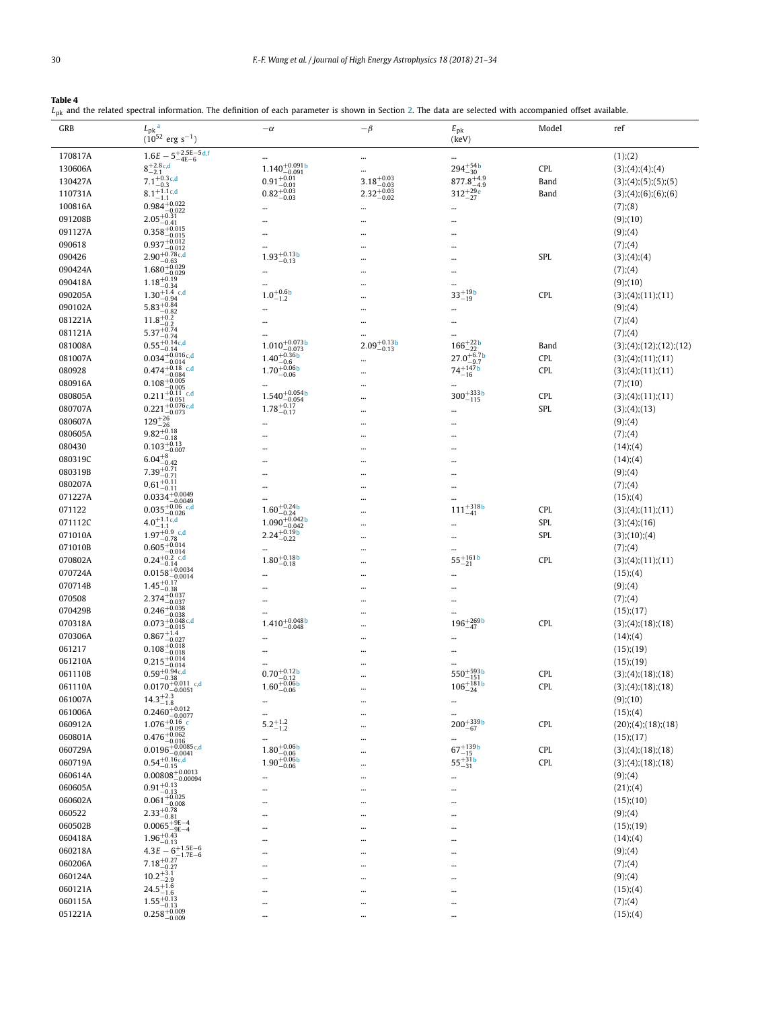#### **Table 4**

*L*pk and the related spectral information. The definition of each parameter is shown in Section 2. The data are selected with accompanied offset available.

| GRB                | $L_{\rm pk}$ $^{\rm a}_{\rm -}$<br>$(10^{52} \text{ erg s}^{-1})$ | $-\alpha$                                           | $-\beta$                          | $E_{\rm pk}$<br>(key)       | Model      | ref                    |
|--------------------|-------------------------------------------------------------------|-----------------------------------------------------|-----------------------------------|-----------------------------|------------|------------------------|
| 170817A            | $1.6E - 5 + 2.5E - 5$ d,f                                         |                                                     |                                   |                             |            | (1);(2)                |
| 130606A            | $8^{+2.8}_{-2.1}$ c, d                                            |                                                     |                                   | <br>$294^{+54}_{-30}$       | CPL        | (3);(4);(4);(4)        |
| 130427A            | $7.1^{+0.3}_{-0.3}$ c,d                                           | $1.140^{+0.091}_{-0.091}$<br>$0.91^{+0.01}_{-0.01}$ | <br>$3.18^{+0.03}_{-0.03}$        | $877.8^{+4.9}_{-4.9}$       | Band       | (3);(4);(5);(5);(5)    |
| 110731A            | $8.1^{+1.1}_{-1.1}$ c,d                                           | $0.82^{+0.03}_{-0.03}$                              | $2.32^{+0.03}_{-0.02}$            | $312^{+29e}_{-27}$          | Band       | (3);(4);(6);(6);(6)    |
| 100816A            | $0.984^{+0.022}_{-0.022}$                                         |                                                     |                                   |                             |            | (7); (8)               |
| 091208B            | $2.05_{-0.41}^{+0.31}$                                            |                                                     |                                   |                             |            | (9)(10)                |
| 091127A            | $0.358^{+0.015}_{-0.015}$                                         |                                                     |                                   |                             |            | $(9)$ ; $(4)$          |
| 090618             | $0.937^{+0.012}_{-0.012}$                                         |                                                     |                                   |                             |            | (7);(4)                |
| 090426             | $2.90_{-0.63}^{+0.78}$ c,d                                        | <br>$1.93\substack{+0.13\,b\\-0.13}$                | <br>                              | <br>                        | SPL        | (3);(4);(4)            |
| 090424A            | $1.680^{+0.029}_{-0.029}$                                         |                                                     |                                   |                             |            | (7);(4)                |
| 090418A            | $1.18_{-0.34}^{+0.19}$                                            |                                                     |                                   |                             |            | (9)(10)                |
| 090205A            | $1.30^{+1.4}_{-0.94}$ c,d                                         | $1.0^{+0.6b}_{-1.2}$                                |                                   | $33^{+19b}_{-19}$           | CPL        | (3);(4);(11);(11)      |
| 090102A            | $5.83^{+0.84}_{-0.84}$                                            | $-1.2$<br>                                          |                                   |                             |            | $(9)$ ; $(4)$          |
| 081221A            | $-0.82$<br>$11.8^{+0.2}_{-0.2}$                                   |                                                     |                                   |                             |            | (7);(4)                |
| 081121A            | $-0.2$<br>$5.37^{+0.74}_{-0.74}$                                  |                                                     |                                   |                             |            | (7);(4)                |
| 081008A            | $0.55_{-0.14}^{+0.14}$ c,d                                        | $1.010_{-0.073}^{+0.073}$                           | $2.09^{+0.13}_{-0.12}$<br>$-0.13$ | $+22b$<br>$166^{+22}_{-22}$ | Band       | (3);(4);(12);(12);(12) |
| 081007A            | $0.034^{+0.016}_{-0.014}$                                         | $1.40^{+0.36b}_{-0.6}$                              |                                   | $27.0^{+6.7b}_{-9.7}$       | CPL        | (3);(4);(11);(11)      |
| 080928             | $0.474^{+0.18}_{-0.084}$ c,d                                      | $1.70^{+0.06b}_{-0.06}$                             |                                   | $74^{+147}_{-16}$           | <b>CPL</b> | (3);(4);(11);(11)      |
| 080916A            | $0.108^{+0.005}_{-0.005}$                                         |                                                     |                                   |                             |            | (7)(10)                |
| 080805A            | $0.211^{+0.11}_{-0.051}$ c,d                                      | $1.540^{+0.054}_{-0.054}$                           |                                   | $300^{+333}_{-115}$         | <b>CPL</b> | (3);(4);(11);(11)      |
| 080707A            | $0.221^{+0.076}_{-0.073}$                                         | $1.78^{+0.17}_{-0.17}$                              |                                   |                             | <b>SPL</b> | (3);(4);(13)           |
| 080607A            | $129^{+26}_{-26}$                                                 |                                                     |                                   |                             |            | $(9)$ ; $(4)$          |
| 080605A            | $9.82^{+0.18}_{-0.18}$                                            |                                                     |                                   |                             |            | (7);(4)                |
| 080430             | $0.103_{-0.007}^{+0.13}$                                          |                                                     |                                   |                             |            | $(14)$ ; $(4)$         |
| 080319C            | $6.04^{+8}_{-0.42}$                                               |                                                     |                                   |                             |            | $(14)$ ; $(4)$         |
| 080319B            | $7.39^{+0.71}_{-0.71}$<br>$-0.71$                                 |                                                     |                                   |                             |            | $(9)$ ; $(4)$          |
| 080207A            | $0.61_{-0.11}^{+0.11}$                                            |                                                     |                                   |                             |            | (7);(4)                |
| 071227A            | $0.0334^{+0.0049}_{-0.0049}$                                      |                                                     |                                   |                             |            | (15);(4)               |
| 071122             | $0.035_{-0.026}^{+0.06}$ c,d                                      | $1.60^{+0.24}_{-0.24}$                              |                                   | $111^{+318b}$<br>$-41$      | CPL        | (3);(4);(11);(11)      |
| 071112C            | $4.0^{+1.1}_{-1.1}$ c,d                                           | $1.090_{-0.042}^{+0.042}$                           |                                   |                             | <b>SPL</b> | (3);(4);(16)           |
| 071010A            | $1.97_{-0.78}^{+0.9}$ c,d                                         | $2.24^{+0.19b}_{-0.22}$                             |                                   |                             | SPL        | (3);(10);(4)           |
| 071010B            | $0.605^{+0.014}_{-0.014}$                                         |                                                     |                                   |                             |            | (7);(4)                |
| 070802A            | $0.24^{+0.2}_{-0.14}$ c/d                                         | $1.80^{+0.18}_{-0.18}$                              |                                   | $55^{+161b}_{-21}$          | <b>CPL</b> | (3);(4);(11);(11)      |
| 070724A            | $0.0158^{+0.0034}_{-0.0014}$                                      |                                                     |                                   |                             |            | (15);(4)               |
| 070714B            | $1.45_{-0.38}^{+0.17}$                                            |                                                     |                                   |                             |            | $(9)$ ; $(4)$          |
| 070508             | $2.374^{+0.037}_{-0.037}$                                         |                                                     |                                   |                             |            | (7);(4)                |
| 070429B            | $0.246_{-0.038}^{+0.038}$                                         |                                                     |                                   |                             |            | (15)(17)               |
| 070318A            | $0.073^{+0.048}_{-0.015}$                                         | $1.410^{+0.048}$<br>$-0.048$                        |                                   | $196^{+269b}_{47}$<br>$-47$ | CPL        | (3);(4);(18);(18)      |
| 070306A            | $0.867^{+1.4}_{-0.027}$                                           |                                                     |                                   |                             |            | (14);(4)               |
| 061217             | $0.108^{+0.018}_{-0.018}$                                         |                                                     |                                   |                             |            | (15)(19)               |
| 061210A            | $0.215_{-0.014}^{+0.014}$                                         |                                                     |                                   |                             |            | (15)(19)               |
| 061110B            | $0.59^{+0.94}_{-0.26}$<br>$-0.38$                                 | $0.70^{+0.12b}$<br>$-0.12$                          |                                   | $550^{+593b}$<br>-151       | <b>CPL</b> | (3);(4);(18);(18)      |
| 061110A            | $0.0170^{+0.011}_{-0.0051}$ c,d                                   | $1.60^{+0.06}_{-0.06}$                              |                                   | $106^{+181b}_{-24}$         | CPL        | (3);(4);(18);(18)      |
| 061007A            | $14.3^{+2.3}_{-1.8}$                                              | $\cdots$                                            |                                   |                             |            | (9)(10)                |
| 061006A            | $0.2460^{+0.012}_{-0.0077}$                                       |                                                     |                                   |                             |            | (15);(4)               |
| 060912A            | $1.076_{-0.095}^{+0.16}$                                          | $5.2^{+1.2}_{-1.2}$                                 |                                   | $200^{+339b}_{-67}$         | CPL        | (20)(4)(18)(18)        |
| 060801A            | $0.476^{+0.062}_{-0.016}$                                         |                                                     |                                   |                             |            | (15)(17)               |
| 060729A            | $0.0196^{+0.0085}_{-0.0041}$                                      | $1.80^{+0.06}_{-0.06}$                              |                                   | $67^{+139b}_{-15}$          | CPL        | (3);(4);(18);(18)      |
| 060719A            | $0.54^{+0.16}_{-0.15}$                                            | $1.90^{+0.06}_{-0.06}$                              |                                   | $55^{+31}_{-31}$            | CPL        | (3);(4);(18);(18)      |
| 060614A            | $0.00808^{+0.0013}_{-0.00094}$                                    |                                                     |                                   |                             |            | $(9)$ ; $(4)$          |
| 060605A<br>060602A | $0.91_{-0.13}^{+0.13}$                                            |                                                     |                                   |                             |            | (21);(4)               |
|                    | $0.061_{-0.008}^{+0.025}$                                         |                                                     |                                   |                             |            | (15); (10)             |
| 060522<br>060502B  | $2.33_{-0.81}^{+0.78}$<br>$0.0065^{+9E-4}_{-9E-4}$                |                                                     | $\cdots$                          |                             |            | (9)(4)                 |
| 060418A            | $1.96_{-0.13}^{+0.43}$                                            |                                                     |                                   |                             |            | (15)(19)               |
| 060218A            | $4.3E - 6^{+1.5E-6}_{-1.7E-6}$                                    |                                                     |                                   |                             |            | $(14)$ ; $(4)$         |
| 060206A            | $7.18^{+0.27}_{-0.27}$                                            |                                                     | $\cdots$                          |                             |            | $(9)$ ; $(4)$          |
| 060124A            | $10.2_{-2.9}^{+3.1}$                                              |                                                     |                                   |                             |            | (7);(4)<br>(9)(4)      |
| 060121A            | $24.5^{+1.6}_{-1.6}$                                              |                                                     |                                   |                             |            | (15);(4)               |
| 060115A            | $1.55^{+0.13}_{-0.13}$                                            |                                                     |                                   |                             |            | (7);(4)                |
| 051221A            | $0.258^{+0.009}_{-0.009}$                                         |                                                     | $\cdots$                          |                             |            | (15);(4)               |
|                    |                                                                   | $\cdots$                                            | $\cdots$                          | $\cdots$                    |            |                        |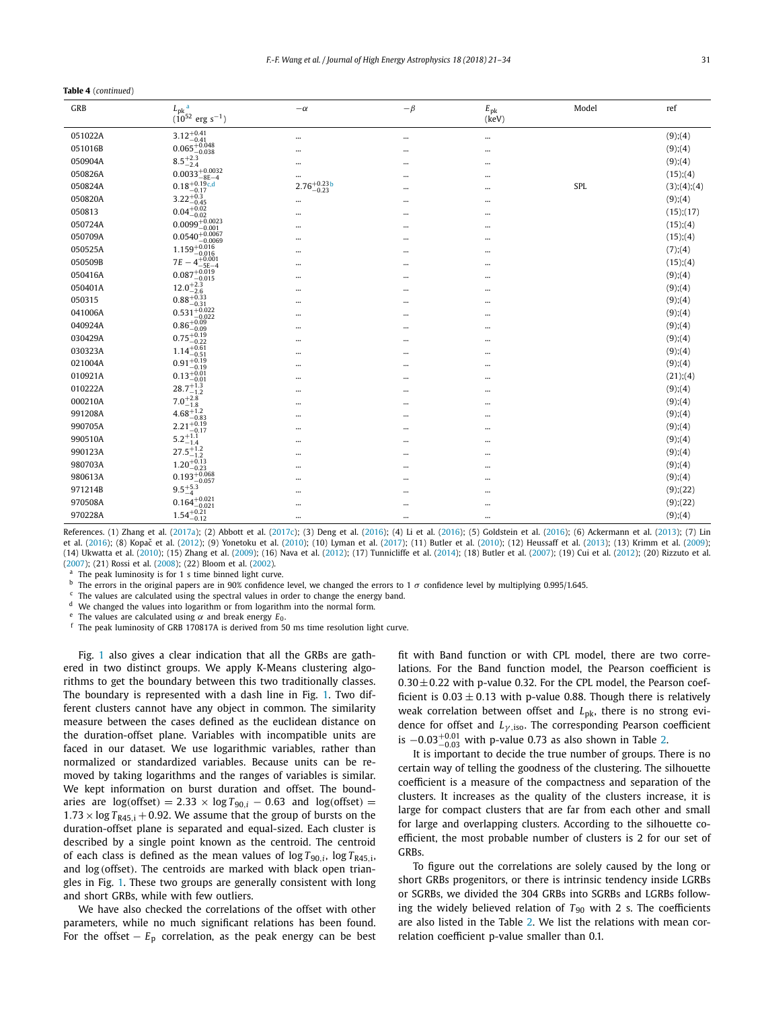### **Table 4** (*continued*)

| GRB     | $L_{\rm pk}$ <sup>a</sup>      | $-\alpha$                         | $-\beta$ | $E_{\rm pk}$ | Model | ref         |
|---------|--------------------------------|-----------------------------------|----------|--------------|-------|-------------|
|         | $(10^{52} \text{ erg s}^{-1})$ |                                   |          | (keV)        |       |             |
| 051022A | $3.12^{+0.41}_{-0.41}$         | $\cdots$                          | $\cdots$ | $\cdots$     |       | (9)(4)      |
| 051016B | $0.065_{-0.038}^{+0.048}$      | $\cdots$                          |          |              |       | (9)(4)      |
| 050904A | $8.5^{+2.3}_{-2.4}$            | $\cdots$                          |          |              |       | (9)(4)      |
| 050826A | $0.0033_{-8E-4}^{2+0.0032}$    | $\cdots$                          |          |              |       | (15);(4)    |
| 050824A | $0.18^{+0.19}_{-0.17}$         | $2.76^{+0.23}_{-0.22}$<br>$-0.23$ |          |              | SPL   | (3);(4);(4) |
| 050820A | $3.22^{+0.3}_{-0.45}$          |                                   |          |              |       | (9)(4)      |
| 050813  | $0.04^{+0.02}_{-0.02}$         | $\cdots$                          |          |              |       | (15); (17)  |
| 050724A | $0.0099^{+0.0023}_{-0.001}$    | $\cdots$                          |          |              |       | (15);(4)    |
| 050709A | $0.0540^{+0.0067}_{-0.0069}$   | $\cdots$                          |          |              |       | (15);(4)    |
| 050525A | $1.159^{+0.016}_{-0.016}$      |                                   |          |              |       | (7);(4)     |
| 050509B | $7E - 4^{+0.001}_{-5E-4}$      |                                   |          |              |       | (15);(4)    |
| 050416A | $0.087^{+0.019}_{-0.015}$      |                                   |          |              |       | (9)(4)      |
| 050401A | $12.0^{+2.3}_{-2.6}$           |                                   |          |              |       | (9)(4)      |
| 050315  | $0.88_{-0.31}^{+0.33}$         | $\cdots$                          |          |              |       | (9);(4)     |
| 041006A | $0.531_{-0.022}^{+0.022}$      |                                   |          |              |       | (9)(4)      |
| 040924A | $0.86^{+0.09}_{-0.09}$         | $\cdots$                          |          |              |       | (9)(4)      |
| 030429A | $0.75^{+0.19}_{-0.22}$         |                                   |          |              |       | (9)(4)      |
| 030323A | $1.14^{+0.61}_{-0.51}$         |                                   |          | $\cdots$     |       | (9)(4)      |
| 021004A | $0.91_{-0.19}^{+0.19}$         | $\cdots$                          |          | $\cdots$     |       | (9)(4)      |
| 010921A | $0.13^{+0.01}_{-0.01}$         |                                   |          |              |       | (21);(4)    |
| 010222A | $28.7^{+1.3}_{-1.2}$           | $\cdots$                          |          |              |       | (9)(4)      |
| 000210A | $7.0^{+2.8}_{-1.8}$            |                                   |          |              |       | (9)(4)      |
| 991208A | $4.68^{+1.2}_{-0.83}$          |                                   |          |              |       | (9)(4)      |
| 990705A | $2.21_{-0.17}^{+0.19}$         | $\cdots$                          |          |              |       | (9);(4)     |
| 990510A | $5.2^{+1.1}_{-1.4}$            |                                   |          |              |       | (9)(4)      |
| 990123A | $27.5^{+1.2}_{-1.2}$           |                                   |          |              |       | (9)(4)      |
| 980703A | $1.20^{+0.13}_{-0.23}$         |                                   |          |              |       | (9)(4)      |
| 980613A | $0.193_{-0.057}^{+0.068}$      | $\cdots$                          |          | $\cdots$     |       | (9)(4)      |
| 971214B | $9.5^{+5.3}_{-4}$              | $\cdots$                          |          | $\cdots$     |       | (9)(22)     |
| 970508A | $0.164^{+0.021}_{-0.021}$      | $\cdots$                          | $\cdots$ |              |       | (9)(22)     |
| 970228A | $1.54^{+0.21}_{-0.12}$         | $\cdots$                          |          |              |       | (9)(4)      |

References. (1) Zhang et al. (2017a); (2) Abbott et al. (2017c); (3) Deng et al. (2016); (4) Li et al. (2016); (5) Goldstein et al. (2016); (6) Ackermann et al. (2013); (7) Lin et al. (2016); (8) Kopač et al. (2012); (9) Yonetoku et al. (2010); (10) Lyman et al. (2017); (11) Butler et al. (2010); (12) Heussaff et al. (2013); (13) Krimm et al. (2009); (14) Ukwatta et al. (2010); (15) Zhang et al. (2009); (16) Nava et al. (2012); (17) Tunnicliffe et al. (2014); (18) Butler et al. (2007); (19) Cui et al. (2012); (20) Rizzuto et al. (2007); (21) Rossi et al. (2008); (22) Bloom et al. (2002).

<sup>a</sup> The peak luminosity is for 1 s time binned light curve.<br><sup>b</sup> The errors in the original papers are in 90% confidence

The errors in the original papers are in 90% confidence level, we changed the errors to 1  $\sigma$  confidence level by multiplying 0.995/1.645.

 $\epsilon$  The values are calculated using the spectral values in order to change the energy band.

We changed the values into logarithm or from logarithm into the normal form.

The values are calculated using  $\alpha$  and break energy  $E_0$ .

<sup>f</sup> The peak luminosity of GRB 170817A is derived from 50 ms time resolution light curve.

Fig. 1 also gives a clear indication that all the GRBs are gathered in two distinct groups. We apply K-Means clustering algorithms to get the boundary between this two traditionally classes. The boundary is represented with a dash line in Fig. 1. Two different clusters cannot have any object in common. The similarity measure between the cases defined as the euclidean distance on the duration-offset plane. Variables with incompatible units are faced in our dataset. We use logarithmic variables, rather than normalized or standardized variables. Because units can be removed by taking logarithms and the ranges of variables is similar. We kept information on burst duration and offset. The boundaries are  $log(offset) = 2.33 \times log T_{90,i} - 0.63$  and  $log(offset) =$  $1.73 \times \log T_{R45,i} + 0.92$ . We assume that the group of bursts on the duration-offset plane is separated and equal-sized. Each cluster is described by a single point known as the centroid. The centroid of each class is defined as the mean values of  $\log T_{90,i}$ ,  $\log T_{\rm R45,i}$ , and log (offset). The centroids are marked with black open triangles in Fig. 1. These two groups are generally consistent with long and short GRBs, while with few outliers.

We have also checked the correlations of the offset with other parameters, while no much significant relations has been found. For the offset  $- E_p$  correlation, as the peak energy can be best fit with Band function or with CPL model, there are two correlations. For the Band function model, the Pearson coefficient is  $0.30\pm0.22$  with p-value 0.32. For the CPL model, the Pearson coefficient is  $0.03 \pm 0.13$  with p-value 0.88. Though there is relatively weak correlation between offset and *L*<sub>pk</sub>, there is no strong evidence for offset and *L*γ ,iso. The corresponding Pearson coefficient is  $-0.03^{+0.01}_{-0.03}$  with p-value 0.73 as also shown in Table 2.

It is important to decide the true number of groups. There is no certain way of telling the goodness of the clustering. The silhouette coefficient is a measure of the compactness and separation of the clusters. It increases as the quality of the clusters increase, it is large for compact clusters that are far from each other and small for large and overlapping clusters. According to the silhouette coefficient, the most probable number of clusters is 2 for our set of GRBs.

To figure out the correlations are solely caused by the long or short GRBs progenitors, or there is intrinsic tendency inside LGRBs or SGRBs, we divided the 304 GRBs into SGRBs and LGRBs following the widely believed relation of  $T_{90}$  with 2 s. The coefficients are also listed in the Table 2. We list the relations with mean correlation coefficient p-value smaller than 0.1.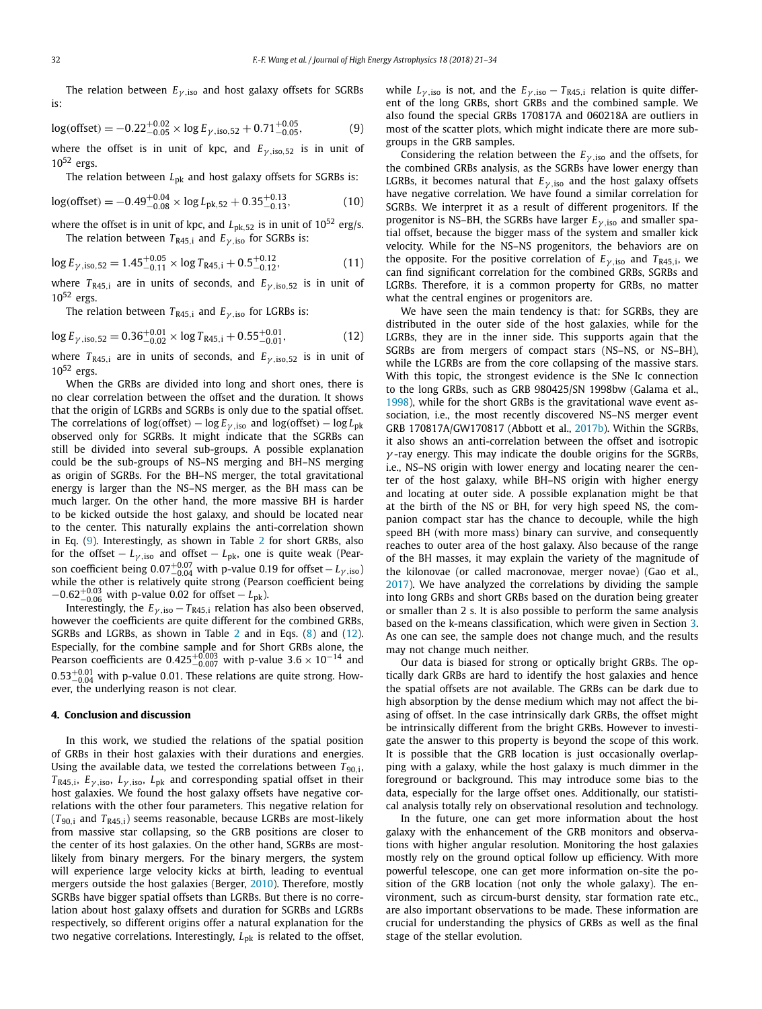The relation between  $E_{\nu,iso}$  and host galaxy offsets for SGRBs is:

$$
log(offset) = -0.22^{+0.02}_{-0.05} \times log E_{\gamma,iso,52} + 0.71^{+0.05}_{-0.05},
$$
 (9)

where the offset is in unit of kpc, and  $E_{\gamma,iso,52}$  is in unit of  $10^{52}$  ergs.

The relation between  $L_{\text{pk}}$  and host galaxy offsets for SGRBs is:

$$
log(offset) = -0.49^{+0.04}_{-0.08} \times log L_{pk,52} + 0.35^{+0.13}_{-0.13},
$$
 (10)

where the offset is in unit of kpc, and  $L_{\text{pk}}$ , 52 is in unit of 10<sup>52</sup> erg/s. The relation between  $T_{\text{R45},i}$  and  $E_{\nu,\text{iso}}$  for SGRBs is:

$$
\log E_{\gamma, \text{iso}, 52} = 1.45_{-0.11}^{+0.05} \times \log T_{\text{R45}, i} + 0.5_{-0.12}^{+0.12},\tag{11}
$$

where  $T_{R45,i}$  are in units of seconds, and  $E_{\gamma,iso,52}$  is in unit of  $10^{52}$  ergs.

The relation between  $T_{\text{R45},i}$  and  $E_{\gamma,\text{iso}}$  for LGRBs is:

$$
\log E_{\gamma, \text{iso}, 52} = 0.36_{-0.02}^{+0.01} \times \log T_{\text{R45}, i} + 0.55_{-0.01}^{+0.01},\tag{12}
$$

where  $T_{R45,i}$  are in units of seconds, and  $E_{\gamma,iso,52}$  is in unit of  $10^{52}$  ergs.

When the GRBs are divided into long and short ones, there is no clear correlation between the offset and the duration. It shows that the origin of LGRBs and SGRBs is only due to the spatial offset. The correlations of  $log(offset) - log E<sub>V,iso</sub>$  and  $log(offset) - log L<sub>pk</sub>$ observed only for SGRBs. It might indicate that the SGRBs can still be divided into several sub-groups. A possible explanation could be the sub-groups of NS–NS merging and BH–NS merging as origin of SGRBs. For the BH–NS merger, the total gravitational energy is larger than the NS–NS merger, as the BH mass can be much larger. On the other hand, the more massive BH is harder to be kicked outside the host galaxy, and should be located near to the center. This naturally explains the anti-correlation shown in Eq. (9). Interestingly, as shown in Table 2 for short GRBs, also for the offset  $- L_{\gamma, \text{iso}}$  and offset  $- L_{\text{pk}}$ , one is quite weak (Pearson coefficient being  $0.07^{+0.07}_{-0.04}$  with p-value 0.19 for offset  $-L_{\gamma,\rm iso}$ ) while the other is relatively quite strong (Pearson coefficient being −0.62+0.<sup>03</sup> <sup>−</sup>0.<sup>06</sup> with p-value 0.02 for offset − *<sup>L</sup>*pk).

Interestingly, the  $E_{\gamma,iso} - T_{R45,i}$  relation has also been observed, however the coefficients are quite different for the combined GRBs, SGRBs and LGRBs, as shown in Table 2 and in Eqs. (8) and (12). Especially, for the combine sample and for Short GRBs alone, the Pearson coefficients are  $0.425^{+0.003}_{-0.007}$  with p-value 3.6  $\times$  10<sup>-14</sup> and  $0.53^{+0.01}_{-0.04}$  with p-value 0.01. These relations are quite strong. However, the underlying reason is not clear.

# **4. Conclusion and discussion**

In this work, we studied the relations of the spatial position of GRBs in their host galaxies with their durations and energies. Using the available data, we tested the correlations between T<sub>90,i</sub>, *T*R45,<sup>i</sup> , *E*γ ,iso, *L*γ ,iso, *L*pk and corresponding spatial offset in their host galaxies. We found the host galaxy offsets have negative correlations with the other four parameters. This negative relation for  $(T_{90,i}$  and  $T_{R45,i}$ ) seems reasonable, because LGRBs are most-likely from massive star collapsing, so the GRB positions are closer to the center of its host galaxies. On the other hand, SGRBs are mostlikely from binary mergers. For the binary mergers, the system will experience large velocity kicks at birth, leading to eventual mergers outside the host galaxies (Berger, 2010). Therefore, mostly SGRBs have bigger spatial offsets than LGRBs. But there is no correlation about host galaxy offsets and duration for SGRBs and LGRBs respectively, so different origins offer a natural explanation for the two negative correlations. Interestingly,  $L_{\text{pk}}$  is related to the offset, while  $L_{\gamma,iso}$  is not, and the  $E_{\gamma,iso} - T_{R45,i}$  relation is quite different of the long GRBs, short GRBs and the combined sample. We also found the special GRBs 170817A and 060218A are outliers in most of the scatter plots, which might indicate there are more subgroups in the GRB samples.

Considering the relation between the  $E_{\gamma,iso}$  and the offsets, for the combined GRBs analysis, as the SGRBs have lower energy than LGRBs, it becomes natural that  $E_{\gamma,iso}$  and the host galaxy offsets have negative correlation. We have found a similar correlation for SGRBs. We interpret it as a result of different progenitors. If the progenitor is NS–BH, the SGRBs have larger *E*γ ,iso and smaller spatial offset, because the bigger mass of the system and smaller kick velocity. While for the NS–NS progenitors, the behaviors are on the opposite. For the positive correlation of  $E_{\gamma,iso}$  and  $T_{R45,i}$ , we can find significant correlation for the combined GRBs, SGRBs and LGRBs. Therefore, it is a common property for GRBs, no matter what the central engines or progenitors are.

We have seen the main tendency is that: for SGRBs, they are distributed in the outer side of the host galaxies, while for the LGRBs, they are in the inner side. This supports again that the SGRBs are from mergers of compact stars (NS–NS, or NS–BH), while the LGRBs are from the core collapsing of the massive stars. With this topic, the strongest evidence is the SNe Ic connection to the long GRBs, such as GRB 980425/SN 1998bw (Galama et al., 1998), while for the short GRBs is the gravitational wave event association, i.e., the most recently discovered NS–NS merger event GRB 170817A/GW170817 (Abbott et al., 2017b). Within the SGRBs, it also shows an anti-correlation between the offset and isotropic  $\gamma$ -ray energy. This may indicate the double origins for the SGRBs, i.e., NS–NS origin with lower energy and locating nearer the center of the host galaxy, while BH–NS origin with higher energy and locating at outer side. A possible explanation might be that at the birth of the NS or BH, for very high speed NS, the companion compact star has the chance to decouple, while the high speed BH (with more mass) binary can survive, and consequently reaches to outer area of the host galaxy. Also because of the range of the BH masses, it may explain the variety of the magnitude of the kilonovae (or called macronovae, merger novae) (Gao et al., 2017). We have analyzed the correlations by dividing the sample into long GRBs and short GRBs based on the duration being greater or smaller than 2 s. It is also possible to perform the same analysis based on the k-means classification, which were given in Section 3. As one can see, the sample does not change much, and the results may not change much neither.

Our data is biased for strong or optically bright GRBs. The optically dark GRBs are hard to identify the host galaxies and hence the spatial offsets are not available. The GRBs can be dark due to high absorption by the dense medium which may not affect the biasing of offset. In the case intrinsically dark GRBs, the offset might be intrinsically different from the bright GRBs. However to investigate the answer to this property is beyond the scope of this work. It is possible that the GRB location is just occasionally overlapping with a galaxy, while the host galaxy is much dimmer in the foreground or background. This may introduce some bias to the data, especially for the large offset ones. Additionally, our statistical analysis totally rely on observational resolution and technology.

In the future, one can get more information about the host galaxy with the enhancement of the GRB monitors and observations with higher angular resolution. Monitoring the host galaxies mostly rely on the ground optical follow up efficiency. With more powerful telescope, one can get more information on-site the position of the GRB location (not only the whole galaxy). The environment, such as circum-burst density, star formation rate etc., are also important observations to be made. These information are crucial for understanding the physics of GRBs as well as the final stage of the stellar evolution.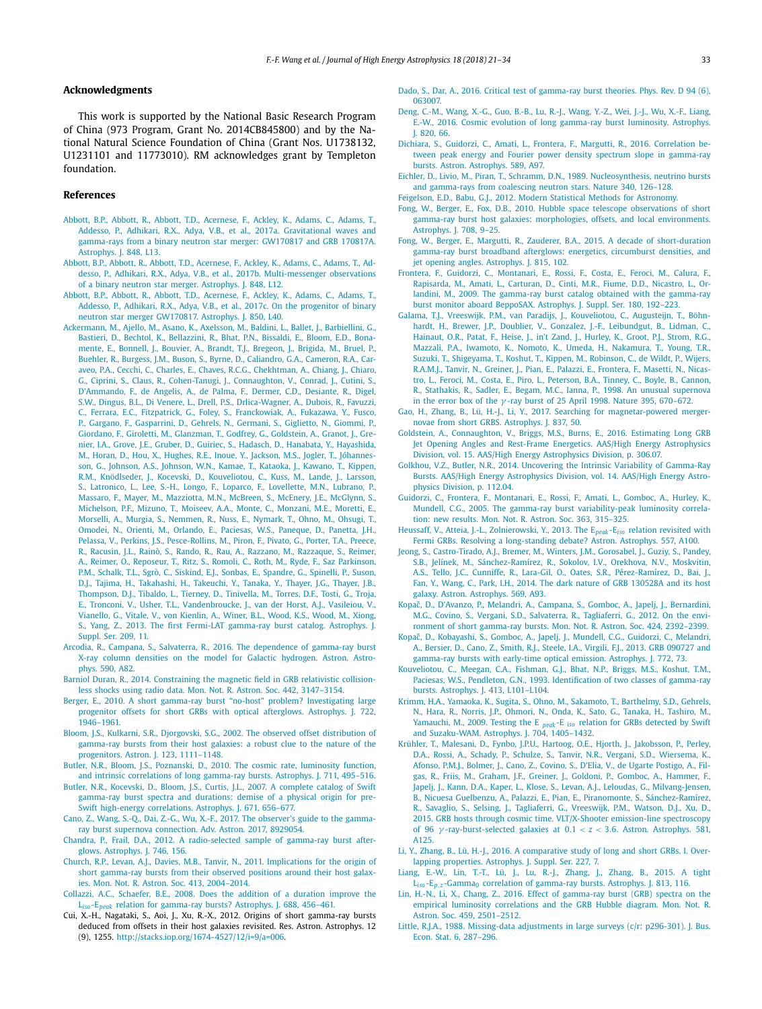# **Acknowledgments**

This work is supported by the National Basic Research Program of China (973 Program, Grant No. 2014CB845800) and by the National Natural Science Foundation of China (Grant Nos. U1738132, U1231101 and 11773010). RM acknowledges grant by Templeton foundation.

# **References**

- Abbott, B.P., Abbott, R., Abbott, T.D., Acernese, F., Ackley, K., Adams, C., Adams, T., Addesso, P., Adhikari, R.X., Adya, V.B., et al., 2017a. Gravitational waves and gamma-rays from a binary neutron star merger: GW170817 and GRB 170817A. Astrophys. J. 848, L13.
- Abbott, B.P., Abbott, R., Abbott, T.D., Acernese, F., Ackley, K., Adams, C., Adams, T., Addesso, P., Adhikari, R.X., Adya, V.B., et al., 2017b. Multi-messenger observations of a binary neutron star merger. Astrophys. J. 848, L12.
- Abbott, B.P., Abbott, R., Abbott, T.D., Acernese, F., Ackley, K., Adams, C., Adams, T., Addesso, P., Adhikari, R.X., Adya, V.B., et al., 2017c. On the progenitor of binary neutron star merger GW170817. Astrophys. J. 850, L40.
- Ackermann, M., Ajello, M., Asano, K., Axelsson, M., Baldini, L., Ballet, J., Barbiellini, G., Bastieri, D., Bechtol, K., Bellazzini, R., Bhat, P.N., Bissaldi, E., Bloom, E.D., Bonamente, E., Bonnell, J., Bouvier, A., Brandt, T.J., Bregeon, J., Brigida, M., Bruel, P., Buehler, R., Burgess, J.M., Buson, S., Byrne, D., Caliandro, G.A., Cameron, R.A., Caraveo, P.A., Cecchi, C., Charles, E., Chaves, R.C.G., Chekhtman, A., Chiang, J., Chiaro, G., Ciprini, S., Claus, R., Cohen-Tanugi, J., Connaughton, V., Conrad, J., Cutini, S., D'Ammando, F., de Angelis, A., de Palma, F., Dermer, C.D., Desiante, R., Digel, S.W., Dingus, B.L., Di Venere, L., Drell, P.S., Drlica-Wagner, A., Dubois, R., Favuzzi, C., Ferrara, E.C., Fitzpatrick, G., Foley, S., Franckowiak, A., Fukazawa, Y., Fusco, P., Gargano, F., Gasparrini, D., Gehrels, N., Germani, S., Giglietto, N., Giommi, P., Giordano, F., Giroletti, M., Glanzman, T., Godfrey, G., Goldstein, A., Granot, J., Grenier, I.A., Grove, J.E., Gruber, D., Guiriec, S., Hadasch, D., Hanabata, Y., Hayashida, M., Horan, D., Hou, X., Hughes, R.E., Inoue, Y., Jackson, M.S., Jogler, T., Jóhannesson, G., Johnson, A.S., Johnson, W.N., Kamae, T., Kataoka, J., Kawano, T., Kippen, R.M., Knödlseder, J., Kocevski, D., Kouveliotou, C., Kuss, M., Lande, J., Larsson, S., Latronico, L., Lee, S.-H., Longo, F., Loparco, F., Lovellette, M.N., Lubrano, P., Massaro, F., Mayer, M., Mazziotta, M.N., McBreen, S., McEnery, J.E., McGlynn, S., Michelson, P.F., Mizuno, T., Moiseev, A.A., Monte, C., Monzani, M.E., Moretti, E., Morselli, A., Murgia, S., Nemmen, R., Nuss, E., Nymark, T., Ohno, M., Ohsugi, T., Omodei, N., Orienti, M., Orlando, E., Paciesas, W.S., Paneque, D., Panetta, J.H., Pelassa, V., Perkins, J.S., Pesce-Rollins, M., Piron, F., Pivato, G., Porter, T.A., Preece, R., Racusin, J.L., Rainò, S., Rando, R., Rau, A., Razzano, M., Razzaque, S., Reimer, A., Reimer, O., Reposeur, T., Ritz, S., Romoli, C., Roth, M., Ryde, F., Saz Parkinson, P.M., Schalk, T.L., Sgrò, C., Siskind, E.J., Sonbas, E., Spandre, G., Spinelli, P., Suson, D.J., Tajima, H., Takahashi, H., Takeuchi, Y., Tanaka, Y., Thayer, J.G., Thayer, J.B., Thompson, D.J., Tibaldo, L., Tierney, D., Tinivella, M., Torres, D.F., Tosti, G., Troja, E., Tronconi, V., Usher, T.L., Vandenbroucke, J., van der Horst, A.J., Vasileiou, V., Vianello, G., Vitale, V., von Kienlin, A., Winer, B.L., Wood, K.S., Wood, M., Xiong, S., Yang, Z., 2013. The first Fermi-LAT gamma-ray burst catalog. Astrophys. J. Suppl. Ser. 209, 11.
- Arcodia, R., Campana, S., Salvaterra, R., 2016. The dependence of gamma-ray burst X-ray column densities on the model for Galactic hydrogen. Astron. Astrophys. 590, A82.
- Barniol Duran, R., 2014. Constraining the magnetic field in GRB relativistic collisionless shocks using radio data. Mon. Not. R. Astron. Soc. 442, 3147–3154.
- Berger, E., 2010. A short gamma-ray burst "no-host" problem? Investigating large progenitor offsets for short GRBs with optical afterglows. Astrophys. J. 722, 1946–1961.
- Bloom, J.S., Kulkarni, S.R., Djorgovski, S.G., 2002. The observed offset distribution of gamma-ray bursts from their host galaxies: a robust clue to the nature of the progenitors. Astron. J. 123, 1111–1148.
- Butler, N.R., Bloom, J.S., Poznanski, D., 2010. The cosmic rate, luminosity function, and intrinsic correlations of long gamma-ray bursts. Astrophys. J. 711, 495–516.
- Butler, N.R., Kocevski, D., Bloom, J.S., Curtis, J.L., 2007. A complete catalog of Swift gamma-ray burst spectra and durations: demise of a physical origin for pre-Swift high-energy correlations. Astrophys. J. 671, 656–677.
- Cano, Z., Wang, S.-Q., Dai, Z.-G., Wu, X.-F., 2017. The observer's guide to the gammaray burst supernova connection. Adv. Astron. 2017, 8929054.
- Chandra, P., Frail, D.A., 2012. A radio-selected sample of gamma-ray burst afterglows. Astrophys. J. 746, 156.
- Church, R.P., Levan, A.J., Davies, M.B., Tanvir, N., 2011. Implications for the origin of short gamma-ray bursts from their observed positions around their host galaxies. Mon. Not. R. Astron. Soc. 413, 2004–2014.
- Collazzi, A.C., Schaefer, B.E., 2008. Does the addition of a duration improve the L*iso* -E*peak* relation for gamma-ray bursts? Astrophys. J. 688, 456–461.
- Cui, X.-H., Nagataki, S., Aoi, J., Xu, R.-X., 2012. Origins of short gamma-ray bursts deduced from offsets in their host galaxies revisited. Res. Astron. Astrophys. 12 (9), 1255. http://stacks.iop.org/1674-4527/12/i=9/a=006.
- Dado, S., Dar, A., 2016. Critical test of gamma-ray burst theories. Phys. Rev. D 94 (6), 063007.
- Deng, C.-M., Wang, X.-G., Guo, B.-B., Lu, R.-J., Wang, Y.-Z., Wei, J.-J., Wu, X.-F., Liang, E.-W., 2016. Cosmic evolution of long gamma-ray burst luminosity. Astrophys. J. 820, 66.
- Dichiara, S., Guidorzi, C., Amati, L., Frontera, F., Margutti, R., 2016. Correlation between peak energy and Fourier power density spectrum slope in gamma-ray bursts. Astron. Astrophys. 589, A97.
- Eichler, D., Livio, M., Piran, T., Schramm, D.N., 1989. Nucleosynthesis, neutrino bursts and gamma-rays from coalescing neutron stars. Nature 340, 126–128.
- Feigelson, E.D., Babu, G.J., 2012. Modern Statistical Methods for Astronomy.
- Fong, W., Berger, E., Fox, D.B., 2010. Hubble space telescope observations of short gamma-ray burst host galaxies: morphologies, offsets, and local environments. Astrophys. J. 708, 9–25.
- Fong, W., Berger, E., Margutti, R., Zauderer, B.A., 2015. A decade of short-duration gamma-ray burst broadband afterglows: energetics, circumburst densities, and jet opening angles. Astrophys. J. 815, 102.
- Frontera, F., Guidorzi, C., Montanari, E., Rossi, F., Costa, E., Feroci, M., Calura, F., Rapisarda, M., Amati, L., Carturan, D., Cinti, M.R., Fiume, D.D., Nicastro, L., Orlandini, M., 2009. The gamma-ray burst catalog obtained with the gamma-ray burst monitor aboard BeppoSAX. Astrophys. J. Suppl. Ser. 180, 192–223.
- Galama, T.J., Vreeswijk, P.M., van Paradijs, J., Kouveliotou, C., Augusteijn, T., Böhnhardt, H., Brewer, J.P., Doublier, V., Gonzalez, J.-F., Leibundgut, B., Lidman, C., Hainaut, O.R., Patat, F., Heise, J., in't Zand, J., Hurley, K., Groot, P.J., Strom, R.G., Mazzali, P.A., Iwamoto, K., Nomoto, K., Umeda, H., Nakamura, T., Young, T.R., Suzuki, T., Shigeyama, T., Koshut, T., Kippen, M., Robinson, C., de Wildt, P., Wijers, R.A.M.J., Tanvir, N., Greiner, J., Pian, E., Palazzi, E., Frontera, F., Masetti, N., Nicastro, L., Feroci, M., Costa, E., Piro, L., Peterson, B.A., Tinney, C., Boyle, B., Cannon, R., Stathakis, R., Sadler, E., Begam, M.C., Ianna, P., 1998. An unusual supernova in the error box of the  $\gamma$ -ray burst of 25 April 1998. Nature 395, 670–672.
- Gao, H., Zhang, B., Lü, H.-J., Li, Y., 2017. Searching for magnetar-powered mergernovae from short GRBS. Astrophys. J. 837, 50.
- Goldstein, A., Connaughton, V., Briggs, M.S., Burns, E., 2016. Estimating Long GRB Jet Opening Angles and Rest-Frame Energetics. AAS/High Energy Astrophysics Division, vol. 15. AAS/High Energy Astrophysics Division, p. 306.07.
- Golkhou, V.Z., Butler, N.R., 2014. Uncovering the Intrinsic Variability of Gamma-Ray Bursts. AAS/High Energy Astrophysics Division, vol. 14. AAS/High Energy Astrophysics Division, p. 112.04.
- Guidorzi, C., Frontera, F., Montanari, E., Rossi, F., Amati, L., Gomboc, A., Hurley, K., Mundell, C.G., 2005. The gamma-ray burst variability-peak luminosity correlation: new results. Mon. Not. R. Astron. Soc. 363, 315–325.
- Heussaff, V., Atteia, J.-L., Zolnierowski, Y., 2013. The E*peak* -E*iso* relation revisited with Fermi GRBs. Resolving a long-standing debate? Astron. Astrophys. 557, A100.
- Jeong, S., Castro-Tirado, A.J., Bremer, M., Winters, J.M., Gorosabel, J., Guziy, S., Pandey, S.B., Jelínek, M., Sánchez-Ramírez, R., Sokolov, I.V., Orekhova, N.V., Moskvitin, A.S., Tello, J.C., Cunniffe, R., Lara-Gil, O., Oates, S.R., Pérez-Ramírez, D., Bai, J., Fan, Y., Wang, C., Park, I.H., 2014. The dark nature of GRB 130528A and its host galaxy. Astron. Astrophys. 569, A93.
- Kopač, D., D'Avanzo, P., Melandri, A., Campana, S., Gomboc, A., Japelj, J., Bernardini, M.G., Covino, S., Vergani, S.D., Salvaterra, R., Tagliaferri, G., 2012. On the environment of short gamma-ray bursts. Mon. Not. R. Astron. Soc. 424, 2392–2399.
- Kopač, D., Kobayashi, S., Gomboc, A., Japelj, J., Mundell, C.G., Guidorzi, C., Melandri, A., Bersier, D., Cano, Z., Smith, R.J., Steele, I.A., Virgili, F.J., 2013. GRB 090727 and gamma-ray bursts with early-time optical emission. Astrophys. J. 772, 73.
- Kouveliotou, C., Meegan, C.A., Fishman, G.J., Bhat, N.P., Briggs, M.S., Koshut, T.M., Paciesas, W.S., Pendleton, G.N., 1993. Identification of two classes of gamma-ray bursts. Astrophys. J. 413, L101–L104.
- Krimm, H.A., Yamaoka, K., Sugita, S., Ohno, M., Sakamoto, T., Barthelmy, S.D., Gehrels, N., Hara, R., Norris, J.P., Ohmori, N., Onda, K., Sato, G., Tanaka, H., Tashiro, M., Yamauchi, M., 2009. Testing the E *peak* -E *iso* relation for GRBs detected by Swift and Suzaku-WAM. Astrophys. J. 704, 1405–1432.
- Krühler, T., Malesani, D., Fynbo, J.P.U., Hartoog, O.E., Hjorth, J., Jakobsson, P., Perley, D.A., Rossi, A., Schady, P., Schulze, S., Tanvir, N.R., Vergani, S.D., Wiersema, K., Afonso, P.M.J., Bolmer, J., Cano, Z., Covino, S., D'Elia, V., de Ugarte Postigo, A., Filgas, R., Friis, M., Graham, J.F., Greiner, J., Goldoni, P., Gomboc, A., Hammer, F., Japelj, J., Kann, D.A., Kaper, L., Klose, S., Levan, A.J., Leloudas, G., Milvang-Jensen, B., Nicuesa Guelbenzu, A., Palazzi, E., Pian, E., Piranomonte, S., Sánchez-Ramírez, R., Savaglio, S., Selsing, J., Tagliaferri, G., Vreeswijk, P.M., Watson, D.J., Xu, D., 2015. GRB hosts through cosmic time. VLT/X-Shooter emission-line spectroscopy of 96 γ -ray-burst-selected galaxies at 0.1 < *z* < 3.6. Astron. Astrophys. 581, A125.
- Li, Y., Zhang, B., Lü, H.-J., 2016. A comparative study of long and short GRBs. I. Overlapping properties. Astrophys. J. Suppl. Ser. 227, 7.
- Liang, E.-W., Lin, T.-T., Lü, J., Lu, R.-J., Zhang, J., Zhang, B., 2015. A tight L<sub>iso</sub>-E<sub>p,z</sub>-Gamma<sub>0</sub> correlation of gamma-ray bursts. Astrophys. J. 813, 116.
- Lin, H.-N., Li, X., Chang, Z., 2016. Effect of gamma-ray burst (GRB) spectra on the empirical luminosity correlations and the GRB Hubble diagram. Mon. Not. R. Astron. Soc. 459, 2501–2512.
- Little, R.J.A., 1988. Missing-data adjustments in large surveys (c/r: p296-301). J. Bus. Econ. Stat. 6, 287–296.